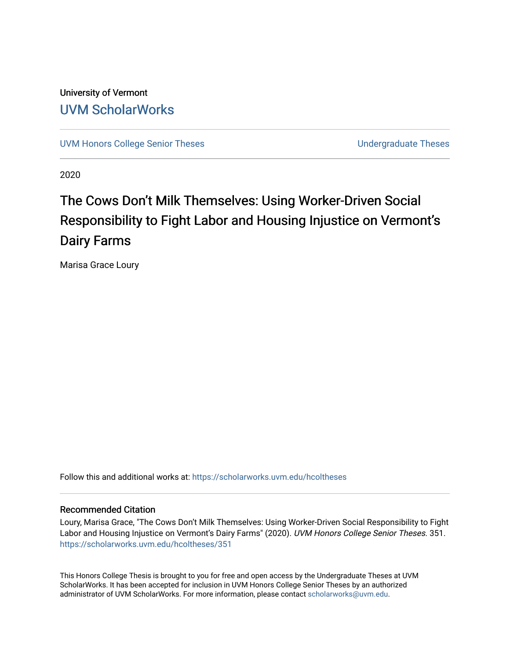University of Vermont [UVM ScholarWorks](https://scholarworks.uvm.edu/)

[UVM Honors College Senior Theses](https://scholarworks.uvm.edu/hcoltheses) **Exercise Sension College Senior Theses** Undergraduate Theses

2020

# The Cows Don't Milk Themselves: Using Worker-Driven Social Responsibility to Fight Labor and Housing Injustice on Vermont's Dairy Farms

Marisa Grace Loury

Follow this and additional works at: [https://scholarworks.uvm.edu/hcoltheses](https://scholarworks.uvm.edu/hcoltheses?utm_source=scholarworks.uvm.edu%2Fhcoltheses%2F351&utm_medium=PDF&utm_campaign=PDFCoverPages) 

## Recommended Citation

Loury, Marisa Grace, "The Cows Don't Milk Themselves: Using Worker-Driven Social Responsibility to Fight Labor and Housing Injustice on Vermont's Dairy Farms" (2020). UVM Honors College Senior Theses. 351. [https://scholarworks.uvm.edu/hcoltheses/351](https://scholarworks.uvm.edu/hcoltheses/351?utm_source=scholarworks.uvm.edu%2Fhcoltheses%2F351&utm_medium=PDF&utm_campaign=PDFCoverPages) 

This Honors College Thesis is brought to you for free and open access by the Undergraduate Theses at UVM ScholarWorks. It has been accepted for inclusion in UVM Honors College Senior Theses by an authorized administrator of UVM ScholarWorks. For more information, please contact [scholarworks@uvm.edu](mailto:scholarworks@uvm.edu).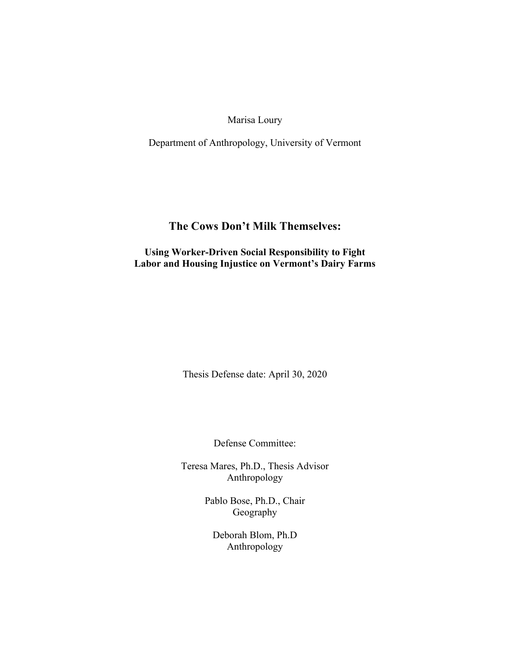Marisa Loury

Department of Anthropology, University of Vermont

# **The Cows Don't Milk Themselves:**

## **Using Worker-Driven Social Responsibility to Fight Labor and Housing Injustice on Vermont's Dairy Farms**

Thesis Defense date: April 30, 2020

Defense Committee:

Teresa Mares, Ph.D., Thesis Advisor Anthropology

> Pablo Bose, Ph.D., Chair Geography

Deborah Blom, Ph.D Anthropology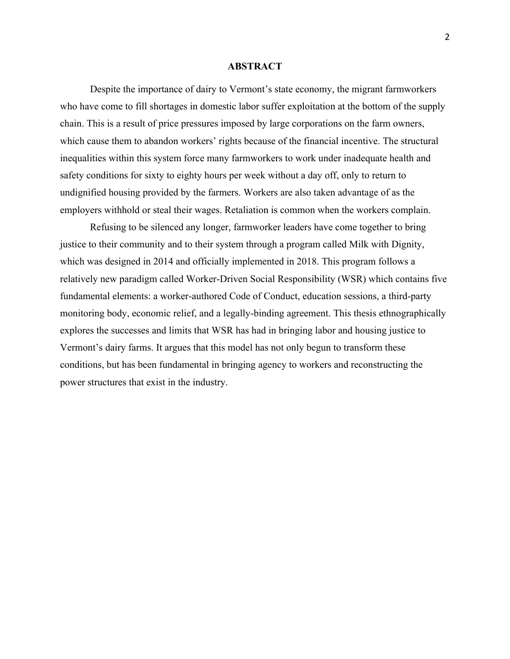#### **ABSTRACT**

Despite the importance of dairy to Vermont's state economy, the migrant farmworkers who have come to fill shortages in domestic labor suffer exploitation at the bottom of the supply chain. This is a result of price pressures imposed by large corporations on the farm owners, which cause them to abandon workers' rights because of the financial incentive. The structural inequalities within this system force many farmworkers to work under inadequate health and safety conditions for sixty to eighty hours per week without a day off, only to return to undignified housing provided by the farmers. Workers are also taken advantage of as the employers withhold or steal their wages. Retaliation is common when the workers complain.

Refusing to be silenced any longer, farmworker leaders have come together to bring justice to their community and to their system through a program called Milk with Dignity, which was designed in 2014 and officially implemented in 2018. This program follows a relatively new paradigm called Worker-Driven Social Responsibility (WSR) which contains five fundamental elements: a worker-authored Code of Conduct, education sessions, a third-party monitoring body, economic relief, and a legally-binding agreement. This thesis ethnographically explores the successes and limits that WSR has had in bringing labor and housing justice to Vermont's dairy farms. It argues that this model has not only begun to transform these conditions, but has been fundamental in bringing agency to workers and reconstructing the power structures that exist in the industry.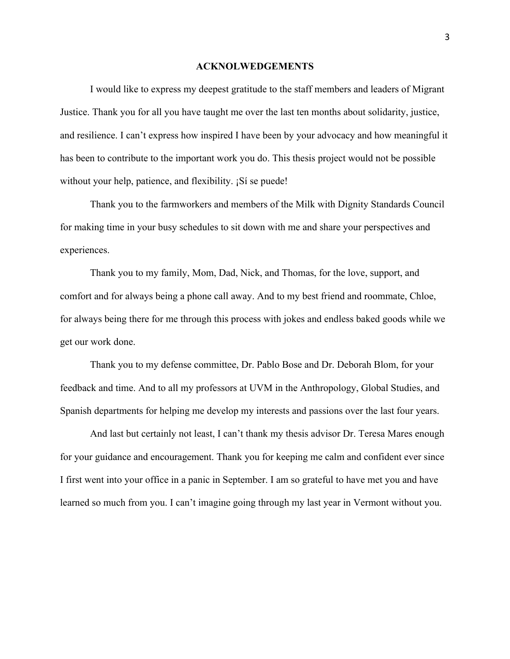#### **ACKNOLWEDGEMENTS**

I would like to express my deepest gratitude to the staff members and leaders of Migrant Justice. Thank you for all you have taught me over the last ten months about solidarity, justice, and resilience. I can't express how inspired I have been by your advocacy and how meaningful it has been to contribute to the important work you do. This thesis project would not be possible without your help, patience, and flexibility. ¡Sí se puede!

Thank you to the farmworkers and members of the Milk with Dignity Standards Council for making time in your busy schedules to sit down with me and share your perspectives and experiences.

Thank you to my family, Mom, Dad, Nick, and Thomas, for the love, support, and comfort and for always being a phone call away. And to my best friend and roommate, Chloe, for always being there for me through this process with jokes and endless baked goods while we get our work done.

Thank you to my defense committee, Dr. Pablo Bose and Dr. Deborah Blom, for your feedback and time. And to all my professors at UVM in the Anthropology, Global Studies, and Spanish departments for helping me develop my interests and passions over the last four years.

And last but certainly not least, I can't thank my thesis advisor Dr. Teresa Mares enough for your guidance and encouragement. Thank you for keeping me calm and confident ever since I first went into your office in a panic in September. I am so grateful to have met you and have learned so much from you. I can't imagine going through my last year in Vermont without you.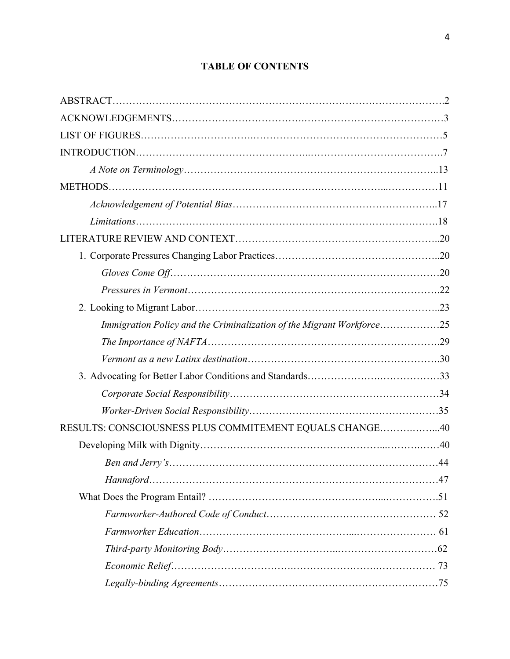# **TABLE OF CONTENTS**

| Immigration Policy and the Criminalization of the Migrant Workforce25 |  |
|-----------------------------------------------------------------------|--|
|                                                                       |  |
|                                                                       |  |
|                                                                       |  |
|                                                                       |  |
|                                                                       |  |
| RESULTS: CONSCIOUSNESS PLUS COMMITEMENT EQUALS CHANGE40               |  |
|                                                                       |  |
|                                                                       |  |
|                                                                       |  |
|                                                                       |  |
|                                                                       |  |
|                                                                       |  |
|                                                                       |  |
|                                                                       |  |
|                                                                       |  |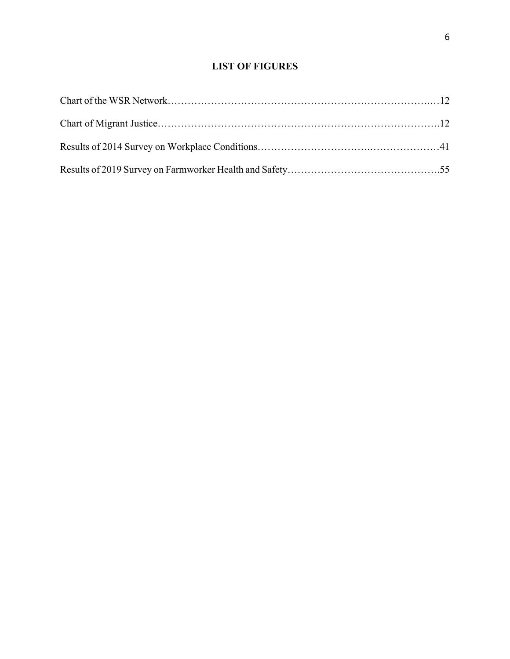# **LIST OF FIGURES**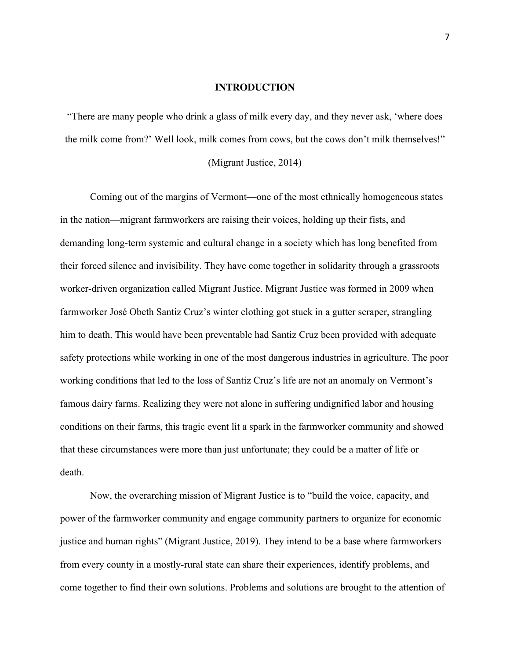#### **INTRODUCTION**

"There are many people who drink a glass of milk every day, and they never ask, 'where does the milk come from?' Well look, milk comes from cows, but the cows don't milk themselves!"

#### (Migrant Justice, 2014)

Coming out of the margins of Vermont—one of the most ethnically homogeneous states in the nation—migrant farmworkers are raising their voices, holding up their fists, and demanding long-term systemic and cultural change in a society which has long benefited from their forced silence and invisibility. They have come together in solidarity through a grassroots worker-driven organization called Migrant Justice. Migrant Justice was formed in 2009 when farmworker José Obeth Santiz Cruz's winter clothing got stuck in a gutter scraper, strangling him to death. This would have been preventable had Santiz Cruz been provided with adequate safety protections while working in one of the most dangerous industries in agriculture. The poor working conditions that led to the loss of Santiz Cruz's life are not an anomaly on Vermont's famous dairy farms. Realizing they were not alone in suffering undignified labor and housing conditions on their farms, this tragic event lit a spark in the farmworker community and showed that these circumstances were more than just unfortunate; they could be a matter of life or death.

Now, the overarching mission of Migrant Justice is to "build the voice, capacity, and power of the farmworker community and engage community partners to organize for economic justice and human rights" (Migrant Justice, 2019). They intend to be a base where farmworkers from every county in a mostly-rural state can share their experiences, identify problems, and come together to find their own solutions. Problems and solutions are brought to the attention of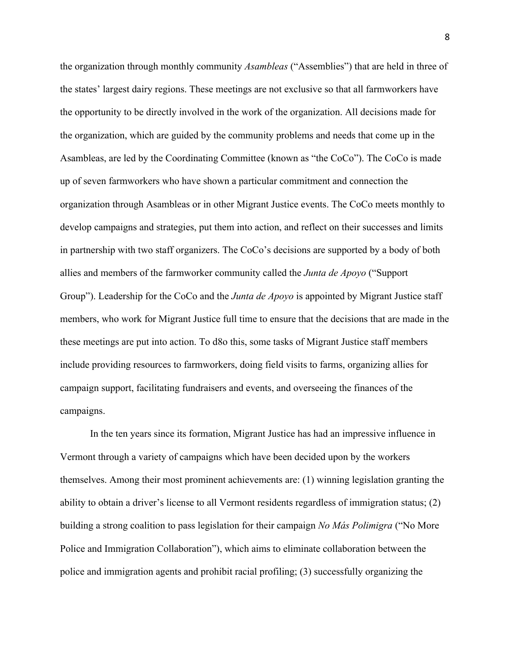the organization through monthly community *Asambleas* ("Assemblies") that are held in three of the states' largest dairy regions. These meetings are not exclusive so that all farmworkers have the opportunity to be directly involved in the work of the organization. All decisions made for the organization, which are guided by the community problems and needs that come up in the Asambleas, are led by the Coordinating Committee (known as "the CoCo"). The CoCo is made up of seven farmworkers who have shown a particular commitment and connection the organization through Asambleas or in other Migrant Justice events. The CoCo meets monthly to develop campaigns and strategies, put them into action, and reflect on their successes and limits in partnership with two staff organizers. The CoCo's decisions are supported by a body of both allies and members of the farmworker community called the *Junta de Apoyo* ("Support Group"). Leadership for the CoCo and the *Junta de Apoyo* is appointed by Migrant Justice staff members, who work for Migrant Justice full time to ensure that the decisions that are made in the these meetings are put into action. To d8o this, some tasks of Migrant Justice staff members include providing resources to farmworkers, doing field visits to farms, organizing allies for campaign support, facilitating fundraisers and events, and overseeing the finances of the campaigns.

In the ten years since its formation, Migrant Justice has had an impressive influence in Vermont through a variety of campaigns which have been decided upon by the workers themselves. Among their most prominent achievements are: (1) winning legislation granting the ability to obtain a driver's license to all Vermont residents regardless of immigration status; (2) building a strong coalition to pass legislation for their campaign *No Más Polimigra* ("No More Police and Immigration Collaboration"), which aims to eliminate collaboration between the police and immigration agents and prohibit racial profiling; (3) successfully organizing the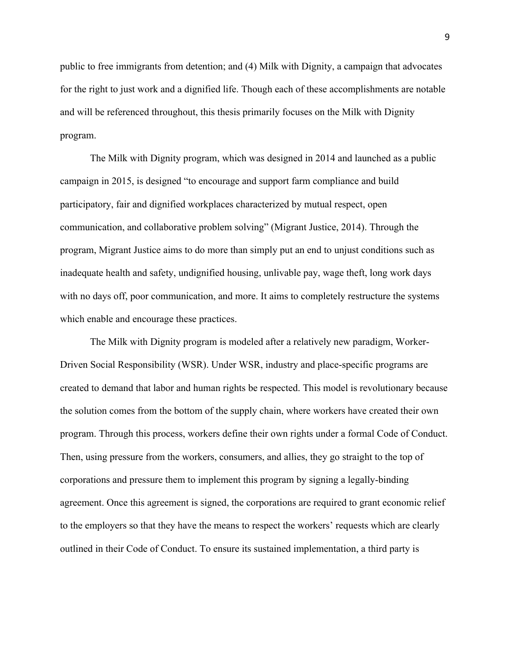public to free immigrants from detention; and (4) Milk with Dignity, a campaign that advocates for the right to just work and a dignified life. Though each of these accomplishments are notable and will be referenced throughout, this thesis primarily focuses on the Milk with Dignity program.

 The Milk with Dignity program, which was designed in 2014 and launched as a public campaign in 2015, is designed "to encourage and support farm compliance and build participatory, fair and dignified workplaces characterized by mutual respect, open communication, and collaborative problem solving" (Migrant Justice, 2014). Through the program, Migrant Justice aims to do more than simply put an end to unjust conditions such as inadequate health and safety, undignified housing, unlivable pay, wage theft, long work days with no days off, poor communication, and more. It aims to completely restructure the systems which enable and encourage these practices.

The Milk with Dignity program is modeled after a relatively new paradigm, Worker-Driven Social Responsibility (WSR). Under WSR, industry and place-specific programs are created to demand that labor and human rights be respected. This model is revolutionary because the solution comes from the bottom of the supply chain, where workers have created their own program. Through this process, workers define their own rights under a formal Code of Conduct. Then, using pressure from the workers, consumers, and allies, they go straight to the top of corporations and pressure them to implement this program by signing a legally-binding agreement. Once this agreement is signed, the corporations are required to grant economic relief to the employers so that they have the means to respect the workers' requests which are clearly outlined in their Code of Conduct. To ensure its sustained implementation, a third party is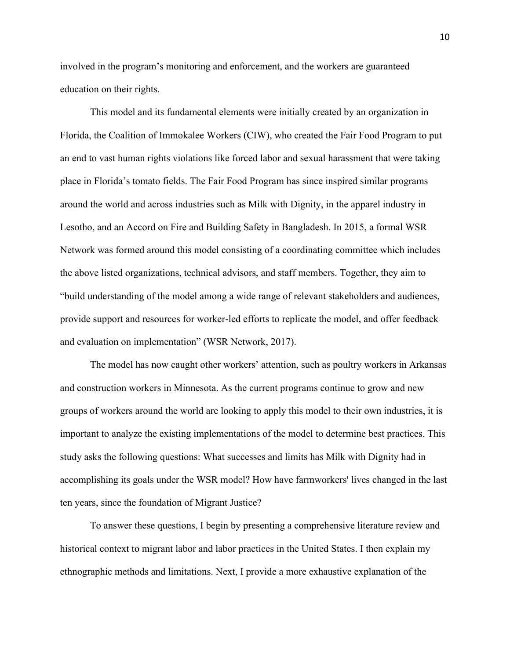involved in the program's monitoring and enforcement, and the workers are guaranteed education on their rights.

This model and its fundamental elements were initially created by an organization in Florida, the Coalition of Immokalee Workers (CIW), who created the Fair Food Program to put an end to vast human rights violations like forced labor and sexual harassment that were taking place in Florida's tomato fields. The Fair Food Program has since inspired similar programs around the world and across industries such as Milk with Dignity, in the apparel industry in Lesotho, and an Accord on Fire and Building Safety in Bangladesh. In 2015, a formal WSR Network was formed around this model consisting of a coordinating committee which includes the above listed organizations, technical advisors, and staff members. Together, they aim to "build understanding of the model among a wide range of relevant stakeholders and audiences, provide support and resources for worker-led efforts to replicate the model, and offer feedback and evaluation on implementation" (WSR Network, 2017).

The model has now caught other workers' attention, such as poultry workers in Arkansas and construction workers in Minnesota. As the current programs continue to grow and new groups of workers around the world are looking to apply this model to their own industries, it is important to analyze the existing implementations of the model to determine best practices. This study asks the following questions: What successes and limits has Milk with Dignity had in accomplishing its goals under the WSR model? How have farmworkers' lives changed in the last ten years, since the foundation of Migrant Justice?

 To answer these questions, I begin by presenting a comprehensive literature review and historical context to migrant labor and labor practices in the United States. I then explain my ethnographic methods and limitations. Next, I provide a more exhaustive explanation of the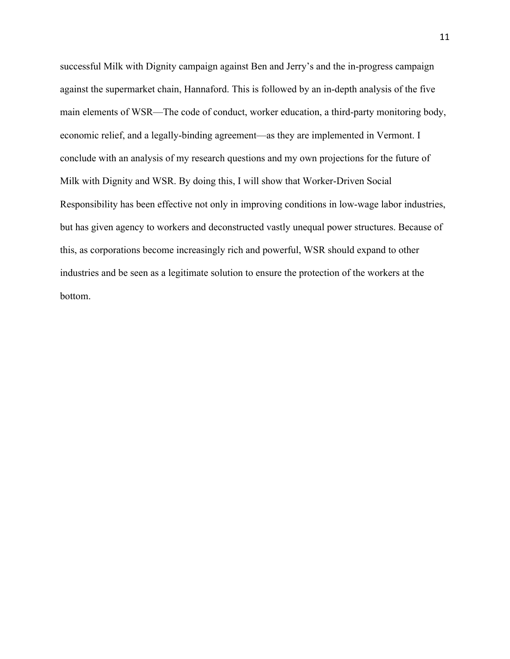successful Milk with Dignity campaign against Ben and Jerry's and the in-progress campaign against the supermarket chain, Hannaford. This is followed by an in-depth analysis of the five main elements of WSR—The code of conduct, worker education, a third-party monitoring body, economic relief, and a legally-binding agreement—as they are implemented in Vermont. I conclude with an analysis of my research questions and my own projections for the future of Milk with Dignity and WSR. By doing this, I will show that Worker-Driven Social Responsibility has been effective not only in improving conditions in low-wage labor industries, but has given agency to workers and deconstructed vastly unequal power structures. Because of this, as corporations become increasingly rich and powerful, WSR should expand to other industries and be seen as a legitimate solution to ensure the protection of the workers at the bottom.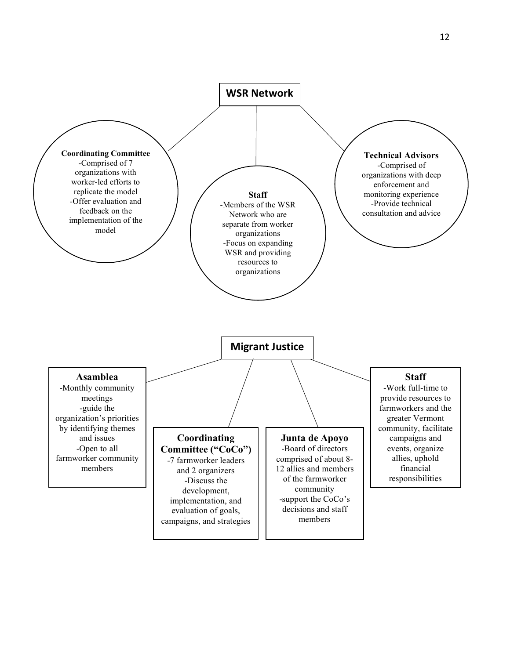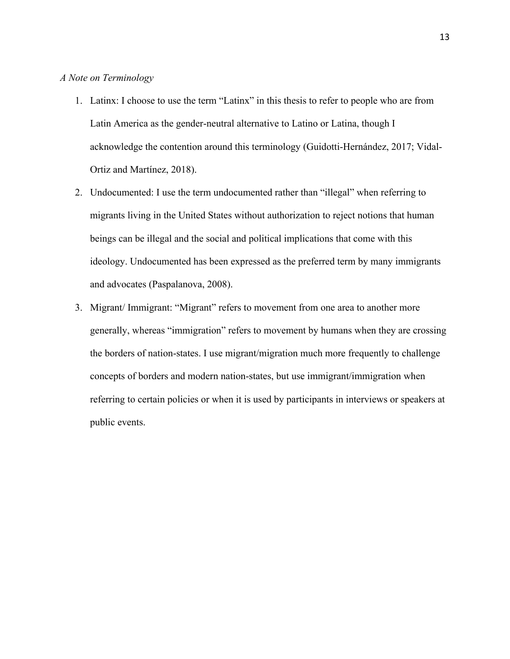### *A Note on Terminology*

- 1. Latinx: I choose to use the term "Latinx" in this thesis to refer to people who are from Latin America as the gender-neutral alternative to Latino or Latina, though I acknowledge the contention around this terminology (Guidotti-Hernández, 2017; Vidal-Ortiz and Martínez, 2018).
- 2. Undocumented: I use the term undocumented rather than "illegal" when referring to migrants living in the United States without authorization to reject notions that human beings can be illegal and the social and political implications that come with this ideology. Undocumented has been expressed as the preferred term by many immigrants and advocates (Paspalanova, 2008).
- 3. Migrant/ Immigrant: "Migrant" refers to movement from one area to another more generally, whereas "immigration" refers to movement by humans when they are crossing the borders of nation-states. I use migrant/migration much more frequently to challenge concepts of borders and modern nation-states, but use immigrant/immigration when referring to certain policies or when it is used by participants in interviews or speakers at public events.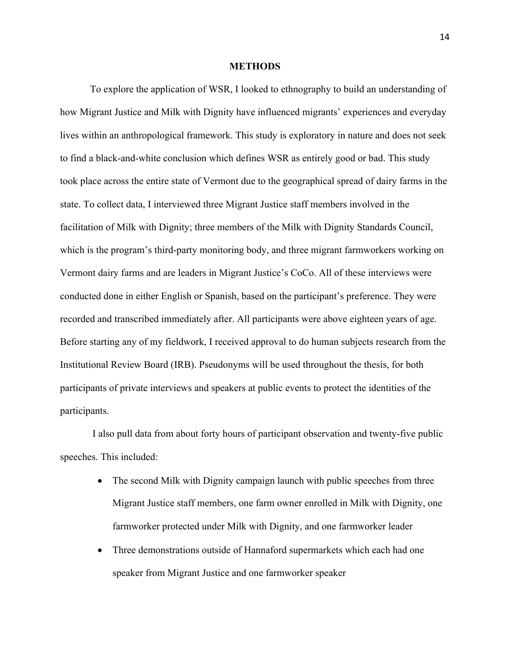#### **METHODS**

 To explore the application of WSR, I looked to ethnography to build an understanding of how Migrant Justice and Milk with Dignity have influenced migrants' experiences and everyday lives within an anthropological framework. This study is exploratory in nature and does not seek to find a black-and-white conclusion which defines WSR as entirely good or bad. This study took place across the entire state of Vermont due to the geographical spread of dairy farms in the state. To collect data, I interviewed three Migrant Justice staff members involved in the facilitation of Milk with Dignity; three members of the Milk with Dignity Standards Council, which is the program's third-party monitoring body, and three migrant farmworkers working on Vermont dairy farms and are leaders in Migrant Justice's CoCo. All of these interviews were conducted done in either English or Spanish, based on the participant's preference. They were recorded and transcribed immediately after. All participants were above eighteen years of age. Before starting any of my fieldwork, I received approval to do human subjects research from the Institutional Review Board (IRB). Pseudonyms will be used throughout the thesis, for both participants of private interviews and speakers at public events to protect the identities of the participants.

I also pull data from about forty hours of participant observation and twenty-five public speeches. This included:

- The second Milk with Dignity campaign launch with public speeches from three Migrant Justice staff members, one farm owner enrolled in Milk with Dignity, one farmworker protected under Milk with Dignity, and one farmworker leader
- Three demonstrations outside of Hannaford supermarkets which each had one speaker from Migrant Justice and one farmworker speaker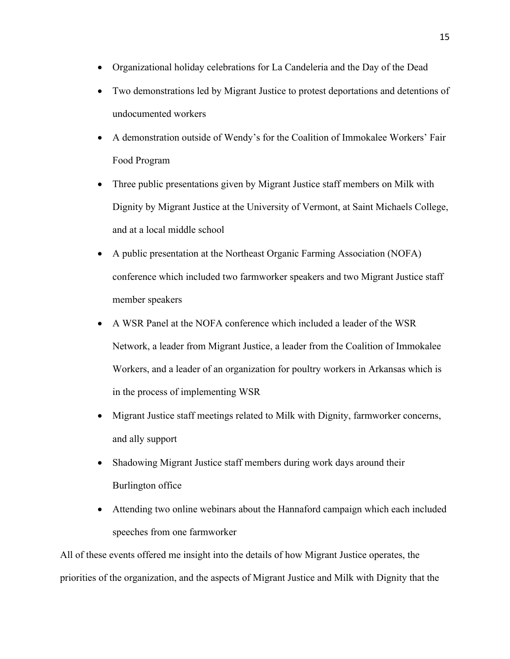- Organizational holiday celebrations for La Candeleria and the Day of the Dead
- Two demonstrations led by Migrant Justice to protest deportations and detentions of undocumented workers
- A demonstration outside of Wendy's for the Coalition of Immokalee Workers' Fair Food Program
- Three public presentations given by Migrant Justice staff members on Milk with Dignity by Migrant Justice at the University of Vermont, at Saint Michaels College, and at a local middle school
- A public presentation at the Northeast Organic Farming Association (NOFA) conference which included two farmworker speakers and two Migrant Justice staff member speakers
- A WSR Panel at the NOFA conference which included a leader of the WSR Network, a leader from Migrant Justice, a leader from the Coalition of Immokalee Workers, and a leader of an organization for poultry workers in Arkansas which is in the process of implementing WSR
- Migrant Justice staff meetings related to Milk with Dignity, farmworker concerns, and ally support
- Shadowing Migrant Justice staff members during work days around their Burlington office
- Attending two online webinars about the Hannaford campaign which each included speeches from one farmworker

All of these events offered me insight into the details of how Migrant Justice operates, the priorities of the organization, and the aspects of Migrant Justice and Milk with Dignity that the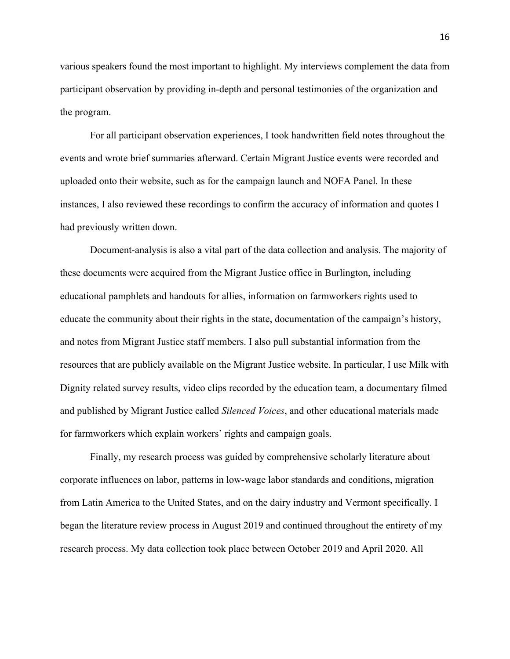various speakers found the most important to highlight. My interviews complement the data from participant observation by providing in-depth and personal testimonies of the organization and the program.

For all participant observation experiences, I took handwritten field notes throughout the events and wrote brief summaries afterward. Certain Migrant Justice events were recorded and uploaded onto their website, such as for the campaign launch and NOFA Panel. In these instances, I also reviewed these recordings to confirm the accuracy of information and quotes I had previously written down.

Document-analysis is also a vital part of the data collection and analysis. The majority of these documents were acquired from the Migrant Justice office in Burlington, including educational pamphlets and handouts for allies, information on farmworkers rights used to educate the community about their rights in the state, documentation of the campaign's history, and notes from Migrant Justice staff members. I also pull substantial information from the resources that are publicly available on the Migrant Justice website. In particular, I use Milk with Dignity related survey results, video clips recorded by the education team, a documentary filmed and published by Migrant Justice called *Silenced Voices*, and other educational materials made for farmworkers which explain workers' rights and campaign goals.

Finally, my research process was guided by comprehensive scholarly literature about corporate influences on labor, patterns in low-wage labor standards and conditions, migration from Latin America to the United States, and on the dairy industry and Vermont specifically. I began the literature review process in August 2019 and continued throughout the entirety of my research process. My data collection took place between October 2019 and April 2020. All

16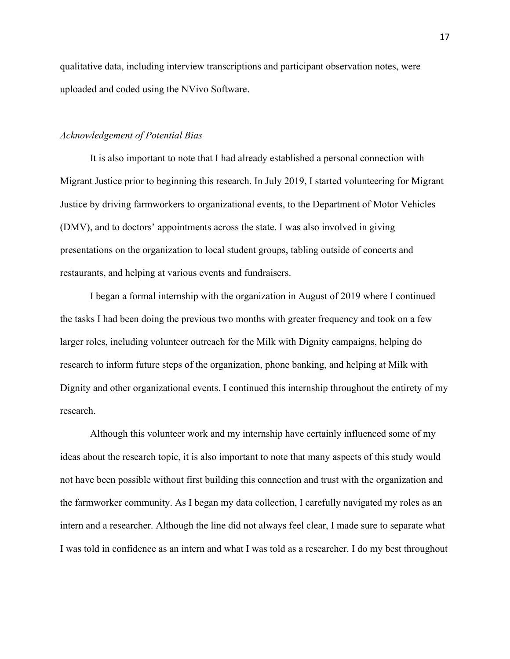qualitative data, including interview transcriptions and participant observation notes, were uploaded and coded using the NVivo Software.

#### *Acknowledgement of Potential Bias*

It is also important to note that I had already established a personal connection with Migrant Justice prior to beginning this research. In July 2019, I started volunteering for Migrant Justice by driving farmworkers to organizational events, to the Department of Motor Vehicles (DMV), and to doctors' appointments across the state. I was also involved in giving presentations on the organization to local student groups, tabling outside of concerts and restaurants, and helping at various events and fundraisers.

I began a formal internship with the organization in August of 2019 where I continued the tasks I had been doing the previous two months with greater frequency and took on a few larger roles, including volunteer outreach for the Milk with Dignity campaigns, helping do research to inform future steps of the organization, phone banking, and helping at Milk with Dignity and other organizational events. I continued this internship throughout the entirety of my research.

Although this volunteer work and my internship have certainly influenced some of my ideas about the research topic, it is also important to note that many aspects of this study would not have been possible without first building this connection and trust with the organization and the farmworker community. As I began my data collection, I carefully navigated my roles as an intern and a researcher. Although the line did not always feel clear, I made sure to separate what I was told in confidence as an intern and what I was told as a researcher. I do my best throughout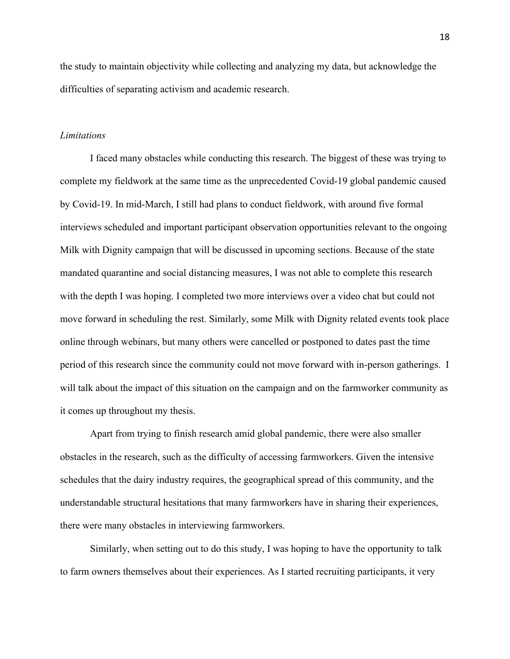the study to maintain objectivity while collecting and analyzing my data, but acknowledge the difficulties of separating activism and academic research.

#### *Limitations*

 I faced many obstacles while conducting this research. The biggest of these was trying to complete my fieldwork at the same time as the unprecedented Covid-19 global pandemic caused by Covid-19. In mid-March, I still had plans to conduct fieldwork, with around five formal interviews scheduled and important participant observation opportunities relevant to the ongoing Milk with Dignity campaign that will be discussed in upcoming sections. Because of the state mandated quarantine and social distancing measures, I was not able to complete this research with the depth I was hoping. I completed two more interviews over a video chat but could not move forward in scheduling the rest. Similarly, some Milk with Dignity related events took place online through webinars, but many others were cancelled or postponed to dates past the time period of this research since the community could not move forward with in-person gatherings. I will talk about the impact of this situation on the campaign and on the farmworker community as it comes up throughout my thesis.

Apart from trying to finish research amid global pandemic, there were also smaller obstacles in the research, such as the difficulty of accessing farmworkers. Given the intensive schedules that the dairy industry requires, the geographical spread of this community, and the understandable structural hesitations that many farmworkers have in sharing their experiences, there were many obstacles in interviewing farmworkers.

Similarly, when setting out to do this study, I was hoping to have the opportunity to talk to farm owners themselves about their experiences. As I started recruiting participants, it very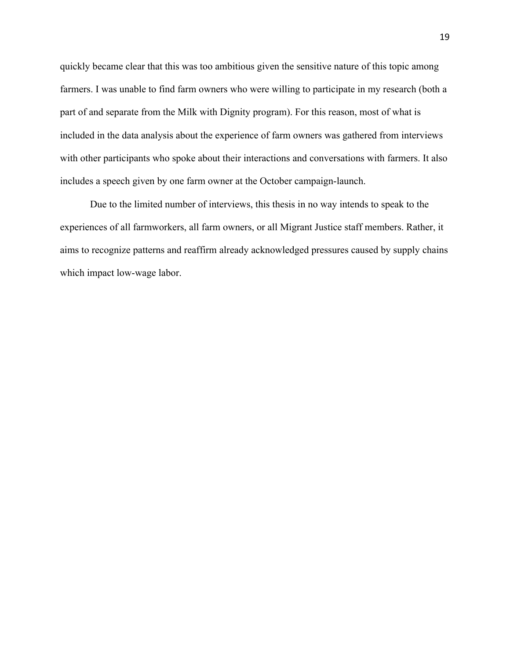quickly became clear that this was too ambitious given the sensitive nature of this topic among farmers. I was unable to find farm owners who were willing to participate in my research (both a part of and separate from the Milk with Dignity program). For this reason, most of what is included in the data analysis about the experience of farm owners was gathered from interviews with other participants who spoke about their interactions and conversations with farmers. It also includes a speech given by one farm owner at the October campaign-launch.

Due to the limited number of interviews, this thesis in no way intends to speak to the experiences of all farmworkers, all farm owners, or all Migrant Justice staff members. Rather, it aims to recognize patterns and reaffirm already acknowledged pressures caused by supply chains which impact low-wage labor.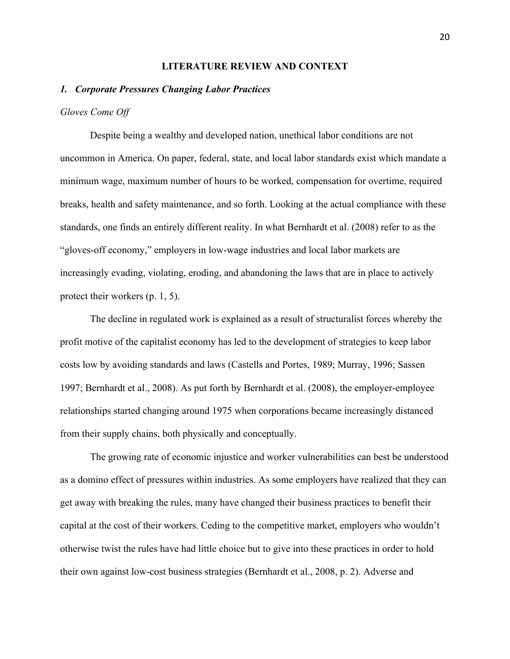#### **LITERATURE REVIEW AND CONTEXT**

#### *1. Corporate Pressures Changing Labor Practices*

#### *Gloves Come Off*

Despite being a wealthy and developed nation, unethical labor conditions are not uncommon in America. On paper, federal, state, and local labor standards exist which mandate a minimum wage, maximum number of hours to be worked, compensation for overtime, required breaks, health and safety maintenance, and so forth. Looking at the actual compliance with these standards, one finds an entirely different reality. In what Bernhardt et al. (2008) refer to as the "gloves-off economy," employers in low-wage industries and local labor markets are increasingly evading, violating, eroding, and abandoning the laws that are in place to actively protect their workers (p. 1, 5).

The decline in regulated work is explained as a result of structuralist forces whereby the profit motive of the capitalist economy has led to the development of strategies to keep labor costs low by avoiding standards and laws (Castells and Portes, 1989; Murray, 1996; Sassen 1997; Bernhardt et al., 2008). As put forth by Bernhardt et al. (2008), the employer-employee relationships started changing around 1975 when corporations became increasingly distanced from their supply chains, both physically and conceptually.

 The growing rate of economic injustice and worker vulnerabilities can best be understood as a domino effect of pressures within industries. As some employers have realized that they can get away with breaking the rules, many have changed their business practices to benefit their capital at the cost of their workers. Ceding to the competitive market, employers who wouldn't otherwise twist the rules have had little choice but to give into these practices in order to hold their own against low-cost business strategies (Bernhardt et al., 2008, p. 2). Adverse and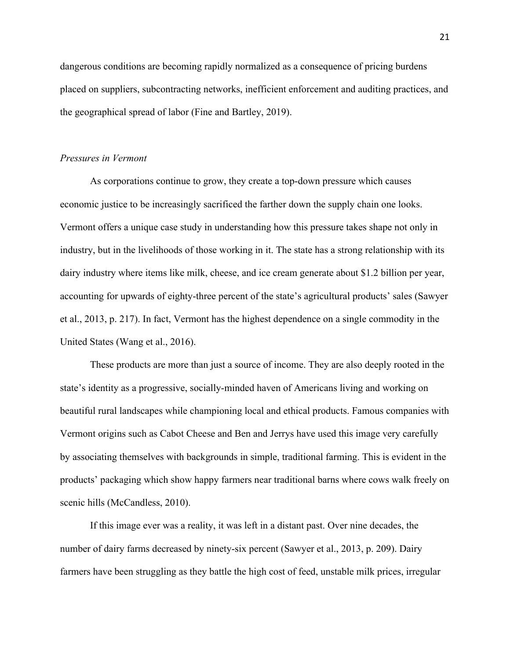dangerous conditions are becoming rapidly normalized as a consequence of pricing burdens placed on suppliers, subcontracting networks, inefficient enforcement and auditing practices, and the geographical spread of labor (Fine and Bartley, 2019).

#### *Pressures in Vermont*

 As corporations continue to grow, they create a top-down pressure which causes economic justice to be increasingly sacrificed the farther down the supply chain one looks. Vermont offers a unique case study in understanding how this pressure takes shape not only in industry, but in the livelihoods of those working in it. The state has a strong relationship with its dairy industry where items like milk, cheese, and ice cream generate about \$1.2 billion per year, accounting for upwards of eighty-three percent of the state's agricultural products' sales (Sawyer et al., 2013, p. 217). In fact, Vermont has the highest dependence on a single commodity in the United States (Wang et al., 2016).

These products are more than just a source of income. They are also deeply rooted in the state's identity as a progressive, socially-minded haven of Americans living and working on beautiful rural landscapes while championing local and ethical products. Famous companies with Vermont origins such as Cabot Cheese and Ben and Jerrys have used this image very carefully by associating themselves with backgrounds in simple, traditional farming. This is evident in the products' packaging which show happy farmers near traditional barns where cows walk freely on scenic hills (McCandless, 2010).

 If this image ever was a reality, it was left in a distant past. Over nine decades, the number of dairy farms decreased by ninety-six percent (Sawyer et al., 2013, p. 209). Dairy farmers have been struggling as they battle the high cost of feed, unstable milk prices, irregular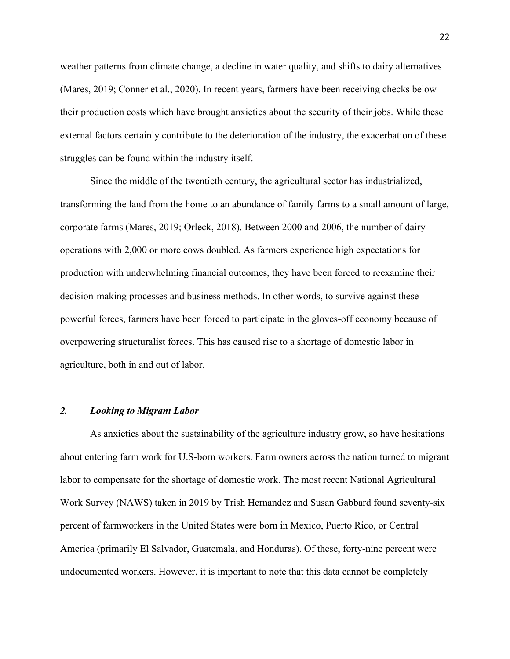weather patterns from climate change, a decline in water quality, and shifts to dairy alternatives (Mares, 2019; Conner et al., 2020). In recent years, farmers have been receiving checks below their production costs which have brought anxieties about the security of their jobs. While these external factors certainly contribute to the deterioration of the industry, the exacerbation of these struggles can be found within the industry itself.

 Since the middle of the twentieth century, the agricultural sector has industrialized, transforming the land from the home to an abundance of family farms to a small amount of large, corporate farms (Mares, 2019; Orleck, 2018). Between 2000 and 2006, the number of dairy operations with 2,000 or more cows doubled. As farmers experience high expectations for production with underwhelming financial outcomes, they have been forced to reexamine their decision-making processes and business methods. In other words, to survive against these powerful forces, farmers have been forced to participate in the gloves-off economy because of overpowering structuralist forces. This has caused rise to a shortage of domestic labor in agriculture, both in and out of labor.

#### *2. Looking to Migrant Labor*

 As anxieties about the sustainability of the agriculture industry grow, so have hesitations about entering farm work for U.S-born workers. Farm owners across the nation turned to migrant labor to compensate for the shortage of domestic work. The most recent National Agricultural Work Survey (NAWS) taken in 2019 by Trish Hernandez and Susan Gabbard found seventy-six percent of farmworkers in the United States were born in Mexico, Puerto Rico, or Central America (primarily El Salvador, Guatemala, and Honduras). Of these, forty-nine percent were undocumented workers. However, it is important to note that this data cannot be completely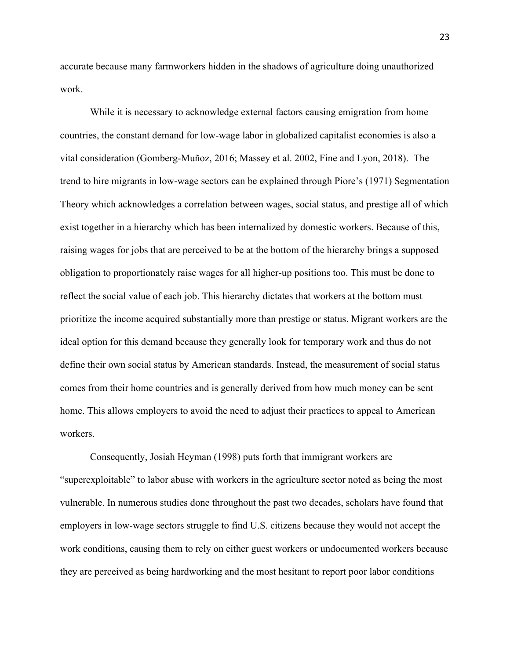accurate because many farmworkers hidden in the shadows of agriculture doing unauthorized work.

 While it is necessary to acknowledge external factors causing emigration from home countries, the constant demand for low-wage labor in globalized capitalist economies is also a vital consideration (Gomberg-Muñoz, 2016; Massey et al. 2002, Fine and Lyon, 2018). The trend to hire migrants in low-wage sectors can be explained through Piore's (1971) Segmentation Theory which acknowledges a correlation between wages, social status, and prestige all of which exist together in a hierarchy which has been internalized by domestic workers. Because of this, raising wages for jobs that are perceived to be at the bottom of the hierarchy brings a supposed obligation to proportionately raise wages for all higher-up positions too. This must be done to reflect the social value of each job. This hierarchy dictates that workers at the bottom must prioritize the income acquired substantially more than prestige or status. Migrant workers are the ideal option for this demand because they generally look for temporary work and thus do not define their own social status by American standards. Instead, the measurement of social status comes from their home countries and is generally derived from how much money can be sent home. This allows employers to avoid the need to adjust their practices to appeal to American workers.

 Consequently, Josiah Heyman (1998) puts forth that immigrant workers are "superexploitable" to labor abuse with workers in the agriculture sector noted as being the most vulnerable. In numerous studies done throughout the past two decades, scholars have found that employers in low-wage sectors struggle to find U.S. citizens because they would not accept the work conditions, causing them to rely on either guest workers or undocumented workers because they are perceived as being hardworking and the most hesitant to report poor labor conditions

23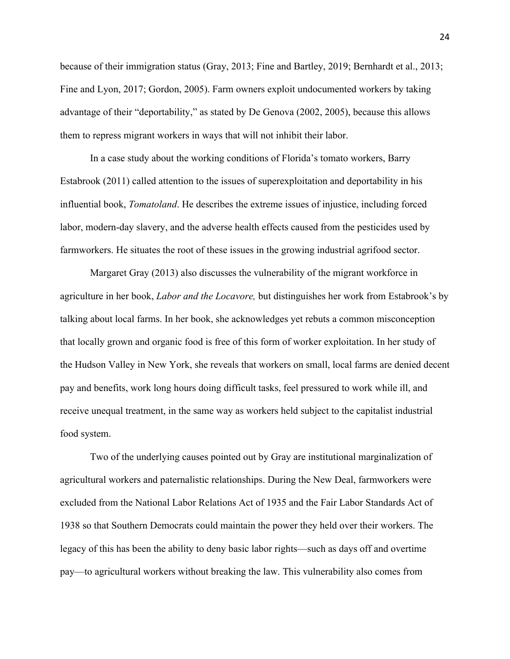because of their immigration status (Gray, 2013; Fine and Bartley, 2019; Bernhardt et al., 2013; Fine and Lyon, 2017; Gordon, 2005). Farm owners exploit undocumented workers by taking advantage of their "deportability," as stated by De Genova (2002, 2005), because this allows them to repress migrant workers in ways that will not inhibit their labor.

In a case study about the working conditions of Florida's tomato workers, Barry Estabrook (2011) called attention to the issues of superexploitation and deportability in his influential book, *Tomatoland*. He describes the extreme issues of injustice, including forced labor, modern-day slavery, and the adverse health effects caused from the pesticides used by farmworkers. He situates the root of these issues in the growing industrial agrifood sector.

Margaret Gray (2013) also discusses the vulnerability of the migrant workforce in agriculture in her book, *Labor and the Locavore,* but distinguishes her work from Estabrook's by talking about local farms. In her book, she acknowledges yet rebuts a common misconception that locally grown and organic food is free of this form of worker exploitation. In her study of the Hudson Valley in New York, she reveals that workers on small, local farms are denied decent pay and benefits, work long hours doing difficult tasks, feel pressured to work while ill, and receive unequal treatment, in the same way as workers held subject to the capitalist industrial food system.

Two of the underlying causes pointed out by Gray are institutional marginalization of agricultural workers and paternalistic relationships. During the New Deal, farmworkers were excluded from the National Labor Relations Act of 1935 and the Fair Labor Standards Act of 1938 so that Southern Democrats could maintain the power they held over their workers. The legacy of this has been the ability to deny basic labor rights—such as days off and overtime pay—to agricultural workers without breaking the law. This vulnerability also comes from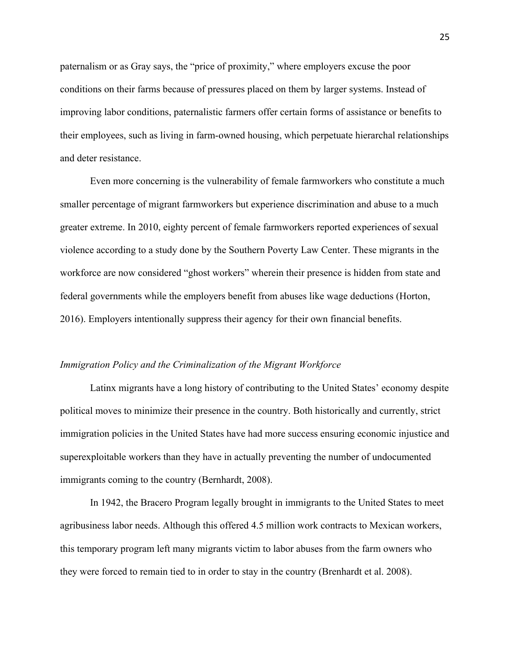paternalism or as Gray says, the "price of proximity," where employers excuse the poor conditions on their farms because of pressures placed on them by larger systems. Instead of improving labor conditions, paternalistic farmers offer certain forms of assistance or benefits to their employees, such as living in farm-owned housing, which perpetuate hierarchal relationships and deter resistance.

Even more concerning is the vulnerability of female farmworkers who constitute a much smaller percentage of migrant farmworkers but experience discrimination and abuse to a much greater extreme. In 2010, eighty percent of female farmworkers reported experiences of sexual violence according to a study done by the Southern Poverty Law Center. These migrants in the workforce are now considered "ghost workers" wherein their presence is hidden from state and federal governments while the employers benefit from abuses like wage deductions (Horton, 2016). Employers intentionally suppress their agency for their own financial benefits.

#### *Immigration Policy and the Criminalization of the Migrant Workforce*

 Latinx migrants have a long history of contributing to the United States' economy despite political moves to minimize their presence in the country. Both historically and currently, strict immigration policies in the United States have had more success ensuring economic injustice and superexploitable workers than they have in actually preventing the number of undocumented immigrants coming to the country (Bernhardt, 2008).

In 1942, the Bracero Program legally brought in immigrants to the United States to meet agribusiness labor needs. Although this offered 4.5 million work contracts to Mexican workers, this temporary program left many migrants victim to labor abuses from the farm owners who they were forced to remain tied to in order to stay in the country (Brenhardt et al. 2008).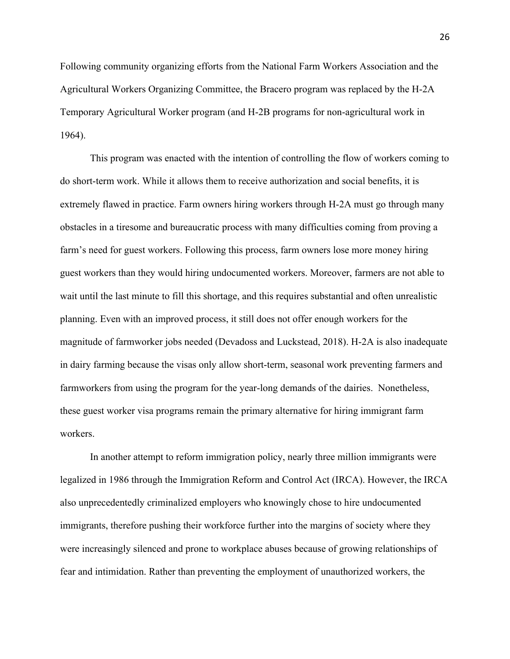Following community organizing efforts from the National Farm Workers Association and the Agricultural Workers Organizing Committee, the Bracero program was replaced by the H-2A Temporary Agricultural Worker program (and H-2B programs for non-agricultural work in 1964).

 This program was enacted with the intention of controlling the flow of workers coming to do short-term work. While it allows them to receive authorization and social benefits, it is extremely flawed in practice. Farm owners hiring workers through H-2A must go through many obstacles in a tiresome and bureaucratic process with many difficulties coming from proving a farm's need for guest workers. Following this process, farm owners lose more money hiring guest workers than they would hiring undocumented workers. Moreover, farmers are not able to wait until the last minute to fill this shortage, and this requires substantial and often unrealistic planning. Even with an improved process, it still does not offer enough workers for the magnitude of farmworker jobs needed (Devadoss and Luckstead, 2018). H-2A is also inadequate in dairy farming because the visas only allow short-term, seasonal work preventing farmers and farmworkers from using the program for the year-long demands of the dairies. Nonetheless, these guest worker visa programs remain the primary alternative for hiring immigrant farm workers.

 In another attempt to reform immigration policy, nearly three million immigrants were legalized in 1986 through the Immigration Reform and Control Act (IRCA). However, the IRCA also unprecedentedly criminalized employers who knowingly chose to hire undocumented immigrants, therefore pushing their workforce further into the margins of society where they were increasingly silenced and prone to workplace abuses because of growing relationships of fear and intimidation. Rather than preventing the employment of unauthorized workers, the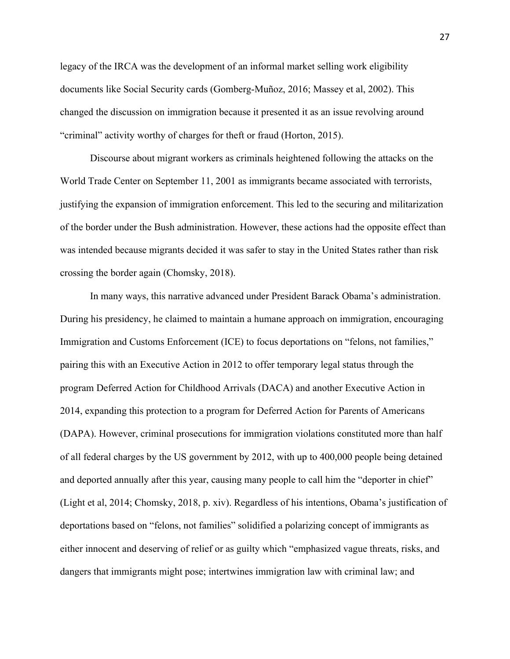legacy of the IRCA was the development of an informal market selling work eligibility documents like Social Security cards (Gomberg-Muñoz, 2016; Massey et al, 2002). This changed the discussion on immigration because it presented it as an issue revolving around "criminal" activity worthy of charges for theft or fraud (Horton, 2015).

 Discourse about migrant workers as criminals heightened following the attacks on the World Trade Center on September 11, 2001 as immigrants became associated with terrorists, justifying the expansion of immigration enforcement. This led to the securing and militarization of the border under the Bush administration. However, these actions had the opposite effect than was intended because migrants decided it was safer to stay in the United States rather than risk crossing the border again (Chomsky, 2018).

In many ways, this narrative advanced under President Barack Obama's administration. During his presidency, he claimed to maintain a humane approach on immigration, encouraging Immigration and Customs Enforcement (ICE) to focus deportations on "felons, not families," pairing this with an Executive Action in 2012 to offer temporary legal status through the program Deferred Action for Childhood Arrivals (DACA) and another Executive Action in 2014, expanding this protection to a program for Deferred Action for Parents of Americans (DAPA). However, criminal prosecutions for immigration violations constituted more than half of all federal charges by the US government by 2012, with up to 400,000 people being detained and deported annually after this year, causing many people to call him the "deporter in chief" (Light et al, 2014; Chomsky, 2018, p. xiv). Regardless of his intentions, Obama's justification of deportations based on "felons, not families" solidified a polarizing concept of immigrants as either innocent and deserving of relief or as guilty which "emphasized vague threats, risks, and dangers that immigrants might pose; intertwines immigration law with criminal law; and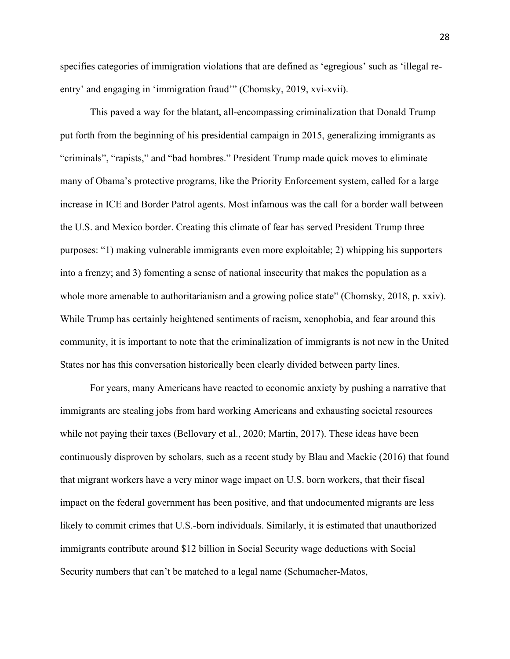specifies categories of immigration violations that are defined as 'egregious' such as 'illegal reentry' and engaging in 'immigration fraud'" (Chomsky, 2019, xvi-xvii).

This paved a way for the blatant, all-encompassing criminalization that Donald Trump put forth from the beginning of his presidential campaign in 2015, generalizing immigrants as "criminals", "rapists," and "bad hombres." President Trump made quick moves to eliminate many of Obama's protective programs, like the Priority Enforcement system, called for a large increase in ICE and Border Patrol agents. Most infamous was the call for a border wall between the U.S. and Mexico border. Creating this climate of fear has served President Trump three purposes: "1) making vulnerable immigrants even more exploitable; 2) whipping his supporters into a frenzy; and 3) fomenting a sense of national insecurity that makes the population as a whole more amenable to authoritarianism and a growing police state" (Chomsky, 2018, p. xxiv). While Trump has certainly heightened sentiments of racism, xenophobia, and fear around this community, it is important to note that the criminalization of immigrants is not new in the United States nor has this conversation historically been clearly divided between party lines.

For years, many Americans have reacted to economic anxiety by pushing a narrative that immigrants are stealing jobs from hard working Americans and exhausting societal resources while not paying their taxes (Bellovary et al., 2020; Martin, 2017). These ideas have been continuously disproven by scholars, such as a recent study by Blau and Mackie (2016) that found that migrant workers have a very minor wage impact on U.S. born workers, that their fiscal impact on the federal government has been positive, and that undocumented migrants are less likely to commit crimes that U.S.-born individuals. Similarly, it is estimated that unauthorized immigrants contribute around \$12 billion in Social Security wage deductions with Social Security numbers that can't be matched to a legal name (Schumacher-Matos,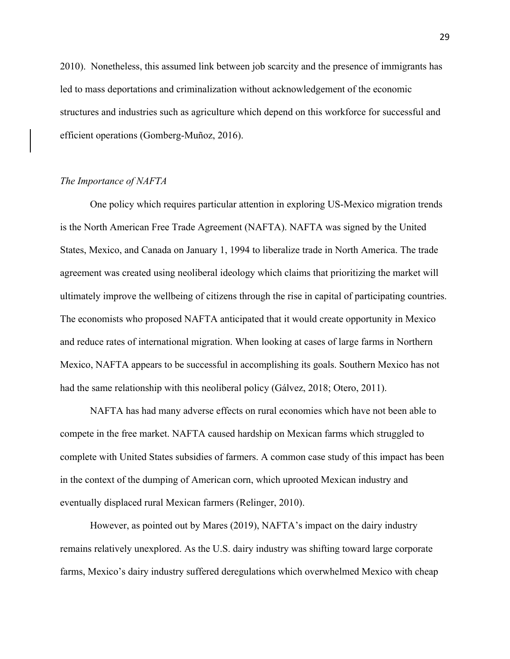2010). Nonetheless, this assumed link between job scarcity and the presence of immigrants has led to mass deportations and criminalization without acknowledgement of the economic structures and industries such as agriculture which depend on this workforce for successful and efficient operations (Gomberg-Muñoz, 2016).

### *The Importance of NAFTA*

 One policy which requires particular attention in exploring US-Mexico migration trends is the North American Free Trade Agreement (NAFTA). NAFTA was signed by the United States, Mexico, and Canada on January 1, 1994 to liberalize trade in North America. The trade agreement was created using neoliberal ideology which claims that prioritizing the market will ultimately improve the wellbeing of citizens through the rise in capital of participating countries. The economists who proposed NAFTA anticipated that it would create opportunity in Mexico and reduce rates of international migration. When looking at cases of large farms in Northern Mexico, NAFTA appears to be successful in accomplishing its goals. Southern Mexico has not had the same relationship with this neoliberal policy (Gálvez, 2018; Otero, 2011).

 NAFTA has had many adverse effects on rural economies which have not been able to compete in the free market. NAFTA caused hardship on Mexican farms which struggled to complete with United States subsidies of farmers. A common case study of this impact has been in the context of the dumping of American corn, which uprooted Mexican industry and eventually displaced rural Mexican farmers (Relinger, 2010).

However, as pointed out by Mares (2019), NAFTA's impact on the dairy industry remains relatively unexplored. As the U.S. dairy industry was shifting toward large corporate farms, Mexico's dairy industry suffered deregulations which overwhelmed Mexico with cheap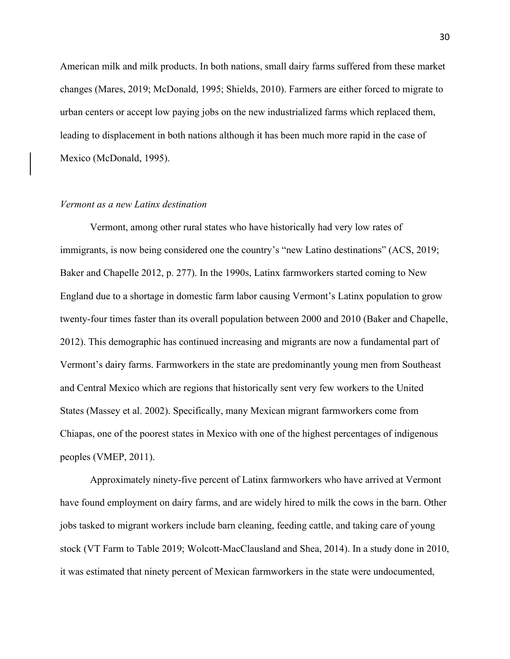American milk and milk products. In both nations, small dairy farms suffered from these market changes (Mares, 2019; McDonald, 1995; Shields, 2010). Farmers are either forced to migrate to urban centers or accept low paying jobs on the new industrialized farms which replaced them, leading to displacement in both nations although it has been much more rapid in the case of Mexico (McDonald, 1995).

#### *Vermont as a new Latinx destination*

 Vermont, among other rural states who have historically had very low rates of immigrants, is now being considered one the country's "new Latino destinations" (ACS, 2019; Baker and Chapelle 2012, p. 277). In the 1990s, Latinx farmworkers started coming to New England due to a shortage in domestic farm labor causing Vermont's Latinx population to grow twenty-four times faster than its overall population between 2000 and 2010 (Baker and Chapelle, 2012). This demographic has continued increasing and migrants are now a fundamental part of Vermont's dairy farms. Farmworkers in the state are predominantly young men from Southeast and Central Mexico which are regions that historically sent very few workers to the United States (Massey et al. 2002). Specifically, many Mexican migrant farmworkers come from Chiapas, one of the poorest states in Mexico with one of the highest percentages of indigenous peoples (VMEP, 2011).

Approximately ninety-five percent of Latinx farmworkers who have arrived at Vermont have found employment on dairy farms, and are widely hired to milk the cows in the barn. Other jobs tasked to migrant workers include barn cleaning, feeding cattle, and taking care of young stock (VT Farm to Table 2019; Wolcott-MacClausland and Shea, 2014). In a study done in 2010, it was estimated that ninety percent of Mexican farmworkers in the state were undocumented,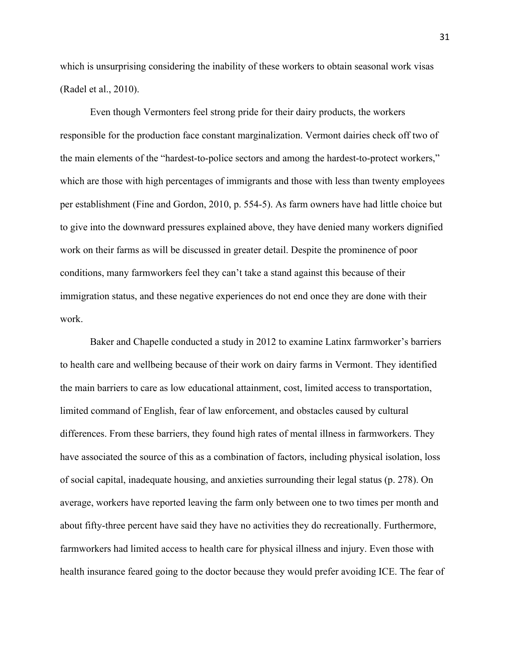which is unsurprising considering the inability of these workers to obtain seasonal work visas (Radel et al., 2010).

 Even though Vermonters feel strong pride for their dairy products, the workers responsible for the production face constant marginalization. Vermont dairies check off two of the main elements of the "hardest-to-police sectors and among the hardest-to-protect workers," which are those with high percentages of immigrants and those with less than twenty employees per establishment (Fine and Gordon, 2010, p. 554-5). As farm owners have had little choice but to give into the downward pressures explained above, they have denied many workers dignified work on their farms as will be discussed in greater detail. Despite the prominence of poor conditions, many farmworkers feel they can't take a stand against this because of their immigration status, and these negative experiences do not end once they are done with their work.

 Baker and Chapelle conducted a study in 2012 to examine Latinx farmworker's barriers to health care and wellbeing because of their work on dairy farms in Vermont. They identified the main barriers to care as low educational attainment, cost, limited access to transportation, limited command of English, fear of law enforcement, and obstacles caused by cultural differences. From these barriers, they found high rates of mental illness in farmworkers. They have associated the source of this as a combination of factors, including physical isolation, loss of social capital, inadequate housing, and anxieties surrounding their legal status (p. 278). On average, workers have reported leaving the farm only between one to two times per month and about fifty-three percent have said they have no activities they do recreationally. Furthermore, farmworkers had limited access to health care for physical illness and injury. Even those with health insurance feared going to the doctor because they would prefer avoiding ICE. The fear of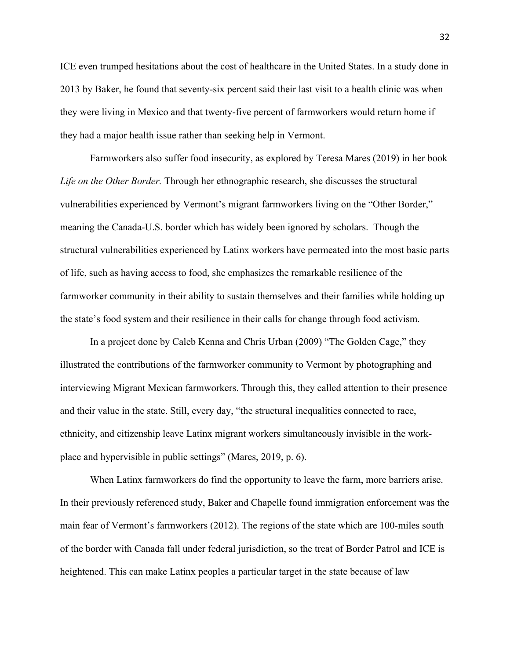ICE even trumped hesitations about the cost of healthcare in the United States. In a study done in 2013 by Baker, he found that seventy-six percent said their last visit to a health clinic was when they were living in Mexico and that twenty-five percent of farmworkers would return home if they had a major health issue rather than seeking help in Vermont.

 Farmworkers also suffer food insecurity, as explored by Teresa Mares (2019) in her book *Life on the Other Border.* Through her ethnographic research, she discusses the structural vulnerabilities experienced by Vermont's migrant farmworkers living on the "Other Border," meaning the Canada-U.S. border which has widely been ignored by scholars. Though the structural vulnerabilities experienced by Latinx workers have permeated into the most basic parts of life, such as having access to food, she emphasizes the remarkable resilience of the farmworker community in their ability to sustain themselves and their families while holding up the state's food system and their resilience in their calls for change through food activism.

 In a project done by Caleb Kenna and Chris Urban (2009) "The Golden Cage," they illustrated the contributions of the farmworker community to Vermont by photographing and interviewing Migrant Mexican farmworkers. Through this, they called attention to their presence and their value in the state. Still, every day, "the structural inequalities connected to race, ethnicity, and citizenship leave Latinx migrant workers simultaneously invisible in the workplace and hypervisible in public settings" (Mares, 2019, p. 6).

When Latinx farmworkers do find the opportunity to leave the farm, more barriers arise. In their previously referenced study, Baker and Chapelle found immigration enforcement was the main fear of Vermont's farmworkers (2012). The regions of the state which are 100-miles south of the border with Canada fall under federal jurisdiction, so the treat of Border Patrol and ICE is heightened. This can make Latinx peoples a particular target in the state because of law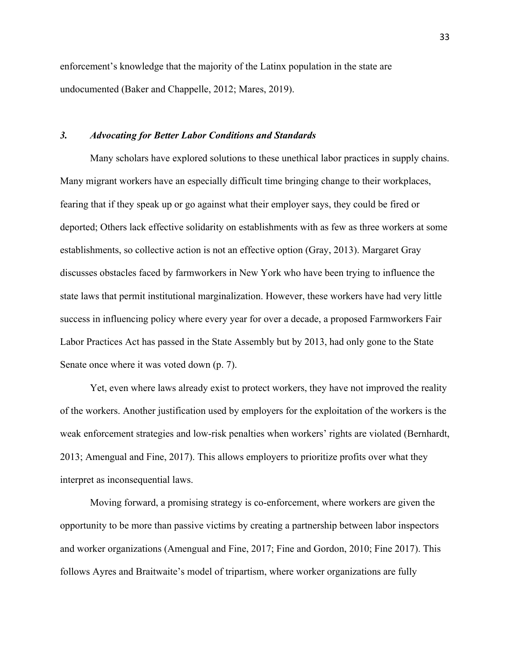enforcement's knowledge that the majority of the Latinx population in the state are undocumented (Baker and Chappelle, 2012; Mares, 2019).

## *3. Advocating for Better Labor Conditions and Standards*

 Many scholars have explored solutions to these unethical labor practices in supply chains. Many migrant workers have an especially difficult time bringing change to their workplaces, fearing that if they speak up or go against what their employer says, they could be fired or deported; Others lack effective solidarity on establishments with as few as three workers at some establishments, so collective action is not an effective option (Gray, 2013). Margaret Gray discusses obstacles faced by farmworkers in New York who have been trying to influence the state laws that permit institutional marginalization. However, these workers have had very little success in influencing policy where every year for over a decade, a proposed Farmworkers Fair Labor Practices Act has passed in the State Assembly but by 2013, had only gone to the State Senate once where it was voted down (p. 7).

Yet, even where laws already exist to protect workers, they have not improved the reality of the workers. Another justification used by employers for the exploitation of the workers is the weak enforcement strategies and low-risk penalties when workers' rights are violated (Bernhardt, 2013; Amengual and Fine, 2017). This allows employers to prioritize profits over what they interpret as inconsequential laws.

Moving forward, a promising strategy is co-enforcement, where workers are given the opportunity to be more than passive victims by creating a partnership between labor inspectors and worker organizations (Amengual and Fine, 2017; Fine and Gordon, 2010; Fine 2017). This follows Ayres and Braitwaite's model of tripartism, where worker organizations are fully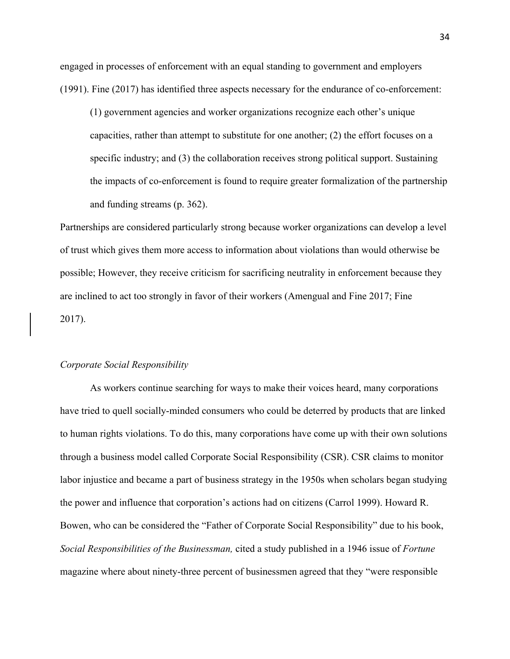engaged in processes of enforcement with an equal standing to government and employers (1991). Fine (2017) has identified three aspects necessary for the endurance of co-enforcement:

(1) government agencies and worker organizations recognize each other's unique capacities, rather than attempt to substitute for one another; (2) the effort focuses on a specific industry; and (3) the collaboration receives strong political support. Sustaining the impacts of co-enforcement is found to require greater formalization of the partnership and funding streams (p. 362).

Partnerships are considered particularly strong because worker organizations can develop a level of trust which gives them more access to information about violations than would otherwise be possible; However, they receive criticism for sacrificing neutrality in enforcement because they are inclined to act too strongly in favor of their workers (Amengual and Fine 2017; Fine 2017).

#### *Corporate Social Responsibility*

As workers continue searching for ways to make their voices heard, many corporations have tried to quell socially-minded consumers who could be deterred by products that are linked to human rights violations. To do this, many corporations have come up with their own solutions through a business model called Corporate Social Responsibility (CSR). CSR claims to monitor labor injustice and became a part of business strategy in the 1950s when scholars began studying the power and influence that corporation's actions had on citizens (Carrol 1999). Howard R. Bowen, who can be considered the "Father of Corporate Social Responsibility" due to his book, *Social Responsibilities of the Businessman,* cited a study published in a 1946 issue of *Fortune*  magazine where about ninety-three percent of businessmen agreed that they "were responsible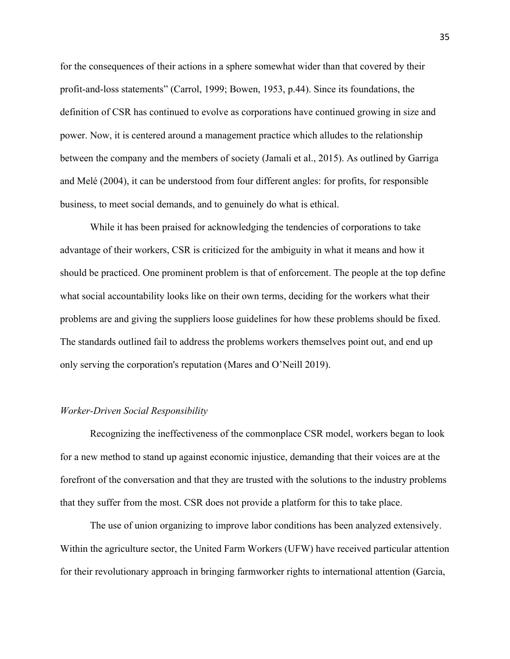for the consequences of their actions in a sphere somewhat wider than that covered by their profit-and-loss statements" (Carrol, 1999; Bowen, 1953, p.44). Since its foundations, the definition of CSR has continued to evolve as corporations have continued growing in size and power. Now, it is centered around a management practice which alludes to the relationship between the company and the members of society (Jamali et al., 2015). As outlined by Garriga and Melé (2004), it can be understood from four different angles: for profits, for responsible business, to meet social demands, and to genuinely do what is ethical.

 While it has been praised for acknowledging the tendencies of corporations to take advantage of their workers, CSR is criticized for the ambiguity in what it means and how it should be practiced. One prominent problem is that of enforcement. The people at the top define what social accountability looks like on their own terms, deciding for the workers what their problems are and giving the suppliers loose guidelines for how these problems should be fixed. The standards outlined fail to address the problems workers themselves point out, and end up only serving the corporation's reputation (Mares and O'Neill 2019).

#### *Worker-Driven Social Responsibility*

 Recognizing the ineffectiveness of the commonplace CSR model, workers began to look for a new method to stand up against economic injustice, demanding that their voices are at the forefront of the conversation and that they are trusted with the solutions to the industry problems that they suffer from the most. CSR does not provide a platform for this to take place.

The use of union organizing to improve labor conditions has been analyzed extensively. Within the agriculture sector, the United Farm Workers (UFW) have received particular attention for their revolutionary approach in bringing farmworker rights to international attention (Garcia,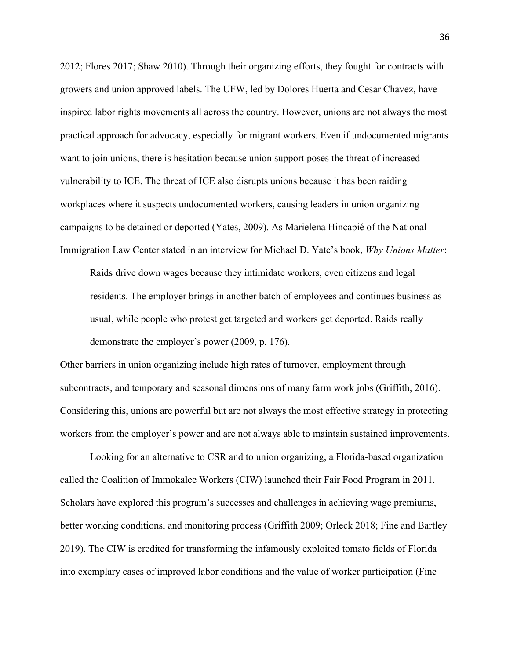2012; Flores 2017; Shaw 2010). Through their organizing efforts, they fought for contracts with growers and union approved labels. The UFW, led by Dolores Huerta and Cesar Chavez, have inspired labor rights movements all across the country. However, unions are not always the most practical approach for advocacy, especially for migrant workers. Even if undocumented migrants want to join unions, there is hesitation because union support poses the threat of increased vulnerability to ICE. The threat of ICE also disrupts unions because it has been raiding workplaces where it suspects undocumented workers, causing leaders in union organizing campaigns to be detained or deported (Yates, 2009). As Marielena Hincapié of the National Immigration Law Center stated in an interview for Michael D. Yate's book, *Why Unions Matter*:

Raids drive down wages because they intimidate workers, even citizens and legal residents. The employer brings in another batch of employees and continues business as usual, while people who protest get targeted and workers get deported. Raids really demonstrate the employer's power (2009, p. 176).

Other barriers in union organizing include high rates of turnover, employment through subcontracts, and temporary and seasonal dimensions of many farm work jobs (Griffith, 2016). Considering this, unions are powerful but are not always the most effective strategy in protecting workers from the employer's power and are not always able to maintain sustained improvements.

Looking for an alternative to CSR and to union organizing, a Florida-based organization called the Coalition of Immokalee Workers (CIW) launched their Fair Food Program in 2011. Scholars have explored this program's successes and challenges in achieving wage premiums, better working conditions, and monitoring process (Griffith 2009; Orleck 2018; Fine and Bartley 2019). The CIW is credited for transforming the infamously exploited tomato fields of Florida into exemplary cases of improved labor conditions and the value of worker participation (Fine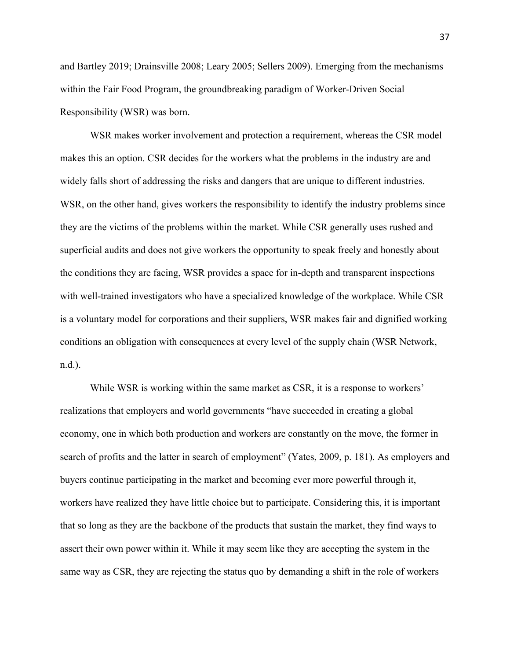and Bartley 2019; Drainsville 2008; Leary 2005; Sellers 2009). Emerging from the mechanisms within the Fair Food Program, the groundbreaking paradigm of Worker-Driven Social Responsibility (WSR) was born.

WSR makes worker involvement and protection a requirement, whereas the CSR model makes this an option. CSR decides for the workers what the problems in the industry are and widely falls short of addressing the risks and dangers that are unique to different industries. WSR, on the other hand, gives workers the responsibility to identify the industry problems since they are the victims of the problems within the market. While CSR generally uses rushed and superficial audits and does not give workers the opportunity to speak freely and honestly about the conditions they are facing, WSR provides a space for in-depth and transparent inspections with well-trained investigators who have a specialized knowledge of the workplace. While CSR is a voluntary model for corporations and their suppliers, WSR makes fair and dignified working conditions an obligation with consequences at every level of the supply chain (WSR Network, n.d.).

While WSR is working within the same market as CSR, it is a response to workers' realizations that employers and world governments "have succeeded in creating a global economy, one in which both production and workers are constantly on the move, the former in search of profits and the latter in search of employment" (Yates, 2009, p. 181). As employers and buyers continue participating in the market and becoming ever more powerful through it, workers have realized they have little choice but to participate. Considering this, it is important that so long as they are the backbone of the products that sustain the market, they find ways to assert their own power within it. While it may seem like they are accepting the system in the same way as CSR, they are rejecting the status quo by demanding a shift in the role of workers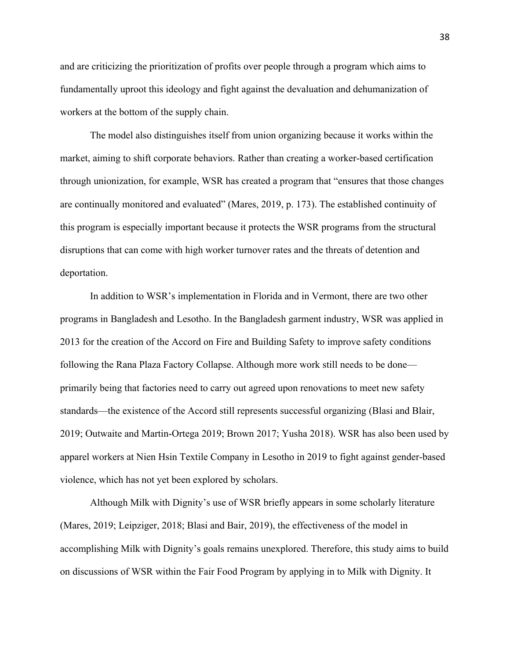and are criticizing the prioritization of profits over people through a program which aims to fundamentally uproot this ideology and fight against the devaluation and dehumanization of workers at the bottom of the supply chain.

The model also distinguishes itself from union organizing because it works within the market, aiming to shift corporate behaviors. Rather than creating a worker-based certification through unionization, for example, WSR has created a program that "ensures that those changes are continually monitored and evaluated" (Mares, 2019, p. 173). The established continuity of this program is especially important because it protects the WSR programs from the structural disruptions that can come with high worker turnover rates and the threats of detention and deportation.

In addition to WSR's implementation in Florida and in Vermont, there are two other programs in Bangladesh and Lesotho. In the Bangladesh garment industry, WSR was applied in 2013 for the creation of the Accord on Fire and Building Safety to improve safety conditions following the Rana Plaza Factory Collapse. Although more work still needs to be done primarily being that factories need to carry out agreed upon renovations to meet new safety standards—the existence of the Accord still represents successful organizing (Blasi and Blair, 2019; Outwaite and Martin-Ortega 2019; Brown 2017; Yusha 2018). WSR has also been used by apparel workers at Nien Hsin Textile Company in Lesotho in 2019 to fight against gender-based violence, which has not yet been explored by scholars.

Although Milk with Dignity's use of WSR briefly appears in some scholarly literature (Mares, 2019; Leipziger, 2018; Blasi and Bair, 2019), the effectiveness of the model in accomplishing Milk with Dignity's goals remains unexplored. Therefore, this study aims to build on discussions of WSR within the Fair Food Program by applying in to Milk with Dignity. It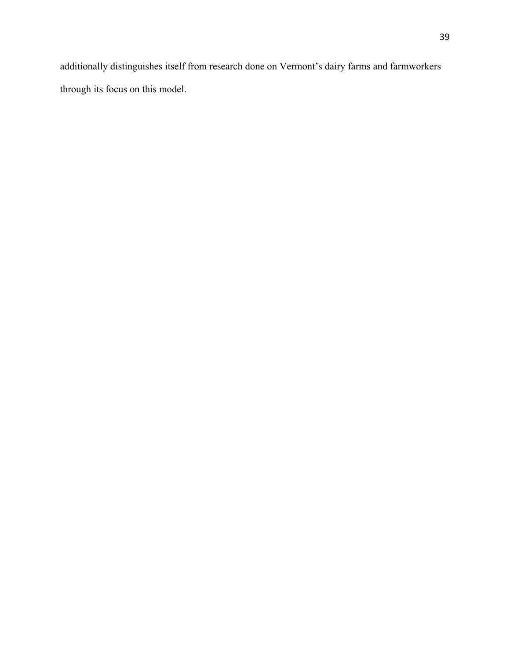additionally distinguishes itself from research done on Vermont's dairy farms and farmworkers through its focus on this model.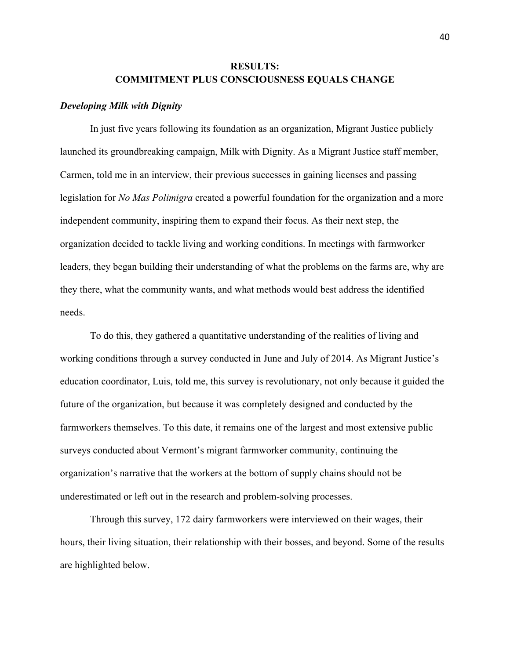# **RESULTS: COMMITMENT PLUS CONSCIOUSNESS EQUALS CHANGE**

#### *Developing Milk with Dignity*

In just five years following its foundation as an organization, Migrant Justice publicly launched its groundbreaking campaign, Milk with Dignity. As a Migrant Justice staff member, Carmen, told me in an interview, their previous successes in gaining licenses and passing legislation for *No Mas Polimigra* created a powerful foundation for the organization and a more independent community, inspiring them to expand their focus. As their next step, the organization decided to tackle living and working conditions. In meetings with farmworker leaders, they began building their understanding of what the problems on the farms are, why are they there, what the community wants, and what methods would best address the identified needs.

To do this, they gathered a quantitative understanding of the realities of living and working conditions through a survey conducted in June and July of 2014. As Migrant Justice's education coordinator, Luis, told me, this survey is revolutionary, not only because it guided the future of the organization, but because it was completely designed and conducted by the farmworkers themselves. To this date, it remains one of the largest and most extensive public surveys conducted about Vermont's migrant farmworker community, continuing the organization's narrative that the workers at the bottom of supply chains should not be underestimated or left out in the research and problem-solving processes.

Through this survey, 172 dairy farmworkers were interviewed on their wages, their hours, their living situation, their relationship with their bosses, and beyond. Some of the results are highlighted below.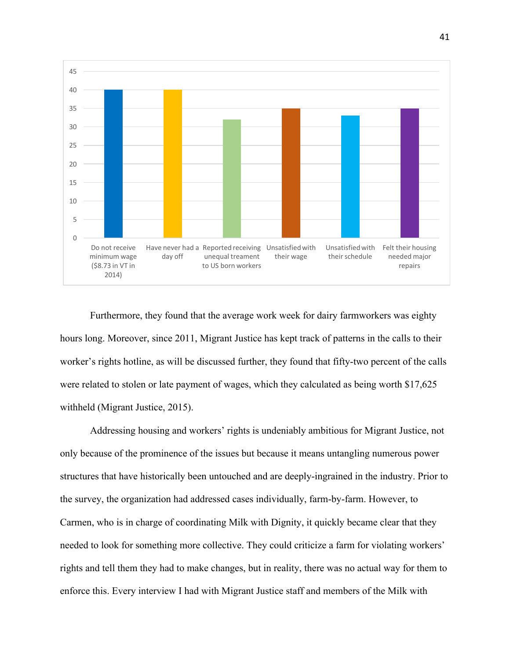

Furthermore, they found that the average work week for dairy farmworkers was eighty hours long. Moreover, since 2011, Migrant Justice has kept track of patterns in the calls to their worker's rights hotline, as will be discussed further, they found that fifty-two percent of the calls were related to stolen or late payment of wages, which they calculated as being worth \$17,625 withheld (Migrant Justice, 2015).

Addressing housing and workers' rights is undeniably ambitious for Migrant Justice, not only because of the prominence of the issues but because it means untangling numerous power structures that have historically been untouched and are deeply-ingrained in the industry. Prior to the survey, the organization had addressed cases individually, farm-by-farm. However, to Carmen, who is in charge of coordinating Milk with Dignity, it quickly became clear that they needed to look for something more collective. They could criticize a farm for violating workers' rights and tell them they had to make changes, but in reality, there was no actual way for them to enforce this. Every interview I had with Migrant Justice staff and members of the Milk with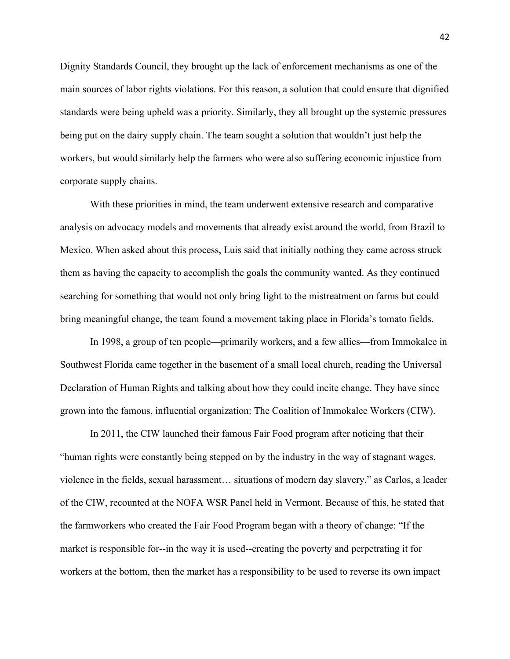Dignity Standards Council, they brought up the lack of enforcement mechanisms as one of the main sources of labor rights violations. For this reason, a solution that could ensure that dignified standards were being upheld was a priority. Similarly, they all brought up the systemic pressures being put on the dairy supply chain. The team sought a solution that wouldn't just help the workers, but would similarly help the farmers who were also suffering economic injustice from corporate supply chains.

With these priorities in mind, the team underwent extensive research and comparative analysis on advocacy models and movements that already exist around the world, from Brazil to Mexico. When asked about this process, Luis said that initially nothing they came across struck them as having the capacity to accomplish the goals the community wanted. As they continued searching for something that would not only bring light to the mistreatment on farms but could bring meaningful change, the team found a movement taking place in Florida's tomato fields.

In 1998, a group of ten people—primarily workers, and a few allies—from Immokalee in Southwest Florida came together in the basement of a small local church, reading the Universal Declaration of Human Rights and talking about how they could incite change. They have since grown into the famous, influential organization: The Coalition of Immokalee Workers (CIW).

In 2011, the CIW launched their famous Fair Food program after noticing that their "human rights were constantly being stepped on by the industry in the way of stagnant wages, violence in the fields, sexual harassment… situations of modern day slavery," as Carlos, a leader of the CIW, recounted at the NOFA WSR Panel held in Vermont. Because of this, he stated that the farmworkers who created the Fair Food Program began with a theory of change: "If the market is responsible for--in the way it is used--creating the poverty and perpetrating it for workers at the bottom, then the market has a responsibility to be used to reverse its own impact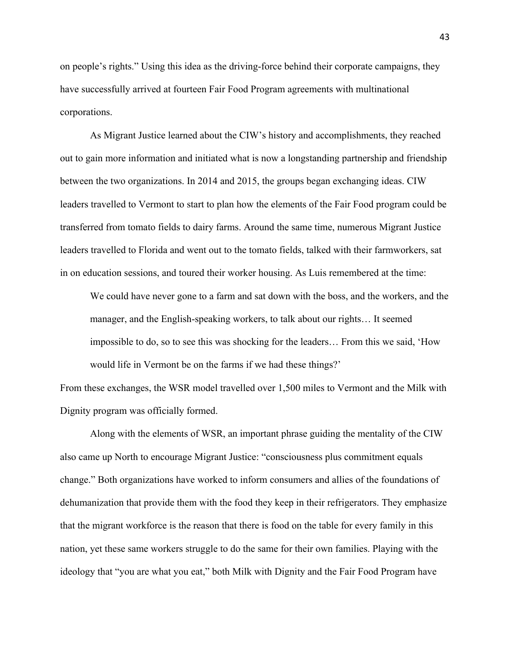on people's rights." Using this idea as the driving-force behind their corporate campaigns, they have successfully arrived at fourteen Fair Food Program agreements with multinational corporations.

As Migrant Justice learned about the CIW's history and accomplishments, they reached out to gain more information and initiated what is now a longstanding partnership and friendship between the two organizations. In 2014 and 2015, the groups began exchanging ideas. CIW leaders travelled to Vermont to start to plan how the elements of the Fair Food program could be transferred from tomato fields to dairy farms. Around the same time, numerous Migrant Justice leaders travelled to Florida and went out to the tomato fields, talked with their farmworkers, sat in on education sessions, and toured their worker housing. As Luis remembered at the time:

We could have never gone to a farm and sat down with the boss, and the workers, and the manager, and the English-speaking workers, to talk about our rights… It seemed impossible to do, so to see this was shocking for the leaders… From this we said, 'How would life in Vermont be on the farms if we had these things?'

From these exchanges, the WSR model travelled over 1,500 miles to Vermont and the Milk with Dignity program was officially formed.

Along with the elements of WSR, an important phrase guiding the mentality of the CIW also came up North to encourage Migrant Justice: "consciousness plus commitment equals change." Both organizations have worked to inform consumers and allies of the foundations of dehumanization that provide them with the food they keep in their refrigerators. They emphasize that the migrant workforce is the reason that there is food on the table for every family in this nation, yet these same workers struggle to do the same for their own families. Playing with the ideology that "you are what you eat," both Milk with Dignity and the Fair Food Program have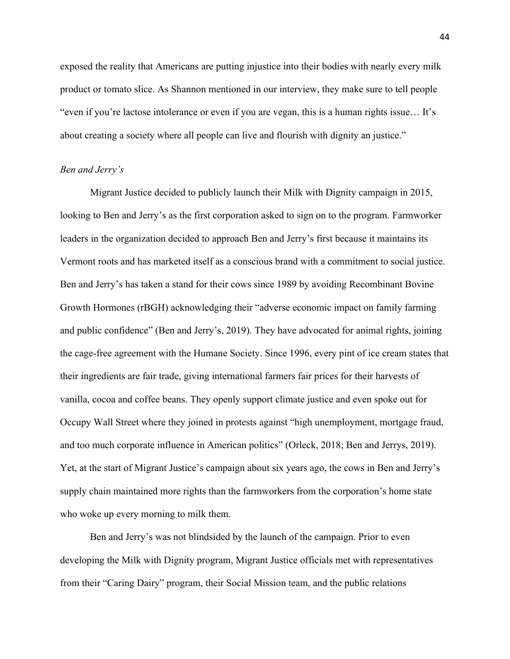exposed the reality that Americans are putting injustice into their bodies with nearly every milk product or tomato slice. As Shannon mentioned in our interview, they make sure to tell people "even if you're lactose intolerance or even if you are vegan, this is a human rights issue… It's about creating a society where all people can live and flourish with dignity an justice."

# *Ben and Jerry's*

 Migrant Justice decided to publicly launch their Milk with Dignity campaign in 2015, looking to Ben and Jerry's as the first corporation asked to sign on to the program. Farmworker leaders in the organization decided to approach Ben and Jerry's first because it maintains its Vermont roots and has marketed itself as a conscious brand with a commitment to social justice. Ben and Jerry's has taken a stand for their cows since 1989 by avoiding Recombinant Bovine Growth Hormones (rBGH) acknowledging their "adverse economic impact on family farming and public confidence" (Ben and Jerry's, 2019). They have advocated for animal rights, joining the cage-free agreement with the Humane Society. Since 1996, every pint of ice cream states that their ingredients are fair trade, giving international farmers fair prices for their harvests of vanilla, cocoa and coffee beans. They openly support climate justice and even spoke out for Occupy Wall Street where they joined in protests against "high unemployment, mortgage fraud, and too much corporate influence in American politics" (Orleck, 2018; Ben and Jerrys, 2019). Yet, at the start of Migrant Justice's campaign about six years ago, the cows in Ben and Jerry's supply chain maintained more rights than the farmworkers from the corporation's home state who woke up every morning to milk them.

 Ben and Jerry's was not blindsided by the launch of the campaign. Prior to even developing the Milk with Dignity program, Migrant Justice officials met with representatives from their "Caring Dairy" program, their Social Mission team, and the public relations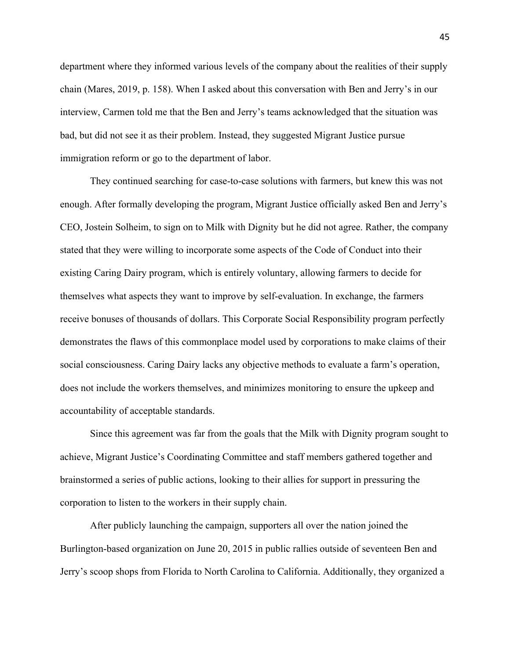department where they informed various levels of the company about the realities of their supply chain (Mares, 2019, p. 158). When I asked about this conversation with Ben and Jerry's in our interview, Carmen told me that the Ben and Jerry's teams acknowledged that the situation was bad, but did not see it as their problem. Instead, they suggested Migrant Justice pursue immigration reform or go to the department of labor.

They continued searching for case-to-case solutions with farmers, but knew this was not enough. After formally developing the program, Migrant Justice officially asked Ben and Jerry's CEO, Jostein Solheim, to sign on to Milk with Dignity but he did not agree. Rather, the company stated that they were willing to incorporate some aspects of the Code of Conduct into their existing Caring Dairy program, which is entirely voluntary, allowing farmers to decide for themselves what aspects they want to improve by self-evaluation. In exchange, the farmers receive bonuses of thousands of dollars. This Corporate Social Responsibility program perfectly demonstrates the flaws of this commonplace model used by corporations to make claims of their social consciousness. Caring Dairy lacks any objective methods to evaluate a farm's operation, does not include the workers themselves, and minimizes monitoring to ensure the upkeep and accountability of acceptable standards.

Since this agreement was far from the goals that the Milk with Dignity program sought to achieve, Migrant Justice's Coordinating Committee and staff members gathered together and brainstormed a series of public actions, looking to their allies for support in pressuring the corporation to listen to the workers in their supply chain.

 After publicly launching the campaign, supporters all over the nation joined the Burlington-based organization on June 20, 2015 in public rallies outside of seventeen Ben and Jerry's scoop shops from Florida to North Carolina to California. Additionally, they organized a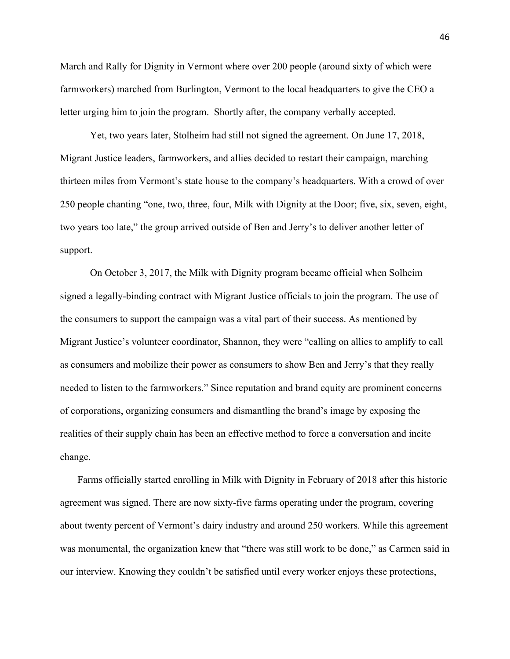March and Rally for Dignity in Vermont where over 200 people (around sixty of which were farmworkers) marched from Burlington, Vermont to the local headquarters to give the CEO a letter urging him to join the program. Shortly after, the company verbally accepted.

Yet, two years later, Stolheim had still not signed the agreement. On June 17, 2018, Migrant Justice leaders, farmworkers, and allies decided to restart their campaign, marching thirteen miles from Vermont's state house to the company's headquarters. With a crowd of over 250 people chanting "one, two, three, four, Milk with Dignity at the Door; five, six, seven, eight, two years too late," the group arrived outside of Ben and Jerry's to deliver another letter of support.

 On October 3, 2017, the Milk with Dignity program became official when Solheim signed a legally-binding contract with Migrant Justice officials to join the program. The use of the consumers to support the campaign was a vital part of their success. As mentioned by Migrant Justice's volunteer coordinator, Shannon, they were "calling on allies to amplify to call as consumers and mobilize their power as consumers to show Ben and Jerry's that they really needed to listen to the farmworkers." Since reputation and brand equity are prominent concerns of corporations, organizing consumers and dismantling the brand's image by exposing the realities of their supply chain has been an effective method to force a conversation and incite change.

 Farms officially started enrolling in Milk with Dignity in February of 2018 after this historic agreement was signed. There are now sixty-five farms operating under the program, covering about twenty percent of Vermont's dairy industry and around 250 workers. While this agreement was monumental, the organization knew that "there was still work to be done," as Carmen said in our interview. Knowing they couldn't be satisfied until every worker enjoys these protections,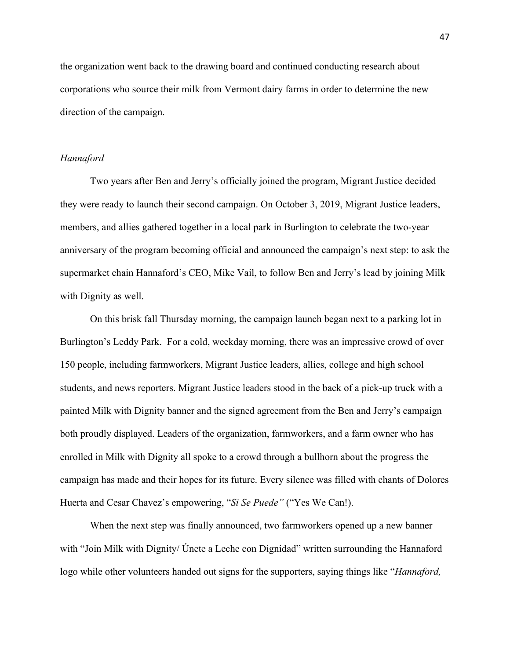the organization went back to the drawing board and continued conducting research about corporations who source their milk from Vermont dairy farms in order to determine the new direction of the campaign.

# *Hannaford*

Two years after Ben and Jerry's officially joined the program, Migrant Justice decided they were ready to launch their second campaign. On October 3, 2019, Migrant Justice leaders, members, and allies gathered together in a local park in Burlington to celebrate the two-year anniversary of the program becoming official and announced the campaign's next step: to ask the supermarket chain Hannaford's CEO, Mike Vail, to follow Ben and Jerry's lead by joining Milk with Dignity as well.

On this brisk fall Thursday morning, the campaign launch began next to a parking lot in Burlington's Leddy Park. For a cold, weekday morning, there was an impressive crowd of over 150 people, including farmworkers, Migrant Justice leaders, allies, college and high school students, and news reporters. Migrant Justice leaders stood in the back of a pick-up truck with a painted Milk with Dignity banner and the signed agreement from the Ben and Jerry's campaign both proudly displayed. Leaders of the organization, farmworkers, and a farm owner who has enrolled in Milk with Dignity all spoke to a crowd through a bullhorn about the progress the campaign has made and their hopes for its future. Every silence was filled with chants of Dolores Huerta and Cesar Chavez's empowering, "*Si Se Puede"* ("Yes We Can!).

When the next step was finally announced, two farmworkers opened up a new banner with "Join Milk with Dignity/ Unete a Leche con Dignidad" written surrounding the Hannaford logo while other volunteers handed out signs for the supporters, saying things like "*Hannaford,*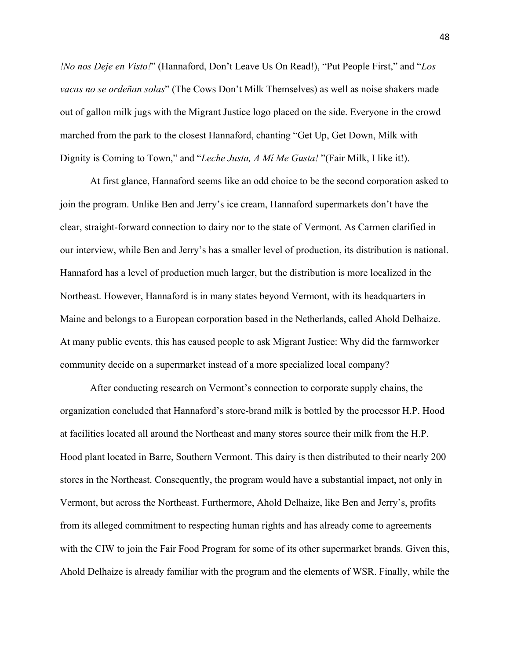*!No nos Deje en Visto!*" (Hannaford, Don't Leave Us On Read!), "Put People First," and "*Los vacas no se ordeñan solas*" (The Cows Don't Milk Themselves) as well as noise shakers made out of gallon milk jugs with the Migrant Justice logo placed on the side. Everyone in the crowd marched from the park to the closest Hannaford, chanting "Get Up, Get Down, Milk with Dignity is Coming to Town," and "*Leche Justa, A Mí Me Gusta!* "(Fair Milk, I like it!).

At first glance, Hannaford seems like an odd choice to be the second corporation asked to join the program. Unlike Ben and Jerry's ice cream, Hannaford supermarkets don't have the clear, straight-forward connection to dairy nor to the state of Vermont. As Carmen clarified in our interview, while Ben and Jerry's has a smaller level of production, its distribution is national. Hannaford has a level of production much larger, but the distribution is more localized in the Northeast. However, Hannaford is in many states beyond Vermont, with its headquarters in Maine and belongs to a European corporation based in the Netherlands, called Ahold Delhaize. At many public events, this has caused people to ask Migrant Justice: Why did the farmworker community decide on a supermarket instead of a more specialized local company?

After conducting research on Vermont's connection to corporate supply chains, the organization concluded that Hannaford's store-brand milk is bottled by the processor H.P. Hood at facilities located all around the Northeast and many stores source their milk from the H.P. Hood plant located in Barre, Southern Vermont. This dairy is then distributed to their nearly 200 stores in the Northeast. Consequently, the program would have a substantial impact, not only in Vermont, but across the Northeast. Furthermore, Ahold Delhaize, like Ben and Jerry's, profits from its alleged commitment to respecting human rights and has already come to agreements with the CIW to join the Fair Food Program for some of its other supermarket brands. Given this, Ahold Delhaize is already familiar with the program and the elements of WSR. Finally, while the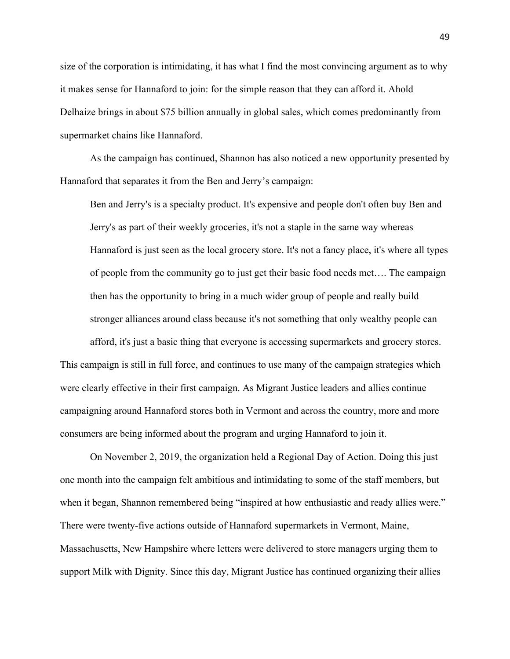size of the corporation is intimidating, it has what I find the most convincing argument as to why it makes sense for Hannaford to join: for the simple reason that they can afford it. Ahold Delhaize brings in about \$75 billion annually in global sales, which comes predominantly from supermarket chains like Hannaford.

As the campaign has continued, Shannon has also noticed a new opportunity presented by Hannaford that separates it from the Ben and Jerry's campaign:

Ben and Jerry's is a specialty product. It's expensive and people don't often buy Ben and Jerry's as part of their weekly groceries, it's not a staple in the same way whereas Hannaford is just seen as the local grocery store. It's not a fancy place, it's where all types of people from the community go to just get their basic food needs met…. The campaign then has the opportunity to bring in a much wider group of people and really build stronger alliances around class because it's not something that only wealthy people can afford, it's just a basic thing that everyone is accessing supermarkets and grocery stores.

This campaign is still in full force, and continues to use many of the campaign strategies which were clearly effective in their first campaign. As Migrant Justice leaders and allies continue campaigning around Hannaford stores both in Vermont and across the country, more and more consumers are being informed about the program and urging Hannaford to join it.

On November 2, 2019, the organization held a Regional Day of Action. Doing this just one month into the campaign felt ambitious and intimidating to some of the staff members, but when it began, Shannon remembered being "inspired at how enthusiastic and ready allies were." There were twenty-five actions outside of Hannaford supermarkets in Vermont, Maine, Massachusetts, New Hampshire where letters were delivered to store managers urging them to support Milk with Dignity. Since this day, Migrant Justice has continued organizing their allies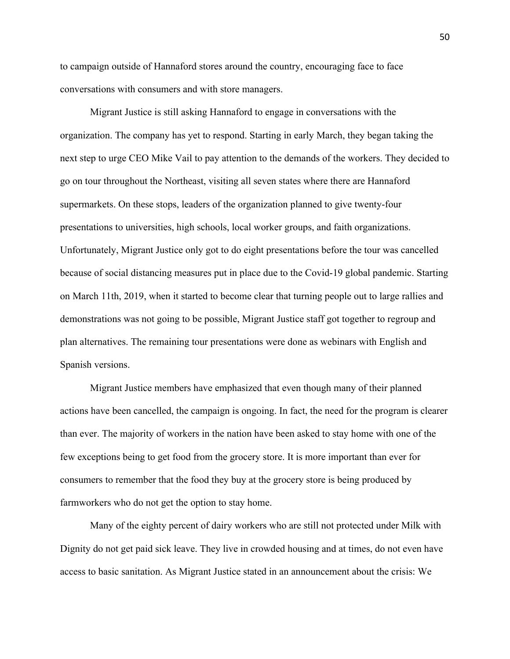to campaign outside of Hannaford stores around the country, encouraging face to face conversations with consumers and with store managers.

Migrant Justice is still asking Hannaford to engage in conversations with the organization. The company has yet to respond. Starting in early March, they began taking the next step to urge CEO Mike Vail to pay attention to the demands of the workers. They decided to go on tour throughout the Northeast, visiting all seven states where there are Hannaford supermarkets. On these stops, leaders of the organization planned to give twenty-four presentations to universities, high schools, local worker groups, and faith organizations. Unfortunately, Migrant Justice only got to do eight presentations before the tour was cancelled because of social distancing measures put in place due to the Covid-19 global pandemic. Starting on March 11th, 2019, when it started to become clear that turning people out to large rallies and demonstrations was not going to be possible, Migrant Justice staff got together to regroup and plan alternatives. The remaining tour presentations were done as webinars with English and Spanish versions.

Migrant Justice members have emphasized that even though many of their planned actions have been cancelled, the campaign is ongoing. In fact, the need for the program is clearer than ever. The majority of workers in the nation have been asked to stay home with one of the few exceptions being to get food from the grocery store. It is more important than ever for consumers to remember that the food they buy at the grocery store is being produced by farmworkers who do not get the option to stay home.

Many of the eighty percent of dairy workers who are still not protected under Milk with Dignity do not get paid sick leave. They live in crowded housing and at times, do not even have access to basic sanitation. As Migrant Justice stated in an announcement about the crisis: We

50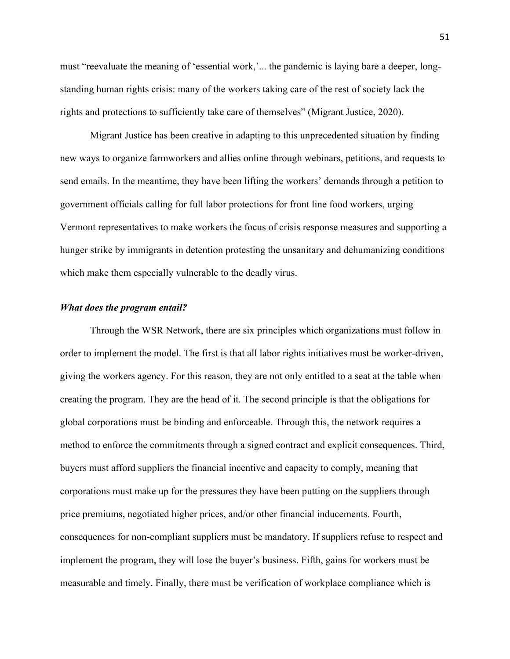must "reevaluate the meaning of 'essential work,'... the pandemic is laying bare a deeper, longstanding human rights crisis: many of the workers taking care of the rest of society lack the rights and protections to sufficiently take care of themselves" (Migrant Justice, 2020).

Migrant Justice has been creative in adapting to this unprecedented situation by finding new ways to organize farmworkers and allies online through webinars, petitions, and requests to send emails. In the meantime, they have been lifting the workers' demands through a petition to government officials calling for full labor protections for front line food workers, urging Vermont representatives to make workers the focus of crisis response measures and supporting a hunger strike by immigrants in detention protesting the unsanitary and dehumanizing conditions which make them especially vulnerable to the deadly virus.

#### *What does the program entail?*

Through the WSR Network, there are six principles which organizations must follow in order to implement the model. The first is that all labor rights initiatives must be worker-driven, giving the workers agency. For this reason, they are not only entitled to a seat at the table when creating the program. They are the head of it. The second principle is that the obligations for global corporations must be binding and enforceable. Through this, the network requires a method to enforce the commitments through a signed contract and explicit consequences. Third, buyers must afford suppliers the financial incentive and capacity to comply, meaning that corporations must make up for the pressures they have been putting on the suppliers through price premiums, negotiated higher prices, and/or other financial inducements. Fourth, consequences for non-compliant suppliers must be mandatory. If suppliers refuse to respect and implement the program, they will lose the buyer's business. Fifth, gains for workers must be measurable and timely. Finally, there must be verification of workplace compliance which is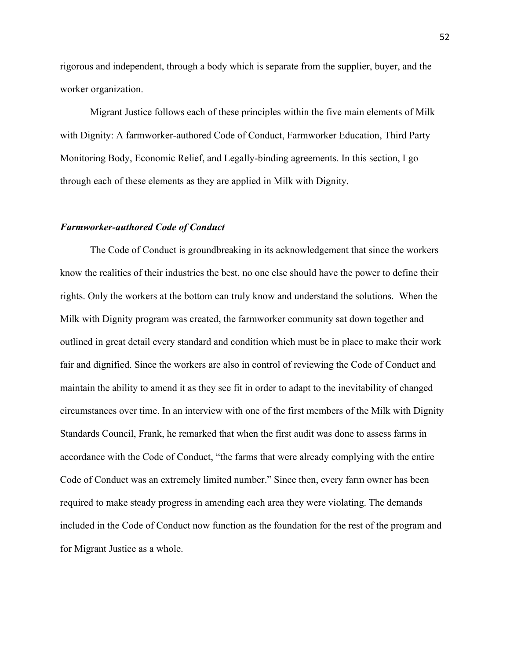rigorous and independent, through a body which is separate from the supplier, buyer, and the worker organization.

 Migrant Justice follows each of these principles within the five main elements of Milk with Dignity: A farmworker-authored Code of Conduct, Farmworker Education, Third Party Monitoring Body, Economic Relief, and Legally-binding agreements. In this section, I go through each of these elements as they are applied in Milk with Dignity.

### *Farmworker-authored Code of Conduct*

 The Code of Conduct is groundbreaking in its acknowledgement that since the workers know the realities of their industries the best, no one else should have the power to define their rights. Only the workers at the bottom can truly know and understand the solutions. When the Milk with Dignity program was created, the farmworker community sat down together and outlined in great detail every standard and condition which must be in place to make their work fair and dignified. Since the workers are also in control of reviewing the Code of Conduct and maintain the ability to amend it as they see fit in order to adapt to the inevitability of changed circumstances over time. In an interview with one of the first members of the Milk with Dignity Standards Council, Frank, he remarked that when the first audit was done to assess farms in accordance with the Code of Conduct, "the farms that were already complying with the entire Code of Conduct was an extremely limited number." Since then, every farm owner has been required to make steady progress in amending each area they were violating. The demands included in the Code of Conduct now function as the foundation for the rest of the program and for Migrant Justice as a whole.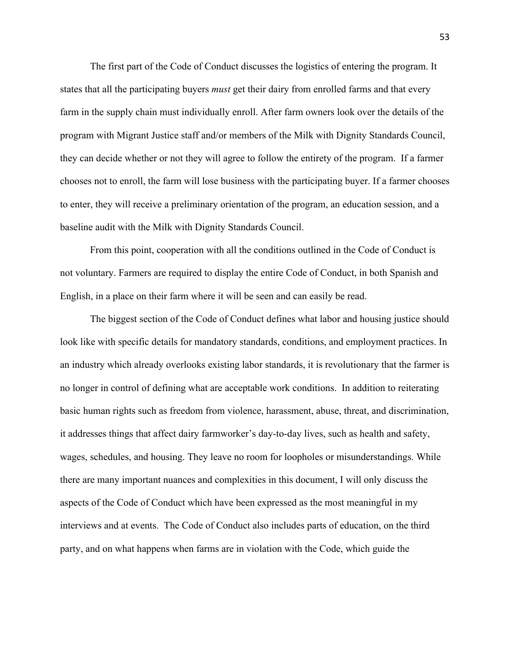The first part of the Code of Conduct discusses the logistics of entering the program. It states that all the participating buyers *must* get their dairy from enrolled farms and that every farm in the supply chain must individually enroll. After farm owners look over the details of the program with Migrant Justice staff and/or members of the Milk with Dignity Standards Council, they can decide whether or not they will agree to follow the entirety of the program. If a farmer chooses not to enroll, the farm will lose business with the participating buyer. If a farmer chooses to enter, they will receive a preliminary orientation of the program, an education session, and a baseline audit with the Milk with Dignity Standards Council.

From this point, cooperation with all the conditions outlined in the Code of Conduct is not voluntary. Farmers are required to display the entire Code of Conduct, in both Spanish and English, in a place on their farm where it will be seen and can easily be read.

The biggest section of the Code of Conduct defines what labor and housing justice should look like with specific details for mandatory standards, conditions, and employment practices. In an industry which already overlooks existing labor standards, it is revolutionary that the farmer is no longer in control of defining what are acceptable work conditions. In addition to reiterating basic human rights such as freedom from violence, harassment, abuse, threat, and discrimination, it addresses things that affect dairy farmworker's day-to-day lives, such as health and safety, wages, schedules, and housing. They leave no room for loopholes or misunderstandings. While there are many important nuances and complexities in this document, I will only discuss the aspects of the Code of Conduct which have been expressed as the most meaningful in my interviews and at events. The Code of Conduct also includes parts of education, on the third party, and on what happens when farms are in violation with the Code, which guide the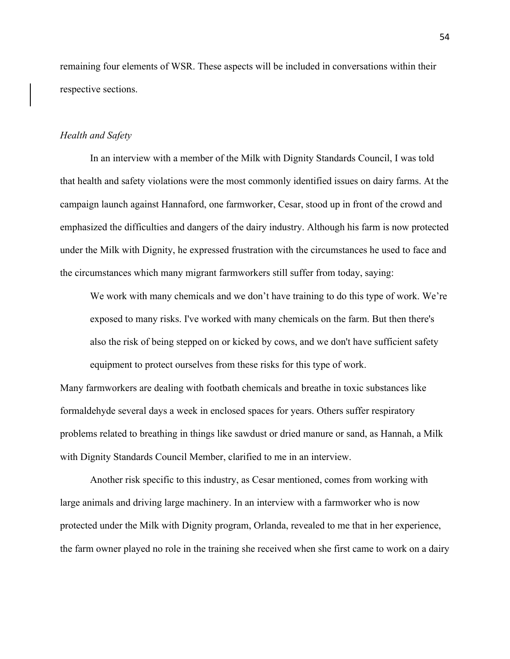remaining four elements of WSR. These aspects will be included in conversations within their respective sections.

### *Health and Safety*

In an interview with a member of the Milk with Dignity Standards Council, I was told that health and safety violations were the most commonly identified issues on dairy farms. At the campaign launch against Hannaford, one farmworker, Cesar, stood up in front of the crowd and emphasized the difficulties and dangers of the dairy industry. Although his farm is now protected under the Milk with Dignity, he expressed frustration with the circumstances he used to face and the circumstances which many migrant farmworkers still suffer from today, saying:

We work with many chemicals and we don't have training to do this type of work. We're exposed to many risks. I've worked with many chemicals on the farm. But then there's also the risk of being stepped on or kicked by cows, and we don't have sufficient safety equipment to protect ourselves from these risks for this type of work.

Many farmworkers are dealing with footbath chemicals and breathe in toxic substances like formaldehyde several days a week in enclosed spaces for years. Others suffer respiratory problems related to breathing in things like sawdust or dried manure or sand, as Hannah, a Milk with Dignity Standards Council Member, clarified to me in an interview.

Another risk specific to this industry, as Cesar mentioned, comes from working with large animals and driving large machinery. In an interview with a farmworker who is now protected under the Milk with Dignity program, Orlanda, revealed to me that in her experience, the farm owner played no role in the training she received when she first came to work on a dairy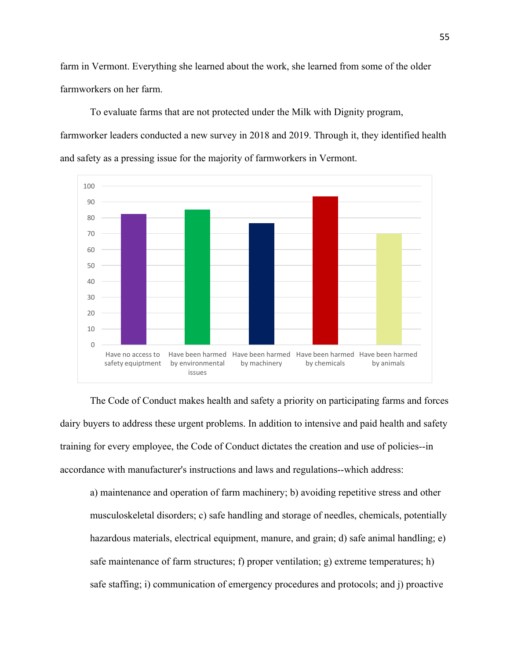farm in Vermont. Everything she learned about the work, she learned from some of the older farmworkers on her farm.

To evaluate farms that are not protected under the Milk with Dignity program, farmworker leaders conducted a new survey in 2018 and 2019. Through it, they identified health and safety as a pressing issue for the majority of farmworkers in Vermont.



The Code of Conduct makes health and safety a priority on participating farms and forces dairy buyers to address these urgent problems. In addition to intensive and paid health and safety training for every employee, the Code of Conduct dictates the creation and use of policies--in accordance with manufacturer's instructions and laws and regulations--which address:

a) maintenance and operation of farm machinery; b) avoiding repetitive stress and other musculoskeletal disorders; c) safe handling and storage of needles, chemicals, potentially hazardous materials, electrical equipment, manure, and grain; d) safe animal handling; e) safe maintenance of farm structures; f) proper ventilation; g) extreme temperatures; h) safe staffing; i) communication of emergency procedures and protocols; and j) proactive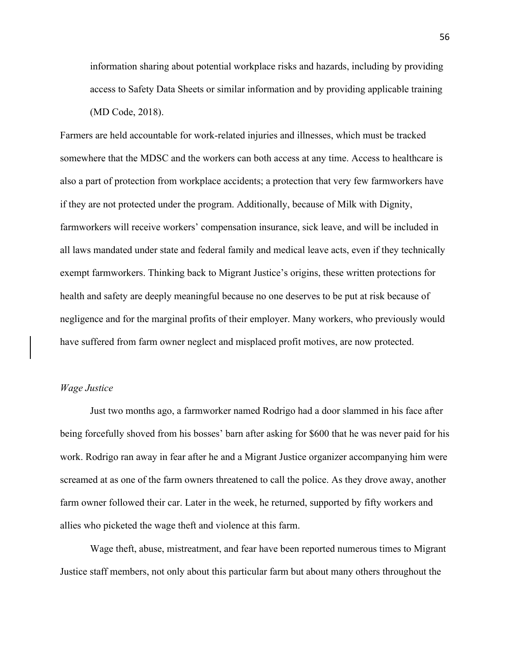information sharing about potential workplace risks and hazards, including by providing access to Safety Data Sheets or similar information and by providing applicable training (MD Code, 2018).

Farmers are held accountable for work-related injuries and illnesses, which must be tracked somewhere that the MDSC and the workers can both access at any time. Access to healthcare is also a part of protection from workplace accidents; a protection that very few farmworkers have if they are not protected under the program. Additionally, because of Milk with Dignity, farmworkers will receive workers' compensation insurance, sick leave, and will be included in all laws mandated under state and federal family and medical leave acts, even if they technically exempt farmworkers. Thinking back to Migrant Justice's origins, these written protections for health and safety are deeply meaningful because no one deserves to be put at risk because of negligence and for the marginal profits of their employer. Many workers, who previously would have suffered from farm owner neglect and misplaced profit motives, are now protected.

# *Wage Justice*

Just two months ago, a farmworker named Rodrigo had a door slammed in his face after being forcefully shoved from his bosses' barn after asking for \$600 that he was never paid for his work. Rodrigo ran away in fear after he and a Migrant Justice organizer accompanying him were screamed at as one of the farm owners threatened to call the police. As they drove away, another farm owner followed their car. Later in the week, he returned, supported by fifty workers and allies who picketed the wage theft and violence at this farm.

Wage theft, abuse, mistreatment, and fear have been reported numerous times to Migrant Justice staff members, not only about this particular farm but about many others throughout the

56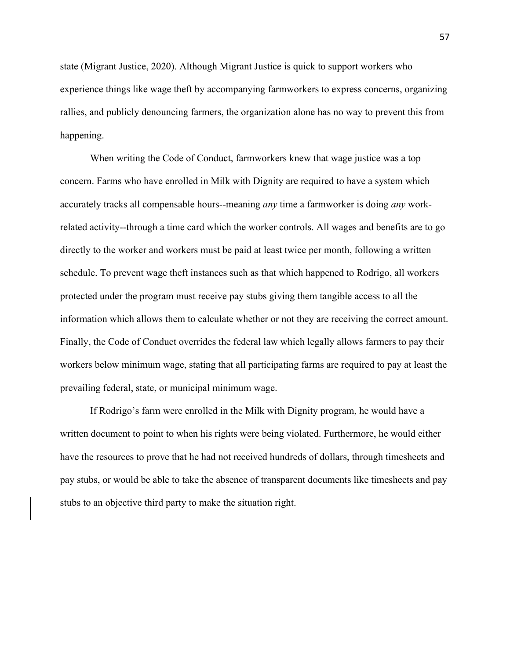state (Migrant Justice, 2020). Although Migrant Justice is quick to support workers who experience things like wage theft by accompanying farmworkers to express concerns, organizing rallies, and publicly denouncing farmers, the organization alone has no way to prevent this from happening.

When writing the Code of Conduct, farmworkers knew that wage justice was a top concern. Farms who have enrolled in Milk with Dignity are required to have a system which accurately tracks all compensable hours--meaning *any* time a farmworker is doing *any* workrelated activity--through a time card which the worker controls. All wages and benefits are to go directly to the worker and workers must be paid at least twice per month, following a written schedule. To prevent wage theft instances such as that which happened to Rodrigo, all workers protected under the program must receive pay stubs giving them tangible access to all the information which allows them to calculate whether or not they are receiving the correct amount. Finally, the Code of Conduct overrides the federal law which legally allows farmers to pay their workers below minimum wage, stating that all participating farms are required to pay at least the prevailing federal, state, or municipal minimum wage.

If Rodrigo's farm were enrolled in the Milk with Dignity program, he would have a written document to point to when his rights were being violated. Furthermore, he would either have the resources to prove that he had not received hundreds of dollars, through timesheets and pay stubs, or would be able to take the absence of transparent documents like timesheets and pay stubs to an objective third party to make the situation right.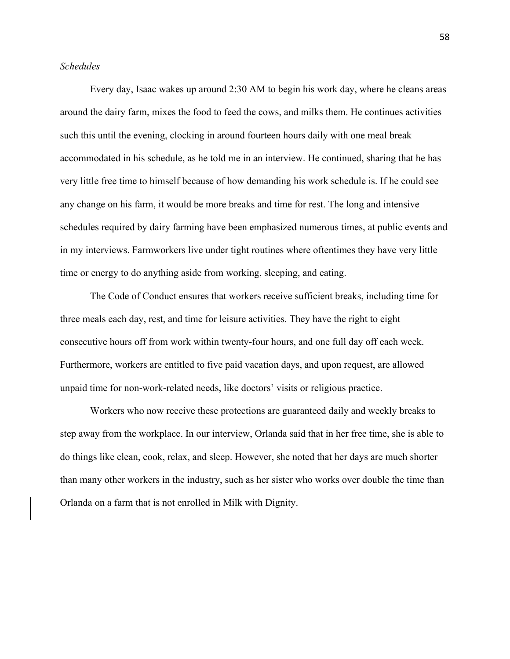### *Schedules*

Every day, Isaac wakes up around 2:30 AM to begin his work day, where he cleans areas around the dairy farm, mixes the food to feed the cows, and milks them. He continues activities such this until the evening, clocking in around fourteen hours daily with one meal break accommodated in his schedule, as he told me in an interview. He continued, sharing that he has very little free time to himself because of how demanding his work schedule is. If he could see any change on his farm, it would be more breaks and time for rest. The long and intensive schedules required by dairy farming have been emphasized numerous times, at public events and in my interviews. Farmworkers live under tight routines where oftentimes they have very little time or energy to do anything aside from working, sleeping, and eating.

The Code of Conduct ensures that workers receive sufficient breaks, including time for three meals each day, rest, and time for leisure activities. They have the right to eight consecutive hours off from work within twenty-four hours, and one full day off each week. Furthermore, workers are entitled to five paid vacation days, and upon request, are allowed unpaid time for non-work-related needs, like doctors' visits or religious practice.

Workers who now receive these protections are guaranteed daily and weekly breaks to step away from the workplace. In our interview, Orlanda said that in her free time, she is able to do things like clean, cook, relax, and sleep. However, she noted that her days are much shorter than many other workers in the industry, such as her sister who works over double the time than Orlanda on a farm that is not enrolled in Milk with Dignity.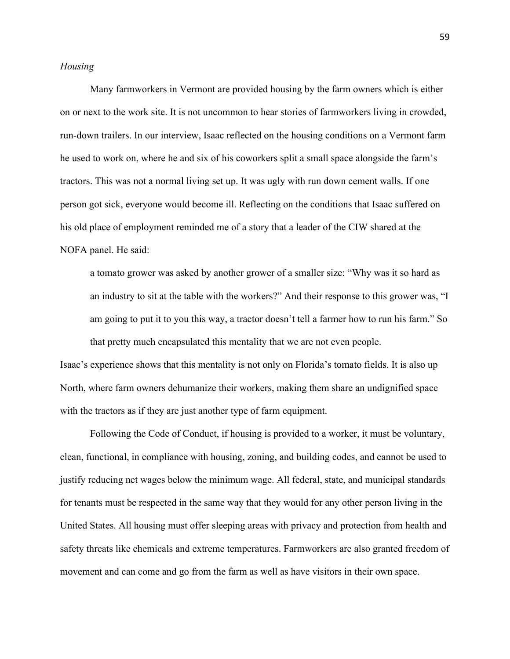#### *Housing*

Many farmworkers in Vermont are provided housing by the farm owners which is either on or next to the work site. It is not uncommon to hear stories of farmworkers living in crowded, run-down trailers. In our interview, Isaac reflected on the housing conditions on a Vermont farm he used to work on, where he and six of his coworkers split a small space alongside the farm's tractors. This was not a normal living set up. It was ugly with run down cement walls. If one person got sick, everyone would become ill. Reflecting on the conditions that Isaac suffered on his old place of employment reminded me of a story that a leader of the CIW shared at the NOFA panel. He said:

a tomato grower was asked by another grower of a smaller size: "Why was it so hard as an industry to sit at the table with the workers?" And their response to this grower was, "I am going to put it to you this way, a tractor doesn't tell a farmer how to run his farm." So that pretty much encapsulated this mentality that we are not even people.

Isaac's experience shows that this mentality is not only on Florida's tomato fields. It is also up North, where farm owners dehumanize their workers, making them share an undignified space with the tractors as if they are just another type of farm equipment.

Following the Code of Conduct, if housing is provided to a worker, it must be voluntary, clean, functional, in compliance with housing, zoning, and building codes, and cannot be used to justify reducing net wages below the minimum wage. All federal, state, and municipal standards for tenants must be respected in the same way that they would for any other person living in the United States. All housing must offer sleeping areas with privacy and protection from health and safety threats like chemicals and extreme temperatures. Farmworkers are also granted freedom of movement and can come and go from the farm as well as have visitors in their own space.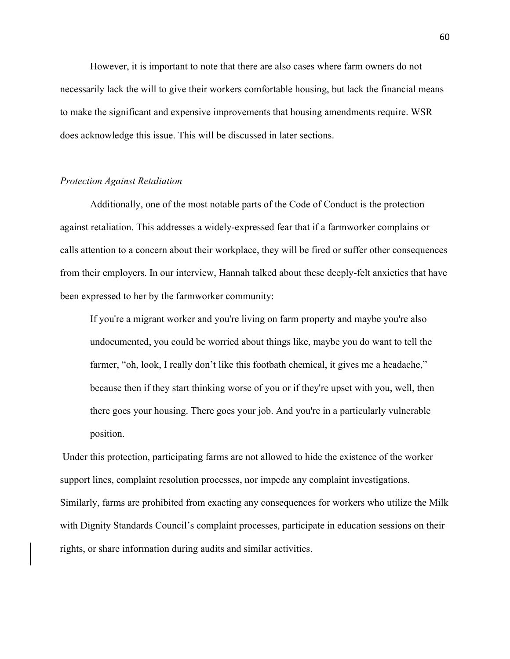However, it is important to note that there are also cases where farm owners do not necessarily lack the will to give their workers comfortable housing, but lack the financial means to make the significant and expensive improvements that housing amendments require. WSR does acknowledge this issue. This will be discussed in later sections.

### *Protection Against Retaliation*

Additionally, one of the most notable parts of the Code of Conduct is the protection against retaliation. This addresses a widely-expressed fear that if a farmworker complains or calls attention to a concern about their workplace, they will be fired or suffer other consequences from their employers. In our interview, Hannah talked about these deeply-felt anxieties that have been expressed to her by the farmworker community:

If you're a migrant worker and you're living on farm property and maybe you're also undocumented, you could be worried about things like, maybe you do want to tell the farmer, "oh, look, I really don't like this footbath chemical, it gives me a headache," because then if they start thinking worse of you or if they're upset with you, well, then there goes your housing. There goes your job. And you're in a particularly vulnerable position.

Under this protection, participating farms are not allowed to hide the existence of the worker support lines, complaint resolution processes, nor impede any complaint investigations. Similarly, farms are prohibited from exacting any consequences for workers who utilize the Milk with Dignity Standards Council's complaint processes, participate in education sessions on their rights, or share information during audits and similar activities.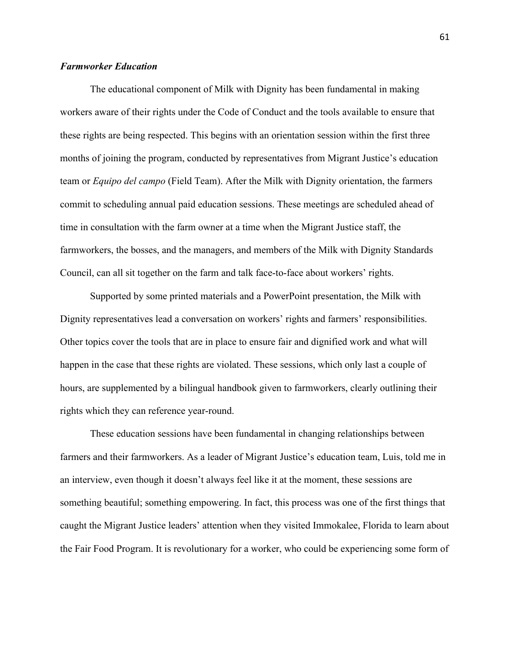# *Farmworker Education*

 The educational component of Milk with Dignity has been fundamental in making workers aware of their rights under the Code of Conduct and the tools available to ensure that these rights are being respected. This begins with an orientation session within the first three months of joining the program, conducted by representatives from Migrant Justice's education team or *Equipo del campo* (Field Team). After the Milk with Dignity orientation, the farmers commit to scheduling annual paid education sessions. These meetings are scheduled ahead of time in consultation with the farm owner at a time when the Migrant Justice staff, the farmworkers, the bosses, and the managers, and members of the Milk with Dignity Standards Council, can all sit together on the farm and talk face-to-face about workers' rights.

Supported by some printed materials and a PowerPoint presentation, the Milk with Dignity representatives lead a conversation on workers' rights and farmers' responsibilities. Other topics cover the tools that are in place to ensure fair and dignified work and what will happen in the case that these rights are violated. These sessions, which only last a couple of hours, are supplemented by a bilingual handbook given to farmworkers, clearly outlining their rights which they can reference year-round.

These education sessions have been fundamental in changing relationships between farmers and their farmworkers. As a leader of Migrant Justice's education team, Luis, told me in an interview, even though it doesn't always feel like it at the moment, these sessions are something beautiful; something empowering. In fact, this process was one of the first things that caught the Migrant Justice leaders' attention when they visited Immokalee, Florida to learn about the Fair Food Program. It is revolutionary for a worker, who could be experiencing some form of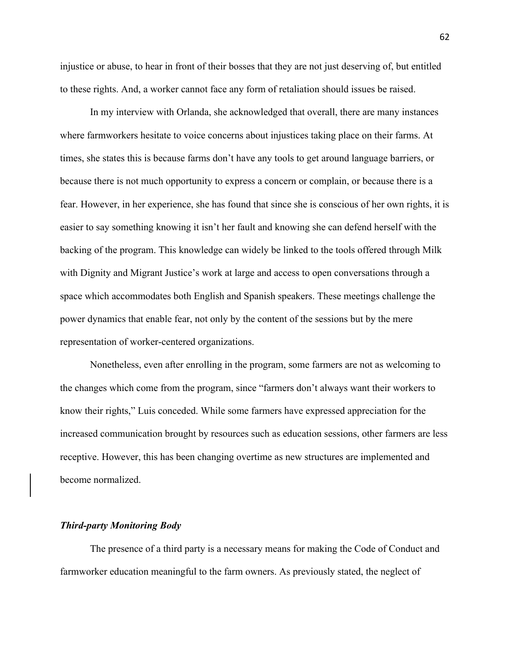injustice or abuse, to hear in front of their bosses that they are not just deserving of, but entitled to these rights. And, a worker cannot face any form of retaliation should issues be raised.

In my interview with Orlanda, she acknowledged that overall, there are many instances where farmworkers hesitate to voice concerns about injustices taking place on their farms. At times, she states this is because farms don't have any tools to get around language barriers, or because there is not much opportunity to express a concern or complain, or because there is a fear. However, in her experience, she has found that since she is conscious of her own rights, it is easier to say something knowing it isn't her fault and knowing she can defend herself with the backing of the program. This knowledge can widely be linked to the tools offered through Milk with Dignity and Migrant Justice's work at large and access to open conversations through a space which accommodates both English and Spanish speakers. These meetings challenge the power dynamics that enable fear, not only by the content of the sessions but by the mere representation of worker-centered organizations.

Nonetheless, even after enrolling in the program, some farmers are not as welcoming to the changes which come from the program, since "farmers don't always want their workers to know their rights," Luis conceded. While some farmers have expressed appreciation for the increased communication brought by resources such as education sessions, other farmers are less receptive. However, this has been changing overtime as new structures are implemented and become normalized.

#### *Third-party Monitoring Body*

 The presence of a third party is a necessary means for making the Code of Conduct and farmworker education meaningful to the farm owners. As previously stated, the neglect of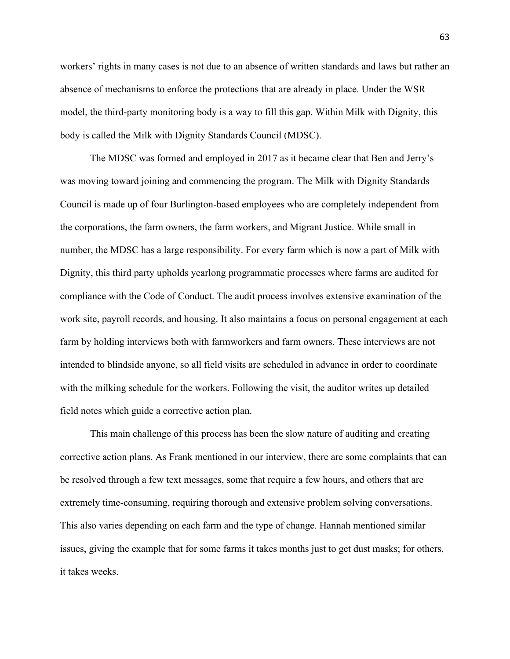workers' rights in many cases is not due to an absence of written standards and laws but rather an absence of mechanisms to enforce the protections that are already in place. Under the WSR model, the third-party monitoring body is a way to fill this gap. Within Milk with Dignity, this body is called the Milk with Dignity Standards Council (MDSC).

 The MDSC was formed and employed in 2017 as it became clear that Ben and Jerry's was moving toward joining and commencing the program. The Milk with Dignity Standards Council is made up of four Burlington-based employees who are completely independent from the corporations, the farm owners, the farm workers, and Migrant Justice. While small in number, the MDSC has a large responsibility. For every farm which is now a part of Milk with Dignity, this third party upholds yearlong programmatic processes where farms are audited for compliance with the Code of Conduct. The audit process involves extensive examination of the work site, payroll records, and housing. It also maintains a focus on personal engagement at each farm by holding interviews both with farmworkers and farm owners. These interviews are not intended to blindside anyone, so all field visits are scheduled in advance in order to coordinate with the milking schedule for the workers. Following the visit, the auditor writes up detailed field notes which guide a corrective action plan.

This main challenge of this process has been the slow nature of auditing and creating corrective action plans. As Frank mentioned in our interview, there are some complaints that can be resolved through a few text messages, some that require a few hours, and others that are extremely time-consuming, requiring thorough and extensive problem solving conversations. This also varies depending on each farm and the type of change. Hannah mentioned similar issues, giving the example that for some farms it takes months just to get dust masks; for others, it takes weeks.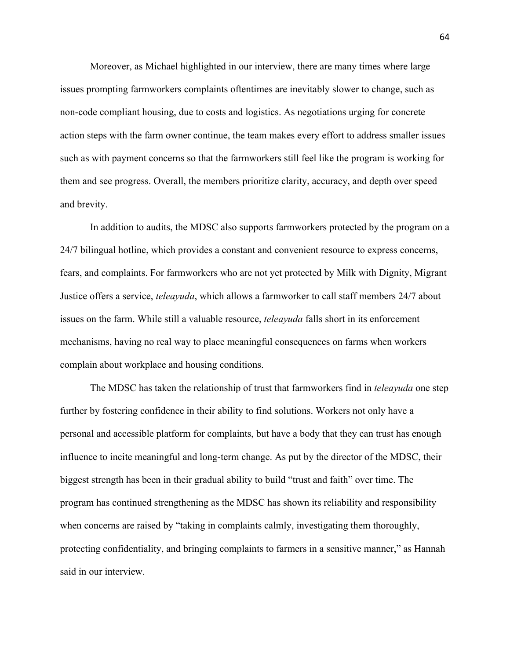Moreover, as Michael highlighted in our interview, there are many times where large issues prompting farmworkers complaints oftentimes are inevitably slower to change, such as non-code compliant housing, due to costs and logistics. As negotiations urging for concrete action steps with the farm owner continue, the team makes every effort to address smaller issues such as with payment concerns so that the farmworkers still feel like the program is working for them and see progress. Overall, the members prioritize clarity, accuracy, and depth over speed and brevity.

In addition to audits, the MDSC also supports farmworkers protected by the program on a 24/7 bilingual hotline, which provides a constant and convenient resource to express concerns, fears, and complaints. For farmworkers who are not yet protected by Milk with Dignity, Migrant Justice offers a service, *teleayuda*, which allows a farmworker to call staff members 24/7 about issues on the farm. While still a valuable resource, *teleayuda* falls short in its enforcement mechanisms, having no real way to place meaningful consequences on farms when workers complain about workplace and housing conditions.

 The MDSC has taken the relationship of trust that farmworkers find in *teleayuda* one step further by fostering confidence in their ability to find solutions. Workers not only have a personal and accessible platform for complaints, but have a body that they can trust has enough influence to incite meaningful and long-term change. As put by the director of the MDSC, their biggest strength has been in their gradual ability to build "trust and faith" over time. The program has continued strengthening as the MDSC has shown its reliability and responsibility when concerns are raised by "taking in complaints calmly, investigating them thoroughly, protecting confidentiality, and bringing complaints to farmers in a sensitive manner," as Hannah said in our interview.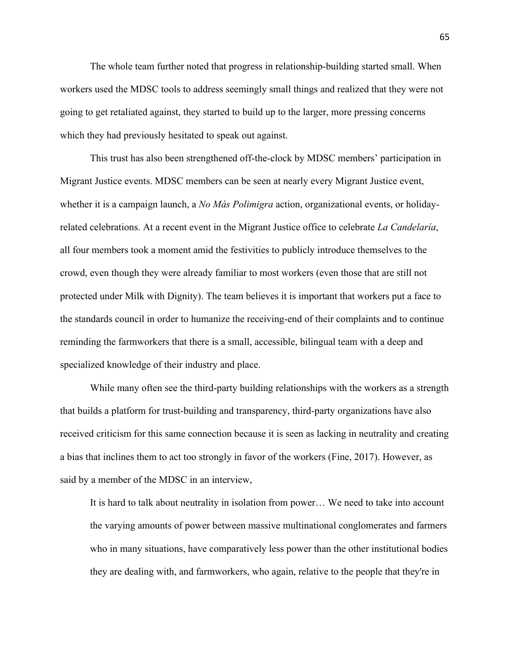The whole team further noted that progress in relationship-building started small. When workers used the MDSC tools to address seemingly small things and realized that they were not going to get retaliated against, they started to build up to the larger, more pressing concerns which they had previously hesitated to speak out against.

 This trust has also been strengthened off-the-clock by MDSC members' participation in Migrant Justice events. MDSC members can be seen at nearly every Migrant Justice event, whether it is a campaign launch, a *No Más Polimigra* action, organizational events, or holidayrelated celebrations. At a recent event in the Migrant Justice office to celebrate *La Candelaría*, all four members took a moment amid the festivities to publicly introduce themselves to the crowd, even though they were already familiar to most workers (even those that are still not protected under Milk with Dignity). The team believes it is important that workers put a face to the standards council in order to humanize the receiving-end of their complaints and to continue reminding the farmworkers that there is a small, accessible, bilingual team with a deep and specialized knowledge of their industry and place.

 While many often see the third-party building relationships with the workers as a strength that builds a platform for trust-building and transparency, third-party organizations have also received criticism for this same connection because it is seen as lacking in neutrality and creating a bias that inclines them to act too strongly in favor of the workers (Fine, 2017). However, as said by a member of the MDSC in an interview,

It is hard to talk about neutrality in isolation from power… We need to take into account the varying amounts of power between massive multinational conglomerates and farmers who in many situations, have comparatively less power than the other institutional bodies they are dealing with, and farmworkers, who again, relative to the people that they're in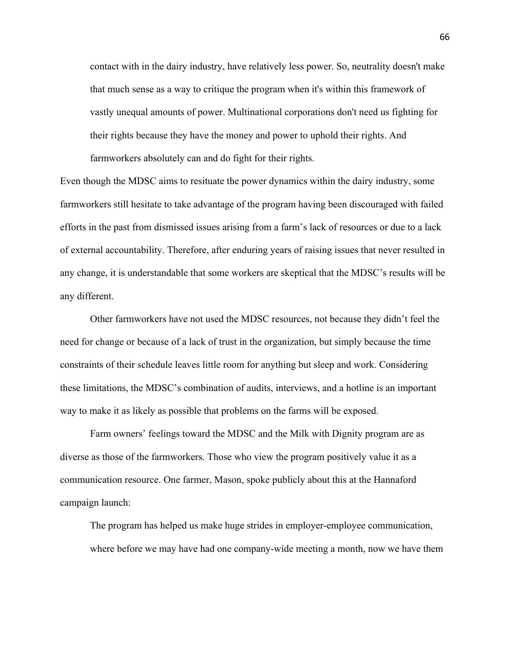contact with in the dairy industry, have relatively less power. So, neutrality doesn't make that much sense as a way to critique the program when it's within this framework of vastly unequal amounts of power. Multinational corporations don't need us fighting for their rights because they have the money and power to uphold their rights. And farmworkers absolutely can and do fight for their rights.

Even though the MDSC aims to resituate the power dynamics within the dairy industry, some farmworkers still hesitate to take advantage of the program having been discouraged with failed efforts in the past from dismissed issues arising from a farm's lack of resources or due to a lack of external accountability. Therefore, after enduring years of raising issues that never resulted in any change, it is understandable that some workers are skeptical that the MDSC's results will be any different.

Other farmworkers have not used the MDSC resources, not because they didn't feel the need for change or because of a lack of trust in the organization, but simply because the time constraints of their schedule leaves little room for anything but sleep and work. Considering these limitations, the MDSC's combination of audits, interviews, and a hotline is an important way to make it as likely as possible that problems on the farms will be exposed.

 Farm owners' feelings toward the MDSC and the Milk with Dignity program are as diverse as those of the farmworkers. Those who view the program positively value it as a communication resource. One farmer, Mason, spoke publicly about this at the Hannaford campaign launch:

The program has helped us make huge strides in employer-employee communication, where before we may have had one company-wide meeting a month, now we have them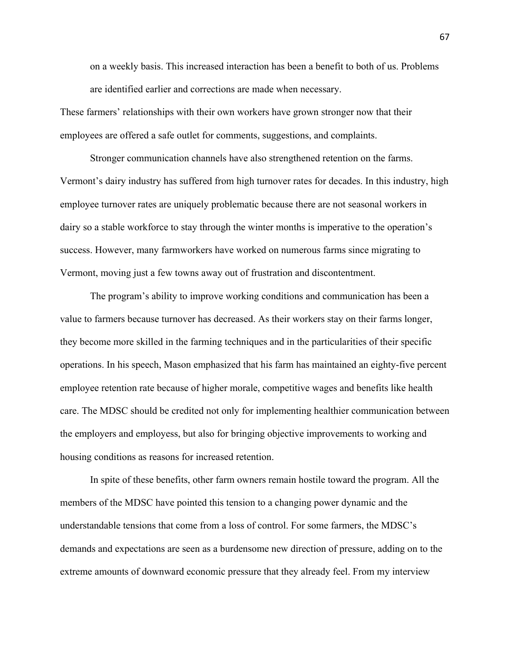on a weekly basis. This increased interaction has been a benefit to both of us. Problems are identified earlier and corrections are made when necessary.

These farmers' relationships with their own workers have grown stronger now that their employees are offered a safe outlet for comments, suggestions, and complaints.

Stronger communication channels have also strengthened retention on the farms. Vermont's dairy industry has suffered from high turnover rates for decades. In this industry, high employee turnover rates are uniquely problematic because there are not seasonal workers in dairy so a stable workforce to stay through the winter months is imperative to the operation's success. However, many farmworkers have worked on numerous farms since migrating to Vermont, moving just a few towns away out of frustration and discontentment.

The program's ability to improve working conditions and communication has been a value to farmers because turnover has decreased. As their workers stay on their farms longer, they become more skilled in the farming techniques and in the particularities of their specific operations. In his speech, Mason emphasized that his farm has maintained an eighty-five percent employee retention rate because of higher morale, competitive wages and benefits like health care. The MDSC should be credited not only for implementing healthier communication between the employers and employess, but also for bringing objective improvements to working and housing conditions as reasons for increased retention.

 In spite of these benefits, other farm owners remain hostile toward the program. All the members of the MDSC have pointed this tension to a changing power dynamic and the understandable tensions that come from a loss of control. For some farmers, the MDSC's demands and expectations are seen as a burdensome new direction of pressure, adding on to the extreme amounts of downward economic pressure that they already feel. From my interview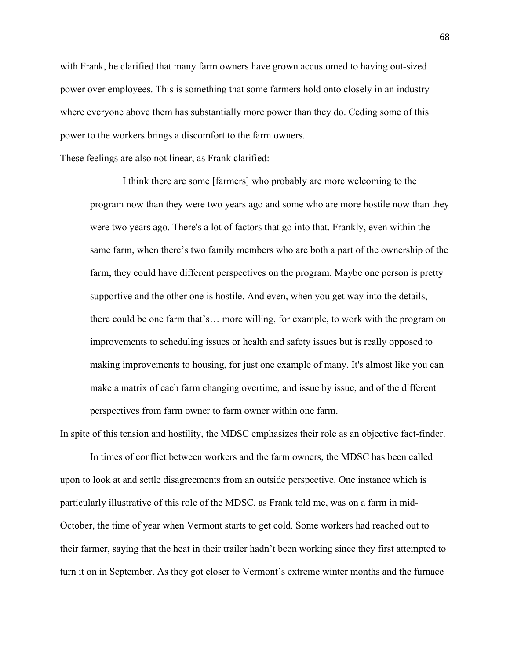with Frank, he clarified that many farm owners have grown accustomed to having out-sized power over employees. This is something that some farmers hold onto closely in an industry where everyone above them has substantially more power than they do. Ceding some of this power to the workers brings a discomfort to the farm owners.

These feelings are also not linear, as Frank clarified:

I think there are some [farmers] who probably are more welcoming to the program now than they were two years ago and some who are more hostile now than they were two years ago. There's a lot of factors that go into that. Frankly, even within the same farm, when there's two family members who are both a part of the ownership of the farm, they could have different perspectives on the program. Maybe one person is pretty supportive and the other one is hostile. And even, when you get way into the details, there could be one farm that's… more willing, for example, to work with the program on improvements to scheduling issues or health and safety issues but is really opposed to making improvements to housing, for just one example of many. It's almost like you can make a matrix of each farm changing overtime, and issue by issue, and of the different perspectives from farm owner to farm owner within one farm.

In spite of this tension and hostility, the MDSC emphasizes their role as an objective fact-finder.

In times of conflict between workers and the farm owners, the MDSC has been called upon to look at and settle disagreements from an outside perspective. One instance which is particularly illustrative of this role of the MDSC, as Frank told me, was on a farm in mid-October, the time of year when Vermont starts to get cold. Some workers had reached out to their farmer, saying that the heat in their trailer hadn't been working since they first attempted to turn it on in September. As they got closer to Vermont's extreme winter months and the furnace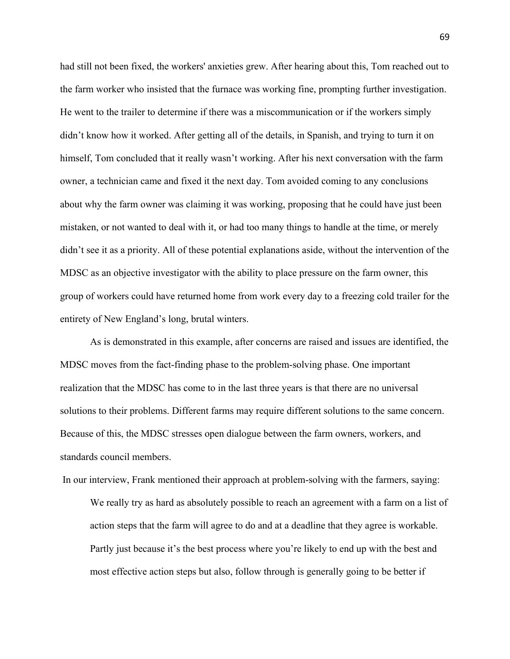had still not been fixed, the workers' anxieties grew. After hearing about this, Tom reached out to the farm worker who insisted that the furnace was working fine, prompting further investigation. He went to the trailer to determine if there was a miscommunication or if the workers simply didn't know how it worked. After getting all of the details, in Spanish, and trying to turn it on himself, Tom concluded that it really wasn't working. After his next conversation with the farm owner, a technician came and fixed it the next day. Tom avoided coming to any conclusions about why the farm owner was claiming it was working, proposing that he could have just been mistaken, or not wanted to deal with it, or had too many things to handle at the time, or merely didn't see it as a priority. All of these potential explanations aside, without the intervention of the MDSC as an objective investigator with the ability to place pressure on the farm owner, this group of workers could have returned home from work every day to a freezing cold trailer for the entirety of New England's long, brutal winters.

As is demonstrated in this example, after concerns are raised and issues are identified, the MDSC moves from the fact-finding phase to the problem-solving phase. One important realization that the MDSC has come to in the last three years is that there are no universal solutions to their problems. Different farms may require different solutions to the same concern. Because of this, the MDSC stresses open dialogue between the farm owners, workers, and standards council members.

In our interview, Frank mentioned their approach at problem-solving with the farmers, saying: We really try as hard as absolutely possible to reach an agreement with a farm on a list of action steps that the farm will agree to do and at a deadline that they agree is workable. Partly just because it's the best process where you're likely to end up with the best and most effective action steps but also, follow through is generally going to be better if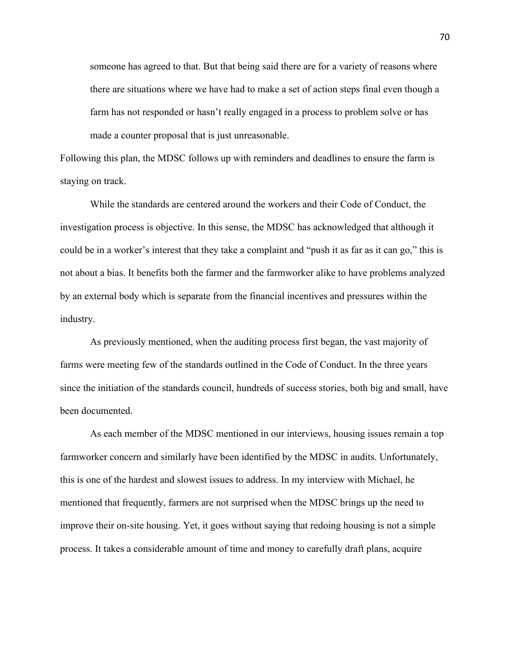someone has agreed to that. But that being said there are for a variety of reasons where there are situations where we have had to make a set of action steps final even though a farm has not responded or hasn't really engaged in a process to problem solve or has made a counter proposal that is just unreasonable.

Following this plan, the MDSC follows up with reminders and deadlines to ensure the farm is staying on track.

While the standards are centered around the workers and their Code of Conduct, the investigation process is objective. In this sense, the MDSC has acknowledged that although it could be in a worker's interest that they take a complaint and "push it as far as it can go," this is not about a bias. It benefits both the farmer and the farmworker alike to have problems analyzed by an external body which is separate from the financial incentives and pressures within the industry.

 As previously mentioned, when the auditing process first began, the vast majority of farms were meeting few of the standards outlined in the Code of Conduct. In the three years since the initiation of the standards council, hundreds of success stories, both big and small, have been documented.

As each member of the MDSC mentioned in our interviews, housing issues remain a top farmworker concern and similarly have been identified by the MDSC in audits. Unfortunately, this is one of the hardest and slowest issues to address. In my interview with Michael, he mentioned that frequently, farmers are not surprised when the MDSC brings up the need to improve their on-site housing. Yet, it goes without saying that redoing housing is not a simple process. It takes a considerable amount of time and money to carefully draft plans, acquire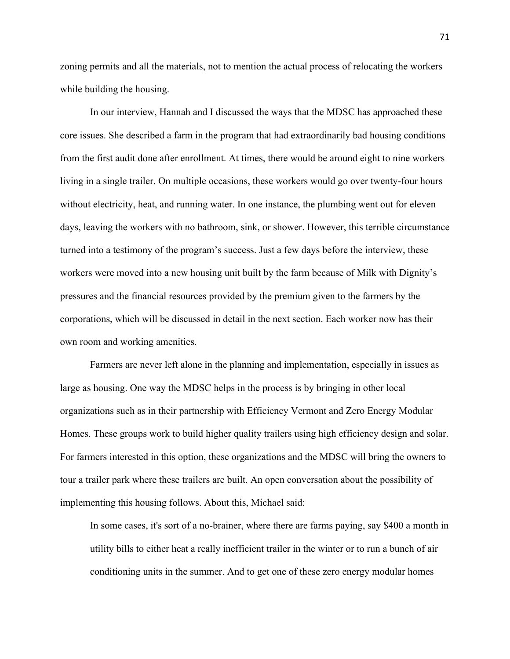zoning permits and all the materials, not to mention the actual process of relocating the workers while building the housing.

In our interview, Hannah and I discussed the ways that the MDSC has approached these core issues. She described a farm in the program that had extraordinarily bad housing conditions from the first audit done after enrollment. At times, there would be around eight to nine workers living in a single trailer. On multiple occasions, these workers would go over twenty-four hours without electricity, heat, and running water. In one instance, the plumbing went out for eleven days, leaving the workers with no bathroom, sink, or shower. However, this terrible circumstance turned into a testimony of the program's success. Just a few days before the interview, these workers were moved into a new housing unit built by the farm because of Milk with Dignity's pressures and the financial resources provided by the premium given to the farmers by the corporations, which will be discussed in detail in the next section. Each worker now has their own room and working amenities.

Farmers are never left alone in the planning and implementation, especially in issues as large as housing. One way the MDSC helps in the process is by bringing in other local organizations such as in their partnership with Efficiency Vermont and Zero Energy Modular Homes. These groups work to build higher quality trailers using high efficiency design and solar. For farmers interested in this option, these organizations and the MDSC will bring the owners to tour a trailer park where these trailers are built. An open conversation about the possibility of implementing this housing follows. About this, Michael said:

In some cases, it's sort of a no-brainer, where there are farms paying, say \$400 a month in utility bills to either heat a really inefficient trailer in the winter or to run a bunch of air conditioning units in the summer. And to get one of these zero energy modular homes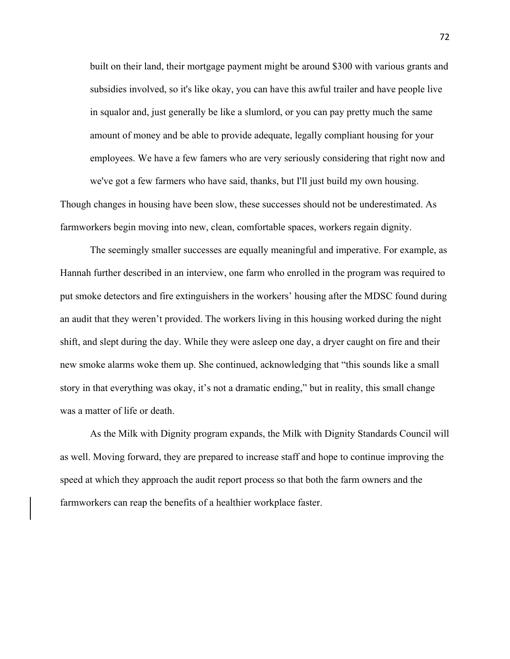built on their land, their mortgage payment might be around \$300 with various grants and subsidies involved, so it's like okay, you can have this awful trailer and have people live in squalor and, just generally be like a slumlord, or you can pay pretty much the same amount of money and be able to provide adequate, legally compliant housing for your employees. We have a few famers who are very seriously considering that right now and we've got a few farmers who have said, thanks, but I'll just build my own housing.

Though changes in housing have been slow, these successes should not be underestimated. As farmworkers begin moving into new, clean, comfortable spaces, workers regain dignity.

The seemingly smaller successes are equally meaningful and imperative. For example, as Hannah further described in an interview, one farm who enrolled in the program was required to put smoke detectors and fire extinguishers in the workers' housing after the MDSC found during an audit that they weren't provided. The workers living in this housing worked during the night shift, and slept during the day. While they were asleep one day, a dryer caught on fire and their new smoke alarms woke them up. She continued, acknowledging that "this sounds like a small story in that everything was okay, it's not a dramatic ending," but in reality, this small change was a matter of life or death.

As the Milk with Dignity program expands, the Milk with Dignity Standards Council will as well. Moving forward, they are prepared to increase staff and hope to continue improving the speed at which they approach the audit report process so that both the farm owners and the farmworkers can reap the benefits of a healthier workplace faster.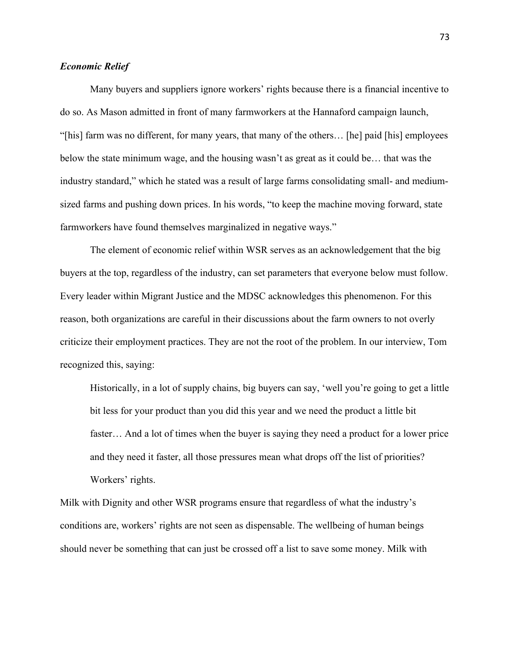# *Economic Relief*

 Many buyers and suppliers ignore workers' rights because there is a financial incentive to do so. As Mason admitted in front of many farmworkers at the Hannaford campaign launch, "[his] farm was no different, for many years, that many of the others… [he] paid [his] employees below the state minimum wage, and the housing wasn't as great as it could be… that was the industry standard," which he stated was a result of large farms consolidating small- and mediumsized farms and pushing down prices. In his words, "to keep the machine moving forward, state farmworkers have found themselves marginalized in negative ways."

The element of economic relief within WSR serves as an acknowledgement that the big buyers at the top, regardless of the industry, can set parameters that everyone below must follow. Every leader within Migrant Justice and the MDSC acknowledges this phenomenon. For this reason, both organizations are careful in their discussions about the farm owners to not overly criticize their employment practices. They are not the root of the problem. In our interview, Tom recognized this, saying:

Historically, in a lot of supply chains, big buyers can say, 'well you're going to get a little bit less for your product than you did this year and we need the product a little bit faster… And a lot of times when the buyer is saying they need a product for a lower price and they need it faster, all those pressures mean what drops off the list of priorities? Workers' rights.

Milk with Dignity and other WSR programs ensure that regardless of what the industry's conditions are, workers' rights are not seen as dispensable. The wellbeing of human beings should never be something that can just be crossed off a list to save some money. Milk with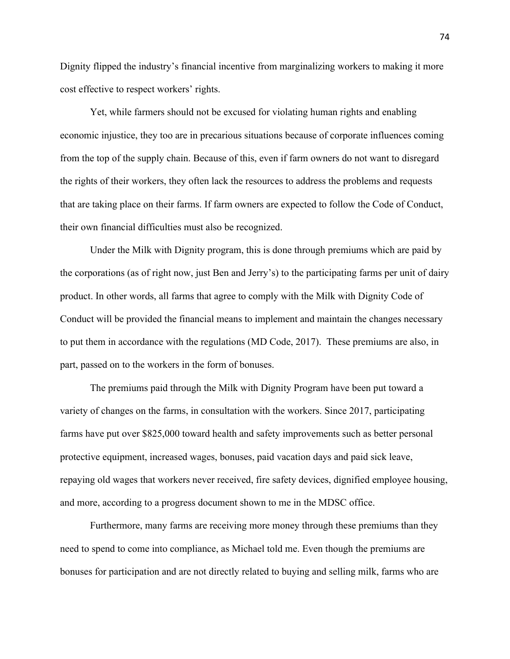Dignity flipped the industry's financial incentive from marginalizing workers to making it more cost effective to respect workers' rights.

Yet, while farmers should not be excused for violating human rights and enabling economic injustice, they too are in precarious situations because of corporate influences coming from the top of the supply chain. Because of this, even if farm owners do not want to disregard the rights of their workers, they often lack the resources to address the problems and requests that are taking place on their farms. If farm owners are expected to follow the Code of Conduct, their own financial difficulties must also be recognized.

Under the Milk with Dignity program, this is done through premiums which are paid by the corporations (as of right now, just Ben and Jerry's) to the participating farms per unit of dairy product. In other words, all farms that agree to comply with the Milk with Dignity Code of Conduct will be provided the financial means to implement and maintain the changes necessary to put them in accordance with the regulations (MD Code, 2017). These premiums are also, in part, passed on to the workers in the form of bonuses.

 The premiums paid through the Milk with Dignity Program have been put toward a variety of changes on the farms, in consultation with the workers. Since 2017, participating farms have put over \$825,000 toward health and safety improvements such as better personal protective equipment, increased wages, bonuses, paid vacation days and paid sick leave, repaying old wages that workers never received, fire safety devices, dignified employee housing, and more, according to a progress document shown to me in the MDSC office.

Furthermore, many farms are receiving more money through these premiums than they need to spend to come into compliance, as Michael told me. Even though the premiums are bonuses for participation and are not directly related to buying and selling milk, farms who are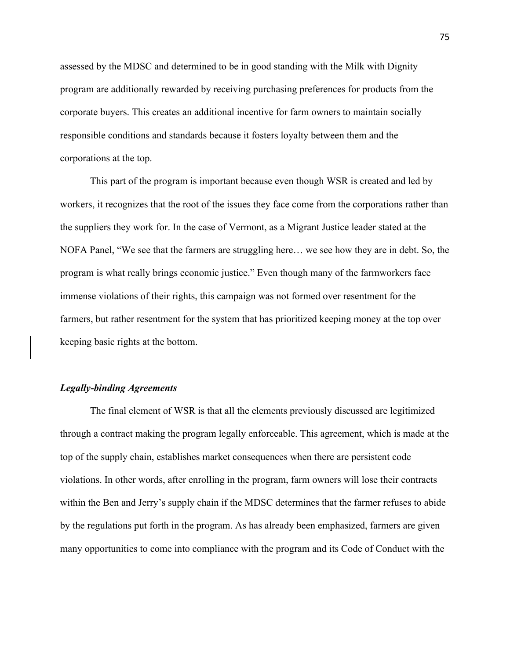assessed by the MDSC and determined to be in good standing with the Milk with Dignity program are additionally rewarded by receiving purchasing preferences for products from the corporate buyers. This creates an additional incentive for farm owners to maintain socially responsible conditions and standards because it fosters loyalty between them and the corporations at the top.

This part of the program is important because even though WSR is created and led by workers, it recognizes that the root of the issues they face come from the corporations rather than the suppliers they work for. In the case of Vermont, as a Migrant Justice leader stated at the NOFA Panel, "We see that the farmers are struggling here… we see how they are in debt. So, the program is what really brings economic justice." Even though many of the farmworkers face immense violations of their rights, this campaign was not formed over resentment for the farmers, but rather resentment for the system that has prioritized keeping money at the top over keeping basic rights at the bottom.

# *Legally-binding Agreements*

The final element of WSR is that all the elements previously discussed are legitimized through a contract making the program legally enforceable. This agreement, which is made at the top of the supply chain, establishes market consequences when there are persistent code violations. In other words, after enrolling in the program, farm owners will lose their contracts within the Ben and Jerry's supply chain if the MDSC determines that the farmer refuses to abide by the regulations put forth in the program. As has already been emphasized, farmers are given many opportunities to come into compliance with the program and its Code of Conduct with the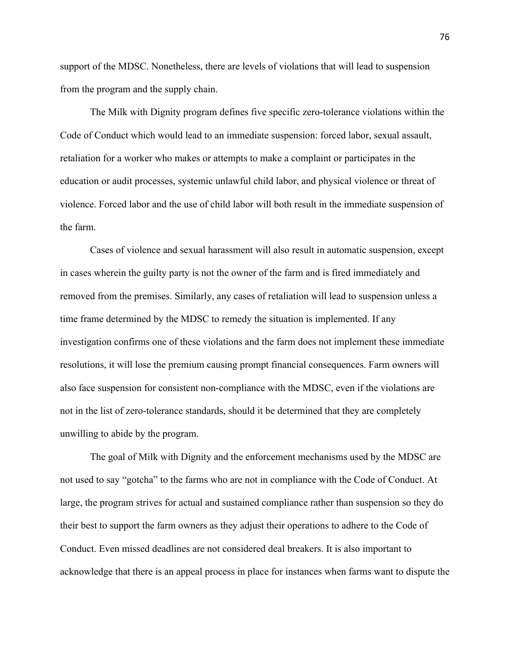support of the MDSC. Nonetheless, there are levels of violations that will lead to suspension from the program and the supply chain.

The Milk with Dignity program defines five specific zero-tolerance violations within the Code of Conduct which would lead to an immediate suspension: forced labor, sexual assault, retaliation for a worker who makes or attempts to make a complaint or participates in the education or audit processes, systemic unlawful child labor, and physical violence or threat of violence. Forced labor and the use of child labor will both result in the immediate suspension of the farm.

Cases of violence and sexual harassment will also result in automatic suspension, except in cases wherein the guilty party is not the owner of the farm and is fired immediately and removed from the premises. Similarly, any cases of retaliation will lead to suspension unless a time frame determined by the MDSC to remedy the situation is implemented. If any investigation confirms one of these violations and the farm does not implement these immediate resolutions, it will lose the premium causing prompt financial consequences. Farm owners will also face suspension for consistent non-compliance with the MDSC, even if the violations are not in the list of zero-tolerance standards, should it be determined that they are completely unwilling to abide by the program.

The goal of Milk with Dignity and the enforcement mechanisms used by the MDSC are not used to say "gotcha" to the farms who are not in compliance with the Code of Conduct. At large, the program strives for actual and sustained compliance rather than suspension so they do their best to support the farm owners as they adjust their operations to adhere to the Code of Conduct. Even missed deadlines are not considered deal breakers. It is also important to acknowledge that there is an appeal process in place for instances when farms want to dispute the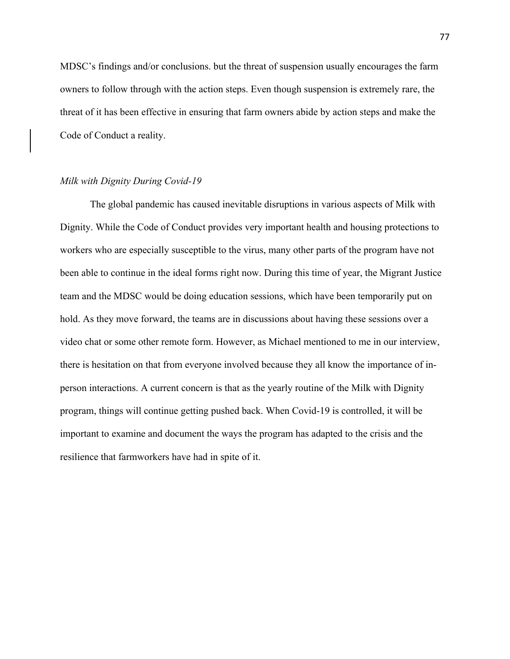MDSC's findings and/or conclusions. but the threat of suspension usually encourages the farm owners to follow through with the action steps. Even though suspension is extremely rare, the threat of it has been effective in ensuring that farm owners abide by action steps and make the Code of Conduct a reality.

## *Milk with Dignity During Covid-19*

The global pandemic has caused inevitable disruptions in various aspects of Milk with Dignity. While the Code of Conduct provides very important health and housing protections to workers who are especially susceptible to the virus, many other parts of the program have not been able to continue in the ideal forms right now. During this time of year, the Migrant Justice team and the MDSC would be doing education sessions, which have been temporarily put on hold. As they move forward, the teams are in discussions about having these sessions over a video chat or some other remote form. However, as Michael mentioned to me in our interview, there is hesitation on that from everyone involved because they all know the importance of inperson interactions. A current concern is that as the yearly routine of the Milk with Dignity program, things will continue getting pushed back. When Covid-19 is controlled, it will be important to examine and document the ways the program has adapted to the crisis and the resilience that farmworkers have had in spite of it.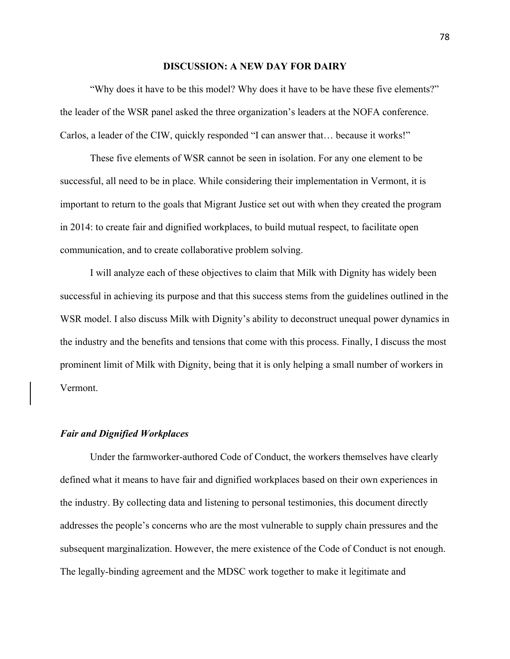#### **DISCUSSION: A NEW DAY FOR DAIRY**

"Why does it have to be this model? Why does it have to be have these five elements?" the leader of the WSR panel asked the three organization's leaders at the NOFA conference. Carlos, a leader of the CIW, quickly responded "I can answer that… because it works!"

These five elements of WSR cannot be seen in isolation. For any one element to be successful, all need to be in place. While considering their implementation in Vermont, it is important to return to the goals that Migrant Justice set out with when they created the program in 2014: to create fair and dignified workplaces, to build mutual respect, to facilitate open communication, and to create collaborative problem solving.

I will analyze each of these objectives to claim that Milk with Dignity has widely been successful in achieving its purpose and that this success stems from the guidelines outlined in the WSR model. I also discuss Milk with Dignity's ability to deconstruct unequal power dynamics in the industry and the benefits and tensions that come with this process. Finally, I discuss the most prominent limit of Milk with Dignity, being that it is only helping a small number of workers in Vermont.

## *Fair and Dignified Workplaces*

Under the farmworker-authored Code of Conduct, the workers themselves have clearly defined what it means to have fair and dignified workplaces based on their own experiences in the industry. By collecting data and listening to personal testimonies, this document directly addresses the people's concerns who are the most vulnerable to supply chain pressures and the subsequent marginalization. However, the mere existence of the Code of Conduct is not enough. The legally-binding agreement and the MDSC work together to make it legitimate and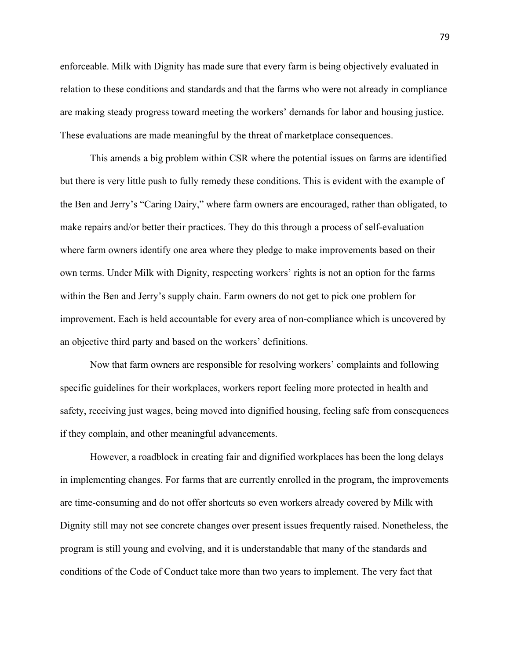enforceable. Milk with Dignity has made sure that every farm is being objectively evaluated in relation to these conditions and standards and that the farms who were not already in compliance are making steady progress toward meeting the workers' demands for labor and housing justice. These evaluations are made meaningful by the threat of marketplace consequences.

This amends a big problem within CSR where the potential issues on farms are identified but there is very little push to fully remedy these conditions. This is evident with the example of the Ben and Jerry's "Caring Dairy," where farm owners are encouraged, rather than obligated, to make repairs and/or better their practices. They do this through a process of self-evaluation where farm owners identify one area where they pledge to make improvements based on their own terms. Under Milk with Dignity, respecting workers' rights is not an option for the farms within the Ben and Jerry's supply chain. Farm owners do not get to pick one problem for improvement. Each is held accountable for every area of non-compliance which is uncovered by an objective third party and based on the workers' definitions.

Now that farm owners are responsible for resolving workers' complaints and following specific guidelines for their workplaces, workers report feeling more protected in health and safety, receiving just wages, being moved into dignified housing, feeling safe from consequences if they complain, and other meaningful advancements.

However, a roadblock in creating fair and dignified workplaces has been the long delays in implementing changes. For farms that are currently enrolled in the program, the improvements are time-consuming and do not offer shortcuts so even workers already covered by Milk with Dignity still may not see concrete changes over present issues frequently raised. Nonetheless, the program is still young and evolving, and it is understandable that many of the standards and conditions of the Code of Conduct take more than two years to implement. The very fact that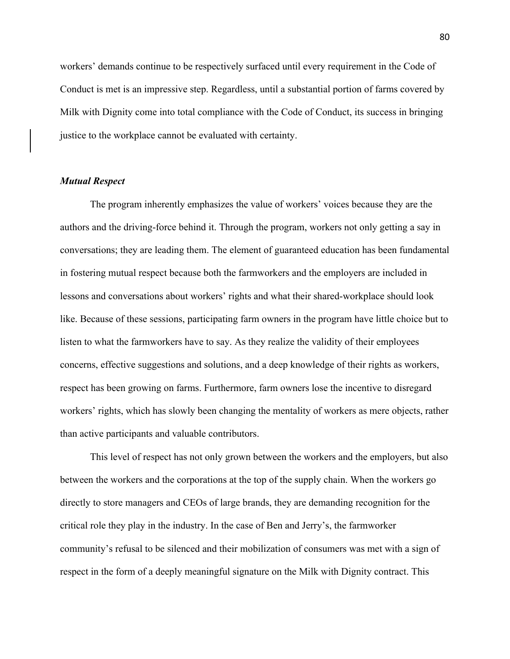workers' demands continue to be respectively surfaced until every requirement in the Code of Conduct is met is an impressive step. Regardless, until a substantial portion of farms covered by Milk with Dignity come into total compliance with the Code of Conduct, its success in bringing justice to the workplace cannot be evaluated with certainty.

# *Mutual Respect*

The program inherently emphasizes the value of workers' voices because they are the authors and the driving-force behind it. Through the program, workers not only getting a say in conversations; they are leading them. The element of guaranteed education has been fundamental in fostering mutual respect because both the farmworkers and the employers are included in lessons and conversations about workers' rights and what their shared-workplace should look like. Because of these sessions, participating farm owners in the program have little choice but to listen to what the farmworkers have to say. As they realize the validity of their employees concerns, effective suggestions and solutions, and a deep knowledge of their rights as workers, respect has been growing on farms. Furthermore, farm owners lose the incentive to disregard workers' rights, which has slowly been changing the mentality of workers as mere objects, rather than active participants and valuable contributors.

This level of respect has not only grown between the workers and the employers, but also between the workers and the corporations at the top of the supply chain. When the workers go directly to store managers and CEOs of large brands, they are demanding recognition for the critical role they play in the industry. In the case of Ben and Jerry's, the farmworker community's refusal to be silenced and their mobilization of consumers was met with a sign of respect in the form of a deeply meaningful signature on the Milk with Dignity contract. This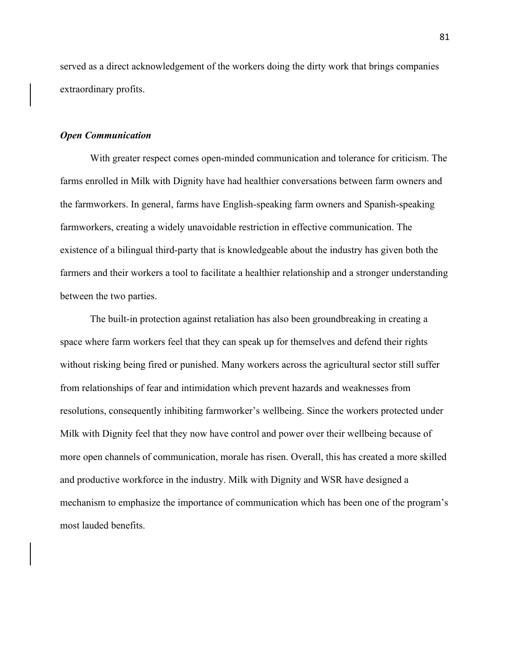served as a direct acknowledgement of the workers doing the dirty work that brings companies extraordinary profits.

## *Open Communication*

With greater respect comes open-minded communication and tolerance for criticism. The farms enrolled in Milk with Dignity have had healthier conversations between farm owners and the farmworkers. In general, farms have English-speaking farm owners and Spanish-speaking farmworkers, creating a widely unavoidable restriction in effective communication. The existence of a bilingual third-party that is knowledgeable about the industry has given both the farmers and their workers a tool to facilitate a healthier relationship and a stronger understanding between the two parties.

The built-in protection against retaliation has also been groundbreaking in creating a space where farm workers feel that they can speak up for themselves and defend their rights without risking being fired or punished. Many workers across the agricultural sector still suffer from relationships of fear and intimidation which prevent hazards and weaknesses from resolutions, consequently inhibiting farmworker's wellbeing. Since the workers protected under Milk with Dignity feel that they now have control and power over their wellbeing because of more open channels of communication, morale has risen. Overall, this has created a more skilled and productive workforce in the industry. Milk with Dignity and WSR have designed a mechanism to emphasize the importance of communication which has been one of the program's most lauded benefits.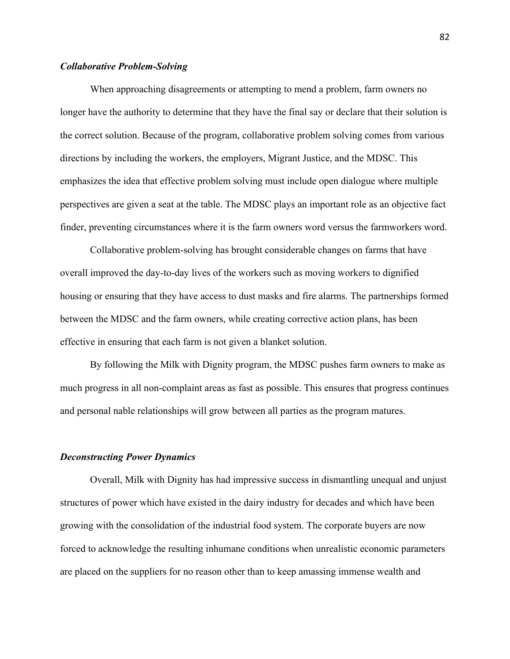# *Collaborative Problem-Solving*

When approaching disagreements or attempting to mend a problem, farm owners no longer have the authority to determine that they have the final say or declare that their solution is the correct solution. Because of the program, collaborative problem solving comes from various directions by including the workers, the employers, Migrant Justice, and the MDSC. This emphasizes the idea that effective problem solving must include open dialogue where multiple perspectives are given a seat at the table. The MDSC plays an important role as an objective fact finder, preventing circumstances where it is the farm owners word versus the farmworkers word.

Collaborative problem-solving has brought considerable changes on farms that have overall improved the day-to-day lives of the workers such as moving workers to dignified housing or ensuring that they have access to dust masks and fire alarms. The partnerships formed between the MDSC and the farm owners, while creating corrective action plans, has been effective in ensuring that each farm is not given a blanket solution.

By following the Milk with Dignity program, the MDSC pushes farm owners to make as much progress in all non-complaint areas as fast as possible. This ensures that progress continues and personal nable relationships will grow between all parties as the program matures.

### *Deconstructing Power Dynamics*

Overall, Milk with Dignity has had impressive success in dismantling unequal and unjust structures of power which have existed in the dairy industry for decades and which have been growing with the consolidation of the industrial food system. The corporate buyers are now forced to acknowledge the resulting inhumane conditions when unrealistic economic parameters are placed on the suppliers for no reason other than to keep amassing immense wealth and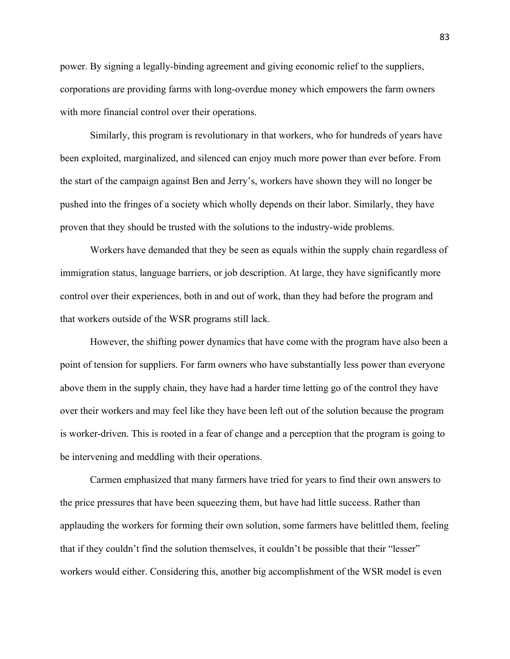power. By signing a legally-binding agreement and giving economic relief to the suppliers, corporations are providing farms with long-overdue money which empowers the farm owners with more financial control over their operations.

Similarly, this program is revolutionary in that workers, who for hundreds of years have been exploited, marginalized, and silenced can enjoy much more power than ever before. From the start of the campaign against Ben and Jerry's, workers have shown they will no longer be pushed into the fringes of a society which wholly depends on their labor. Similarly, they have proven that they should be trusted with the solutions to the industry-wide problems.

Workers have demanded that they be seen as equals within the supply chain regardless of immigration status, language barriers, or job description. At large, they have significantly more control over their experiences, both in and out of work, than they had before the program and that workers outside of the WSR programs still lack.

However, the shifting power dynamics that have come with the program have also been a point of tension for suppliers. For farm owners who have substantially less power than everyone above them in the supply chain, they have had a harder time letting go of the control they have over their workers and may feel like they have been left out of the solution because the program is worker-driven. This is rooted in a fear of change and a perception that the program is going to be intervening and meddling with their operations.

Carmen emphasized that many farmers have tried for years to find their own answers to the price pressures that have been squeezing them, but have had little success. Rather than applauding the workers for forming their own solution, some farmers have belittled them, feeling that if they couldn't find the solution themselves, it couldn't be possible that their "lesser" workers would either. Considering this, another big accomplishment of the WSR model is even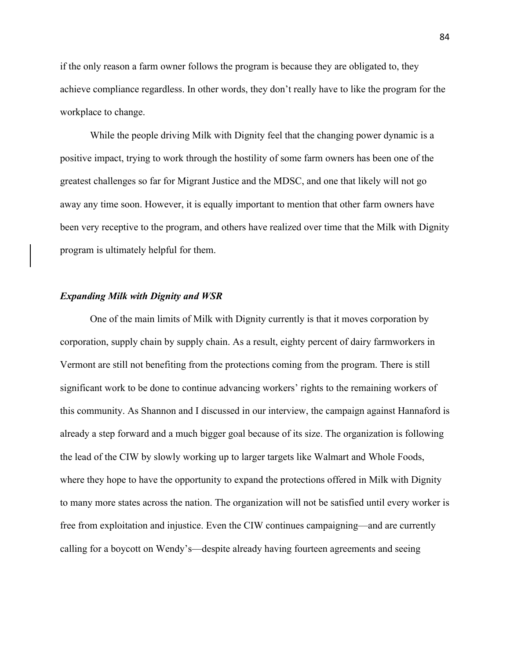if the only reason a farm owner follows the program is because they are obligated to, they achieve compliance regardless. In other words, they don't really have to like the program for the workplace to change.

While the people driving Milk with Dignity feel that the changing power dynamic is a positive impact, trying to work through the hostility of some farm owners has been one of the greatest challenges so far for Migrant Justice and the MDSC, and one that likely will not go away any time soon. However, it is equally important to mention that other farm owners have been very receptive to the program, and others have realized over time that the Milk with Dignity program is ultimately helpful for them.

#### *Expanding Milk with Dignity and WSR*

One of the main limits of Milk with Dignity currently is that it moves corporation by corporation, supply chain by supply chain. As a result, eighty percent of dairy farmworkers in Vermont are still not benefiting from the protections coming from the program. There is still significant work to be done to continue advancing workers' rights to the remaining workers of this community. As Shannon and I discussed in our interview, the campaign against Hannaford is already a step forward and a much bigger goal because of its size. The organization is following the lead of the CIW by slowly working up to larger targets like Walmart and Whole Foods, where they hope to have the opportunity to expand the protections offered in Milk with Dignity to many more states across the nation. The organization will not be satisfied until every worker is free from exploitation and injustice. Even the CIW continues campaigning—and are currently calling for a boycott on Wendy's—despite already having fourteen agreements and seeing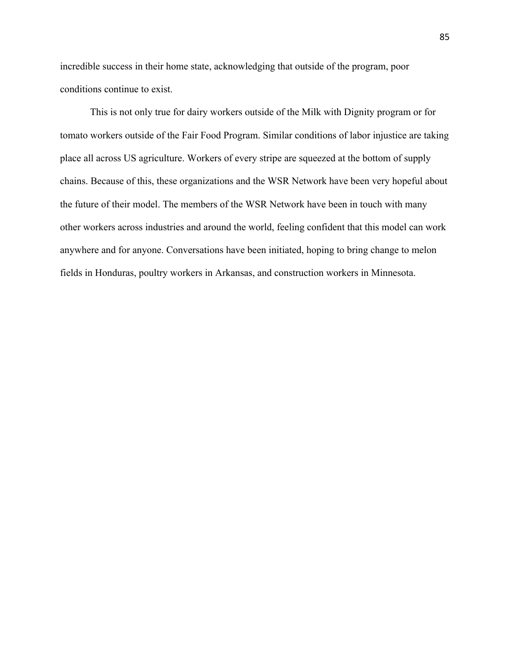incredible success in their home state, acknowledging that outside of the program, poor conditions continue to exist.

This is not only true for dairy workers outside of the Milk with Dignity program or for tomato workers outside of the Fair Food Program. Similar conditions of labor injustice are taking place all across US agriculture. Workers of every stripe are squeezed at the bottom of supply chains. Because of this, these organizations and the WSR Network have been very hopeful about the future of their model. The members of the WSR Network have been in touch with many other workers across industries and around the world, feeling confident that this model can work anywhere and for anyone. Conversations have been initiated, hoping to bring change to melon fields in Honduras, poultry workers in Arkansas, and construction workers in Minnesota.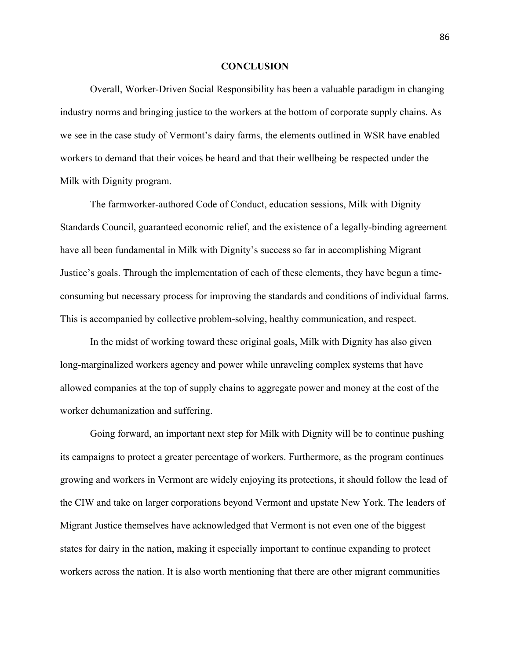### **CONCLUSION**

Overall, Worker-Driven Social Responsibility has been a valuable paradigm in changing industry norms and bringing justice to the workers at the bottom of corporate supply chains. As we see in the case study of Vermont's dairy farms, the elements outlined in WSR have enabled workers to demand that their voices be heard and that their wellbeing be respected under the Milk with Dignity program.

The farmworker-authored Code of Conduct, education sessions, Milk with Dignity Standards Council, guaranteed economic relief, and the existence of a legally-binding agreement have all been fundamental in Milk with Dignity's success so far in accomplishing Migrant Justice's goals. Through the implementation of each of these elements, they have begun a timeconsuming but necessary process for improving the standards and conditions of individual farms. This is accompanied by collective problem-solving, healthy communication, and respect.

In the midst of working toward these original goals, Milk with Dignity has also given long-marginalized workers agency and power while unraveling complex systems that have allowed companies at the top of supply chains to aggregate power and money at the cost of the worker dehumanization and suffering.

Going forward, an important next step for Milk with Dignity will be to continue pushing its campaigns to protect a greater percentage of workers. Furthermore, as the program continues growing and workers in Vermont are widely enjoying its protections, it should follow the lead of the CIW and take on larger corporations beyond Vermont and upstate New York. The leaders of Migrant Justice themselves have acknowledged that Vermont is not even one of the biggest states for dairy in the nation, making it especially important to continue expanding to protect workers across the nation. It is also worth mentioning that there are other migrant communities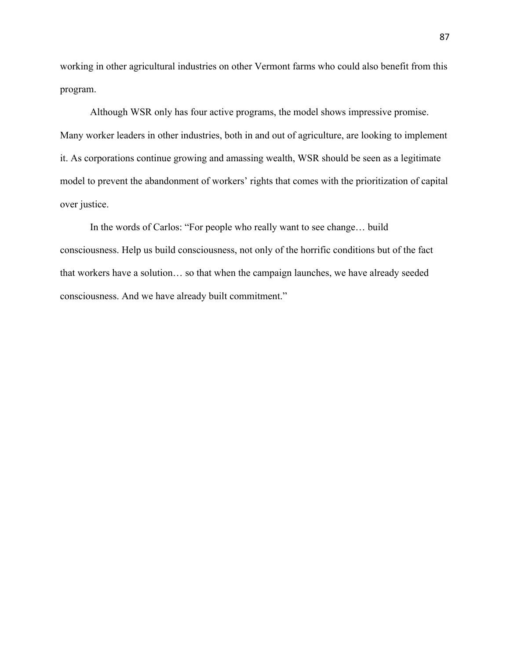working in other agricultural industries on other Vermont farms who could also benefit from this program.

Although WSR only has four active programs, the model shows impressive promise. Many worker leaders in other industries, both in and out of agriculture, are looking to implement it. As corporations continue growing and amassing wealth, WSR should be seen as a legitimate model to prevent the abandonment of workers' rights that comes with the prioritization of capital over justice.

In the words of Carlos: "For people who really want to see change… build consciousness. Help us build consciousness, not only of the horrific conditions but of the fact that workers have a solution… so that when the campaign launches, we have already seeded consciousness. And we have already built commitment."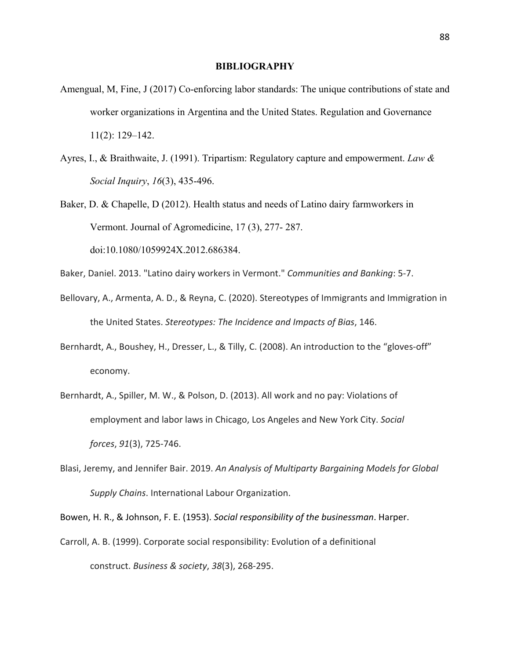### **BIBLIOGRAPHY**

- Amengual, M, Fine, J (2017) Co-enforcing labor standards: The unique contributions of state and worker organizations in Argentina and the United States. Regulation and Governance 11(2): 129–142.
- Ayres, I., & Braithwaite, J. (1991). Tripartism: Regulatory capture and empowerment. *Law & Social Inquiry*, *16*(3), 435-496.

Baker, D. & Chapelle, D (2012). Health status and needs of Latino dairy farmworkers in Vermont. Journal of Agromedicine, 17 (3), 277- 287. doi:10.1080/1059924X.2012.686384.

- Baker, Daniel. 2013. "Latino dairy workers in Vermont." *Communities and Banking*: 5-7.
- Bellovary, A., Armenta, A. D., & Reyna, C. (2020). Stereotypes of Immigrants and Immigration in the United States. *Stereotypes: The Incidence and Impacts of Bias*, 146.
- Bernhardt, A., Boushey, H., Dresser, L., & Tilly, C. (2008). An introduction to the "gloves-off" economy.
- Bernhardt, A., Spiller, M. W., & Polson, D. (2013). All work and no pay: Violations of employment and labor laws in Chicago, Los Angeles and New York City. *Social forces*, *91*(3), 725-746.
- Blasi, Jeremy, and Jennifer Bair. 2019. An Analysis of Multiparty Bargaining Models for Global Supply Chains. International Labour Organization.

Bowen, H. R., & Johnson, F. E. (1953). *Social responsibility of the businessman*. Harper.

Carroll, A. B. (1999). Corporate social responsibility: Evolution of a definitional construct. *Business & society*, *38*(3), 268-295.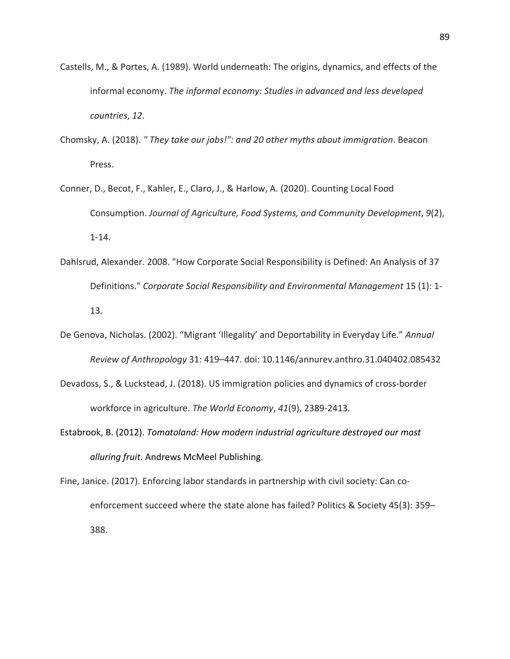- Castells, M., & Portes, A. (1989). World underneath: The origins, dynamics, and effects of the informal economy. The informal economy: Studies in advanced and less developed *countries*, *12*.
- Chomsky, A. (2018). *"* They take our jobs!": and 20 other myths about immigration. Beacon Press.
- Conner, D., Becot, F., Kahler, E., Claro, J., & Harlow, A. (2020). Counting Local Food Consumption. *Journal of Agriculture, Food Systems, and Community Development, 9(2),* 1-14.
- Dahlsrud, Alexander. 2008. "How Corporate Social Responsibility is Defined: An Analysis of 37 Definitions." *Corporate Social Responsibility and Environmental Management* 15 (1): 1-13.
- De Genova, Nicholas. (2002). "Migrant 'Illegality' and Deportability in Everyday Life." Annual *Review of Anthropology* 31: 419–447. doi: 10.1146/annurev.anthro.31.040402.085432
- Devadoss, S., & Luckstead, J. (2018). US immigration policies and dynamics of cross-border workforce in agriculture. The World Economy, 41(9), 2389-2413.
- Estabrook, B. (2012). *Tomatoland: How modern industrial agriculture destroyed our most alluring fruit.* Andrews McMeel Publishing.
- Fine, Janice. (2017). Enforcing labor standards in partnership with civil society: Can coenforcement succeed where the state alone has failed? Politics & Society 45(3): 359-388.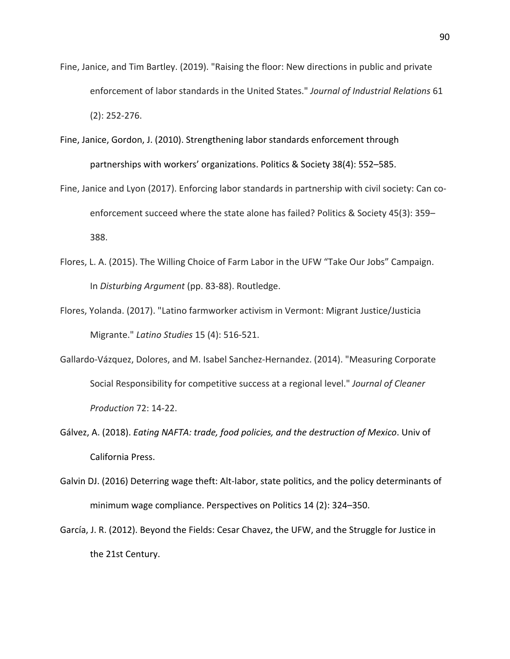- Fine, Janice, and Tim Bartley. (2019). "Raising the floor: New directions in public and private enforcement of labor standards in the United States." Journal of Industrial Relations 61  $(2): 252 - 276.$
- Fine, Janice, Gordon, J. (2010). Strengthening labor standards enforcement through partnerships with workers' organizations. Politics & Society 38(4): 552–585.
- Fine, Janice and Lyon (2017). Enforcing labor standards in partnership with civil society: Can coenforcement succeed where the state alone has failed? Politics & Society 45(3): 359– 388.
- Flores, L. A. (2015). The Willing Choice of Farm Labor in the UFW "Take Our Jobs" Campaign. In *Disturbing Argument* (pp. 83-88). Routledge.
- Flores, Yolanda. (2017). "Latino farmworker activism in Vermont: Migrant Justice/Justicia Migrante." *Latino Studies* 15 (4): 516-521.
- Gallardo-Vázquez, Dolores, and M. Isabel Sanchez-Hernandez. (2014). "Measuring Corporate Social Responsibility for competitive success at a regional level." Journal of Cleaner *Production* 72: 14-22.
- Gálvez, A. (2018). *Eating NAFTA: trade, food policies, and the destruction of Mexico*. Univ of California Press.
- Galvin DJ. (2016) Deterring wage theft: Alt-labor, state politics, and the policy determinants of minimum wage compliance. Perspectives on Politics 14 (2): 324–350.
- García, J. R. (2012). Beyond the Fields: Cesar Chavez, the UFW, and the Struggle for Justice in the 21st Century.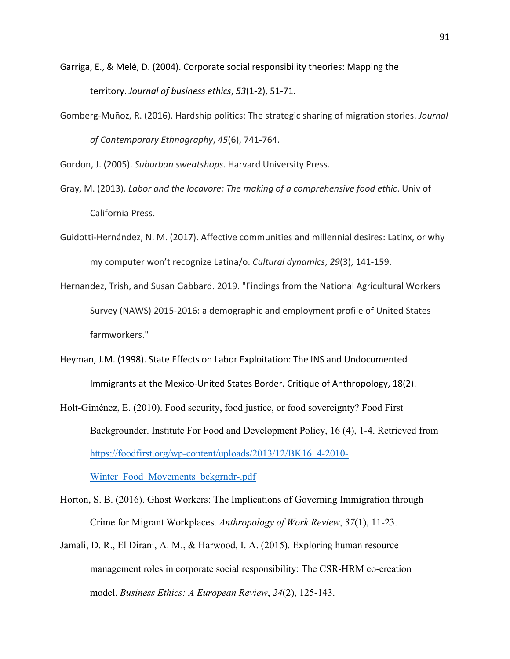- Garriga, E., & Melé, D. (2004). Corporate social responsibility theories: Mapping the territory. Journal of business ethics, 53(1-2), 51-71.
- Gomberg-Muñoz, R. (2016). Hardship politics: The strategic sharing of migration stories. *Journal of Contemporary Ethnography*, *45*(6), 741-764.

Gordon, J. (2005). *Suburban sweatshops*. Harvard University Press.

- Gray, M. (2013). *Labor and the locavore: The making of a comprehensive food ethic*. Univ of California Press.
- Guidotti-Hernández, N. M. (2017). Affective communities and millennial desires: Latinx, or why my computer won't recognize Latina/o. *Cultural dynamics*, 29(3), 141-159.
- Hernandez, Trish, and Susan Gabbard. 2019. "Findings from the National Agricultural Workers Survey (NAWS) 2015-2016: a demographic and employment profile of United States farmworkers."
- Heyman, J.M. (1998). State Effects on Labor Exploitation: The INS and Undocumented Immigrants at the Mexico-United States Border. Critique of Anthropology, 18(2).
- Holt-Giménez, E. (2010). Food security, food justice, or food sovereignty? Food First Backgrounder. Institute For Food and Development Policy, 16 (4), 1-4. Retrieved from https://foodfirst.org/wp-content/uploads/2013/12/BK16\_4-2010- Winter Food Movements bckgrndr-.pdf
- Horton, S. B. (2016). Ghost Workers: The Implications of Governing Immigration through Crime for Migrant Workplaces. *Anthropology of Work Review*, *37*(1), 11-23.
- Jamali, D. R., El Dirani, A. M., & Harwood, I. A. (2015). Exploring human resource management roles in corporate social responsibility: The CSR-HRM co-creation model. *Business Ethics: A European Review*, *24*(2), 125-143.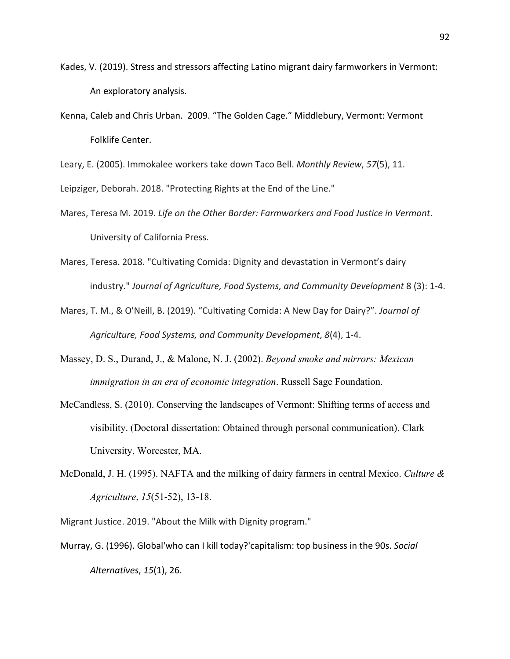- Kades, V. (2019). Stress and stressors affecting Latino migrant dairy farmworkers in Vermont: An exploratory analysis.
- Kenna, Caleb and Chris Urban. 2009. "The Golden Cage." Middlebury, Vermont: Vermont Folklife Center.

Leary, E. (2005). Immokalee workers take down Taco Bell. *Monthly Review*, 57(5), 11.

Leipziger, Deborah. 2018. "Protecting Rights at the End of the Line."

- Mares, Teresa M. 2019. *Life on the Other Border: Farmworkers and Food Justice in Vermont.* University of California Press.
- Mares, Teresa. 2018. "Cultivating Comida: Dignity and devastation in Vermont's dairy industry." Journal of Agriculture, Food Systems, and Community Development 8 (3): 1-4.
- Mares, T. M., & O'Neill, B. (2019). "Cultivating Comida: A New Day for Dairy?". *Journal of* Agriculture, Food Systems, and Community Development, 8(4), 1-4.
- Massey, D. S., Durand, J., & Malone, N. J. (2002). *Beyond smoke and mirrors: Mexican immigration in an era of economic integration*. Russell Sage Foundation.
- McCandless, S. (2010). Conserving the landscapes of Vermont: Shifting terms of access and visibility. (Doctoral dissertation: Obtained through personal communication). Clark University, Worcester, MA.
- McDonald, J. H. (1995). NAFTA and the milking of dairy farmers in central Mexico. *Culture & Agriculture*, *15*(51-52), 13-18.

Migrant Justice. 2019. "About the Milk with Dignity program."

Murray, G. (1996). Global'who can I kill today?'capitalism: top business in the 90s. *Social Alternatives*, *15*(1), 26.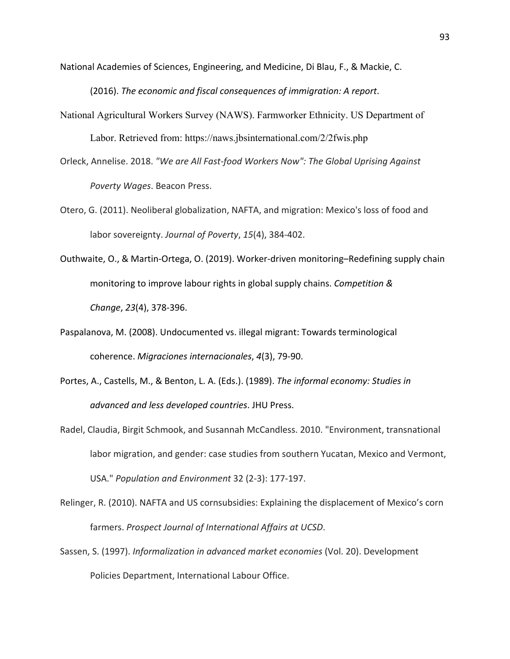National Academies of Sciences, Engineering, and Medicine, Di Blau, F., & Mackie, C.

(2016). The economic and fiscal consequences of immigration: A report.

- National Agricultural Workers Survey (NAWS). Farmworker Ethnicity. US Department of Labor. Retrieved from: https://naws.jbsinternational.com/2/2fwis.php
- Orleck, Annelise. 2018. *"We are All Fast-food Workers Now": The Global Uprising Against Poverty Wages*. Beacon Press.
- Otero, G. (2011). Neoliberal globalization, NAFTA, and migration: Mexico's loss of food and labor sovereignty. *Journal of Poverty*, 15(4), 384-402.
- Outhwaite, O., & Martin-Ortega, O. (2019). Worker-driven monitoring–Redefining supply chain monitoring to improve labour rights in global supply chains. *Competition & Change*, *23*(4), 378-396.
- Paspalanova, M. (2008). Undocumented vs. illegal migrant: Towards terminological coherence. *Migraciones internacionales*, 4(3), 79-90.
- Portes, A., Castells, M., & Benton, L. A. (Eds.). (1989). *The informal economy: Studies in advanced and less developed countries*. JHU Press.
- Radel, Claudia, Birgit Schmook, and Susannah McCandless. 2010. "Environment, transnational labor migration, and gender: case studies from southern Yucatan, Mexico and Vermont, USA." *Population and Environment* 32 (2-3): 177-197.
- Relinger, R. (2010). NAFTA and US cornsubsidies: Explaining the displacement of Mexico's corn farmers. Prospect Journal of International Affairs at UCSD.
- Sassen, S. (1997). *Informalization in advanced market economies* (Vol. 20). Development Policies Department, International Labour Office.